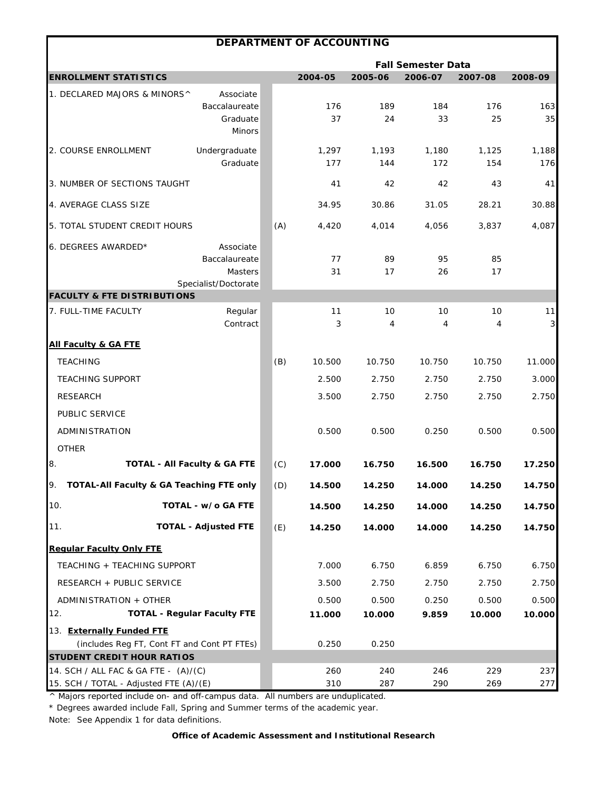|                                             |                                         |     | DEPARTMENT OF ACCOUNTING |         |                           |         |              |
|---------------------------------------------|-----------------------------------------|-----|--------------------------|---------|---------------------------|---------|--------------|
|                                             |                                         |     |                          |         | <b>Fall Semester Data</b> |         |              |
| <b>ENROLLMENT STATISTICS</b>                |                                         |     | 2004-05                  | 2005-06 | 2006-07                   | 2007-08 | 2008-09      |
| 1. DECLARED MAJORS & MINORS^                | Associate                               |     |                          |         |                           |         |              |
|                                             | Baccalaureate                           |     | 176                      | 189     | 184                       | 176     | 163          |
|                                             | Graduate<br><b>Minors</b>               |     | 37                       | 24      | 33                        | 25      | 35           |
| 2. COURSE ENROLLMENT                        | Undergraduate                           |     | 1,297                    | 1,193   | 1,180                     | 1,125   | 1,188        |
|                                             | Graduate                                |     | 177                      | 144     | 172                       | 154     | 176          |
| 3. NUMBER OF SECTIONS TAUGHT                |                                         |     | 41                       | 42      | 42                        | 43      | 41           |
| 4. AVERAGE CLASS SIZE                       |                                         |     | 34.95                    | 30.86   | 31.05                     | 28.21   | 30.88        |
| 5. TOTAL STUDENT CREDIT HOURS               |                                         | (A) | 4,420                    | 4,014   | 4,056                     | 3,837   | 4,087        |
| 6. DEGREES AWARDED*                         | Associate                               |     |                          |         |                           |         |              |
|                                             | Baccalaureate                           |     | 77                       | 89      | 95                        | 85      |              |
|                                             | Masters                                 |     | 31                       | 17      | 26                        | 17      |              |
| <b>FACULTY &amp; FTE DISTRIBUTIONS</b>      | Specialist/Doctorate                    |     |                          |         |                           |         |              |
| 7. FULL-TIME FACULTY                        | Regular                                 |     | 11                       | 10      | 10                        | 10      | 11           |
|                                             | Contract                                |     | 3                        | 4       | 4                         | 4       | $\mathbf{3}$ |
| <b>All Faculty &amp; GA FTE</b>             |                                         |     |                          |         |                           |         |              |
| <b>TEACHING</b>                             |                                         | (B) | 10.500                   | 10.750  | 10.750                    | 10.750  | 11.000       |
| <b>TEACHING SUPPORT</b>                     |                                         |     | 2.500                    | 2.750   | 2.750                     | 2.750   | 3.000        |
| <b>RESEARCH</b>                             |                                         |     | 3.500                    | 2.750   | 2.750                     | 2.750   | 2.750        |
| PUBLIC SERVICE                              |                                         |     |                          |         |                           |         |              |
| ADMINISTRATION                              |                                         |     | 0.500                    | 0.500   | 0.250                     | 0.500   | 0.500        |
| <b>OTHER</b>                                |                                         |     |                          |         |                           |         |              |
| 8.                                          | <b>TOTAL - All Faculty &amp; GA FTE</b> | (C) | 17.000                   | 16.750  | 16.500                    | 16.750  | 17.250       |
| TOTAL-All Faculty & GA Teaching FTE only    |                                         | (D) | 14.500                   | 14.250  | 14.000                    | 14.250  | 14.750       |
| 10.                                         | TOTAL - w/o GA FTE                      |     | 14.500                   | 14.250  | 14.000                    | 14.250  | 14.750       |
| 11.                                         | <b>TOTAL - Adjusted FTE</b>             | (E) | 14.250                   | 14.000  | 14.000                    | 14.250  | 14.750       |
| <b>Regular Faculty Only FTE</b>             |                                         |     |                          |         |                           |         |              |
| TEACHING + TEACHING SUPPORT                 |                                         |     | 7.000                    | 6.750   | 6.859                     | 6.750   | 6.750        |
| RESEARCH + PUBLIC SERVICE                   |                                         |     | 3.500                    | 2.750   | 2.750                     | 2.750   | 2.750        |
| ADMINISTRATION + OTHER                      |                                         |     | 0.500                    | 0.500   | 0.250                     | 0.500   | 0.500        |
| 12.                                         | <b>TOTAL - Regular Faculty FTE</b>      |     | 11.000                   | 10.000  | 9.859                     | 10.000  | 10.000       |
| 13. Externally Funded FTE                   |                                         |     |                          |         |                           |         |              |
| (includes Reg FT, Cont FT and Cont PT FTEs) |                                         |     | 0.250                    | 0.250   |                           |         |              |
| <b>STUDENT CREDIT HOUR RATIOS</b>           |                                         |     |                          |         |                           |         |              |
| 14. SCH / ALL FAC & GA FTE - (A)/(C)        |                                         |     | 260                      | 240     | 246                       | 229     | 237          |
| 15. SCH / TOTAL - Adjusted FTE (A)/(E)      |                                         |     | 310                      | 287     | 290                       | 269     | 277          |

\* Degrees awarded include Fall, Spring and Summer terms of the academic year.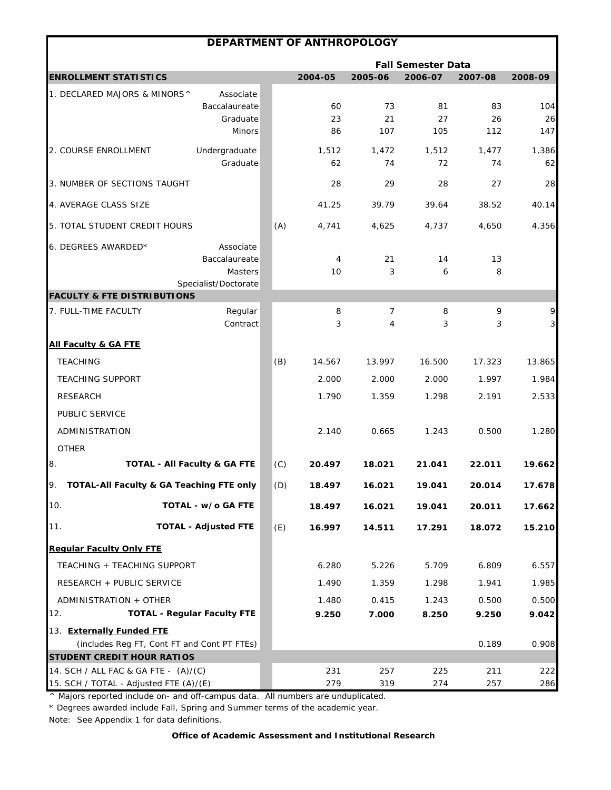|                                                                                  | DEPARTMENT OF ANTHROPOLOGY                                    |     |                |                 |                           |                 |                   |
|----------------------------------------------------------------------------------|---------------------------------------------------------------|-----|----------------|-----------------|---------------------------|-----------------|-------------------|
|                                                                                  |                                                               |     |                |                 | <b>Fall Semester Data</b> |                 |                   |
| <b>ENROLLMENT STATISTICS</b>                                                     |                                                               |     | 2004-05        | 2005-06         | 2006-07                   | 2007-08         | 2008-09           |
| 1. DECLARED MAJORS & MINORS^                                                     | Associate<br>Baccalaureate<br>Graduate<br><b>Minors</b>       |     | 60<br>23<br>86 | 73<br>21<br>107 | 81<br>27<br>105           | 83<br>26<br>112 | 104<br>26<br>147  |
| 2. COURSE ENROLLMENT                                                             | Undergraduate<br>Graduate                                     |     | 1,512<br>62    | 1,472<br>74     | 1,512<br>72               | 1,477<br>74     | 1,386<br>62       |
| 3. NUMBER OF SECTIONS TAUGHT                                                     |                                                               |     | 28             | 29              | 28                        | 27              | 28                |
| 4. AVERAGE CLASS SIZE                                                            |                                                               |     | 41.25          | 39.79           | 39.64                     | 38.52           | 40.14             |
| 5. TOTAL STUDENT CREDIT HOURS                                                    |                                                               | (A) | 4,741          | 4,625           | 4,737                     | 4,650           | 4,356             |
| 6. DEGREES AWARDED*                                                              | Associate<br>Baccalaureate<br>Masters<br>Specialist/Doctorate |     | 4<br>10        | 21<br>3         | 14<br>6                   | 13<br>8         |                   |
| <b>FACULTY &amp; FTE DISTRIBUTIONS</b>                                           |                                                               |     |                |                 |                           |                 |                   |
| 7. FULL-TIME FACULTY                                                             | Regular<br>Contract                                           |     | 8<br>3         | 7<br>4          | 8<br>3                    | 9<br>3          | 9<br>$\mathbf{3}$ |
| <b>All Faculty &amp; GA FTE</b>                                                  |                                                               |     |                |                 |                           |                 |                   |
| <b>TEACHING</b>                                                                  |                                                               | (B) | 14.567         | 13.997          | 16.500                    | 17.323          | 13.865            |
| <b>TEACHING SUPPORT</b>                                                          |                                                               |     | 2.000          | 2.000           | 2.000                     | 1.997           | 1.984             |
| <b>RESEARCH</b>                                                                  |                                                               |     | 1.790          | 1.359           | 1.298                     | 2.191           | 2.533             |
| PUBLIC SERVICE                                                                   |                                                               |     |                |                 |                           |                 |                   |
| ADMINISTRATION                                                                   |                                                               |     | 2.140          | 0.665           | 1.243                     | 0.500           | 1.280             |
| <b>OTHER</b>                                                                     |                                                               |     |                |                 |                           |                 |                   |
| 8.                                                                               | TOTAL - All Faculty & GA FTE                                  | (C) | 20.497         | 18.021          | 21.041                    | 22.011          | 19.662            |
| 9.<br>TOTAL-All Faculty & GA Teaching FTE only                                   |                                                               | (D) | 18.497         | 16.021          | 19.041                    | 20.014          | 17.678            |
| 10.                                                                              | TOTAL - w/o GA FTE                                            |     | 18.497         | 16.021          | 19.041                    | 20.011          | 17.662            |
| 11.                                                                              | <b>TOTAL - Adjusted FTE</b>                                   | (E) | 16.997         | 14.511          | 17.291                    | 18.072          | 15.210            |
| <b>Regular Faculty Only FTE</b>                                                  |                                                               |     |                |                 |                           |                 |                   |
| TEACHING + TEACHING SUPPORT                                                      |                                                               |     | 6.280          | 5.226           | 5.709                     | 6.809           | 6.557             |
| RESEARCH + PUBLIC SERVICE                                                        |                                                               |     | 1.490          | 1.359           | 1.298                     | 1.941           | 1.985             |
| ADMINISTRATION + OTHER                                                           |                                                               |     | 1.480          | 0.415           | 1.243                     | 0.500           | 0.500             |
| 12.                                                                              | <b>TOTAL - Regular Faculty FTE</b>                            |     | 9.250          | 7.000           | 8.250                     | 9.250           | 9.042             |
| 13. Externally Funded FTE                                                        |                                                               |     |                |                 |                           |                 |                   |
| (includes Reg FT, Cont FT and Cont PT FTEs)<br><b>STUDENT CREDIT HOUR RATIOS</b> |                                                               |     |                |                 |                           | 0.189           | 0.908             |
| 14. SCH / ALL FAC & GA FTE - (A)/(C)                                             |                                                               |     | 231            | 257             | 225                       | 211             | 222               |
| 15. SCH / TOTAL - Adjusted FTE (A)/(E)                                           |                                                               |     | 279            | 319             | 274                       | 257             | 286               |

\* Degrees awarded include Fall, Spring and Summer terms of the academic year.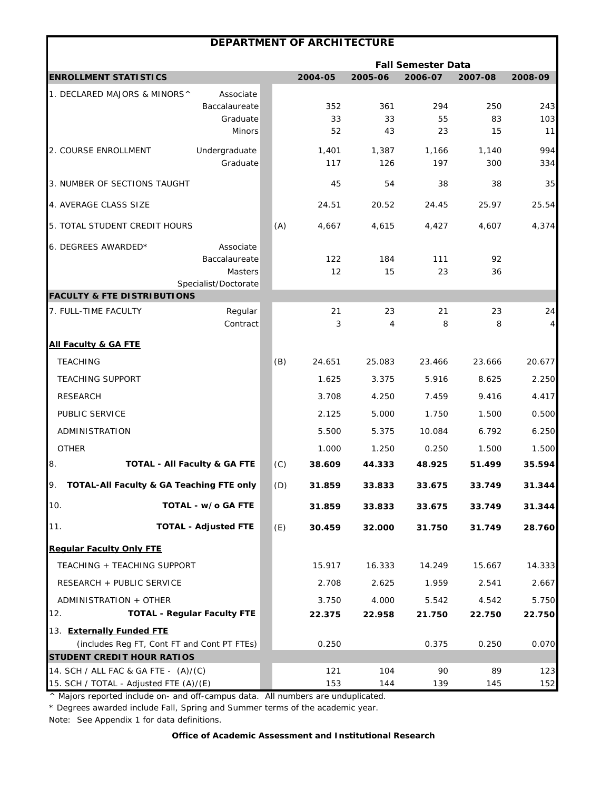|                                                | DEPARTMENT OF ARCHITECTURE                  |     |                           |              |              |              |           |  |  |  |
|------------------------------------------------|---------------------------------------------|-----|---------------------------|--------------|--------------|--------------|-----------|--|--|--|
|                                                |                                             |     | <b>Fall Semester Data</b> |              |              |              |           |  |  |  |
| <b>ENROLLMENT STATISTICS</b>                   |                                             |     | 2004-05                   | 2005-06      | 2006-07      | 2007-08      | 2008-09   |  |  |  |
| 1. DECLARED MAJORS & MINORS^                   | Associate                                   |     |                           |              |              |              |           |  |  |  |
|                                                | Baccalaureate                               |     | 352                       | 361          | 294          | 250          | 243       |  |  |  |
|                                                | Graduate<br><b>Minors</b>                   |     | 33<br>52                  | 33<br>43     | 55<br>23     | 83<br>15     | 103<br>11 |  |  |  |
|                                                |                                             |     |                           |              |              |              | 994       |  |  |  |
| 2. COURSE ENROLLMENT                           | Undergraduate<br>Graduate                   |     | 1,401<br>117              | 1,387<br>126 | 1,166<br>197 | 1,140<br>300 | 334       |  |  |  |
| 3. NUMBER OF SECTIONS TAUGHT                   |                                             |     | 45                        | 54           | 38           | 38           | 35        |  |  |  |
| 4. AVERAGE CLASS SIZE                          |                                             |     | 24.51                     | 20.52        | 24.45        | 25.97        | 25.54     |  |  |  |
| 5. TOTAL STUDENT CREDIT HOURS                  |                                             | (A) | 4,667                     | 4,615        | 4,427        | 4,607        | 4,374     |  |  |  |
| 6. DEGREES AWARDED*                            | Associate                                   |     |                           |              |              |              |           |  |  |  |
|                                                | Baccalaureate                               |     | 122                       | 184          | 111          | 92           |           |  |  |  |
|                                                | Masters                                     |     | 12                        | 15           | 23           | 36           |           |  |  |  |
| <b>FACULTY &amp; FTE DISTRIBUTIONS</b>         | Specialist/Doctorate                        |     |                           |              |              |              |           |  |  |  |
| 7. FULL-TIME FACULTY                           | Regular                                     |     | 21                        | 23           | 21           | 23           | 24        |  |  |  |
|                                                | Contract                                    |     | 3                         | 4            | 8            | 8            | 4         |  |  |  |
| <b>All Faculty &amp; GA FTE</b>                |                                             |     |                           |              |              |              |           |  |  |  |
| <b>TEACHING</b>                                |                                             | (B) | 24.651                    | 25.083       | 23.466       | 23.666       | 20.677    |  |  |  |
| <b>TEACHING SUPPORT</b>                        |                                             |     | 1.625                     | 3.375        | 5.916        | 8.625        | 2.250     |  |  |  |
| <b>RESEARCH</b>                                |                                             |     | 3.708                     | 4.250        | 7.459        | 9.416        | 4.417     |  |  |  |
| PUBLIC SERVICE                                 |                                             |     | 2.125                     | 5.000        | 1.750        | 1.500        | 0.500     |  |  |  |
| ADMINISTRATION                                 |                                             |     | 5.500                     | 5.375        | 10.084       | 6.792        | 6.250     |  |  |  |
| <b>OTHER</b>                                   |                                             |     | 1.000                     | 1.250        | 0.250        | 1.500        | 1.500     |  |  |  |
| 8.                                             | <b>TOTAL - All Faculty &amp; GA FTE</b>     | (C) | 38.609                    | 44.333       | 48.925       | 51.499       | 35.594    |  |  |  |
| 9.<br>TOTAL-All Faculty & GA Teaching FTE only |                                             | (D) | 31.859                    | 33.833       | 33.675       | 33.749       | 31.344    |  |  |  |
| 10.                                            | TOTAL - w/o GA FTE                          |     | 31.859                    | 33.833       | 33.675       | 33.749       | 31.344    |  |  |  |
| 11.                                            | <b>TOTAL - Adjusted FTE</b>                 | (E) | 30.459                    | 32.000       | 31.750       | 31.749       | 28.760    |  |  |  |
| <b>Regular Faculty Only FTE</b>                |                                             |     |                           |              |              |              |           |  |  |  |
| TEACHING + TEACHING SUPPORT                    |                                             |     | 15.917                    | 16.333       | 14.249       | 15.667       | 14.333    |  |  |  |
| RESEARCH + PUBLIC SERVICE                      |                                             |     | 2.708                     | 2.625        | 1.959        | 2.541        | 2.667     |  |  |  |
| ADMINISTRATION + OTHER                         |                                             |     | 3.750                     | 4.000        | 5.542        | 4.542        | 5.750     |  |  |  |
| 12.                                            | <b>TOTAL - Regular Faculty FTE</b>          |     | 22.375                    | 22.958       | 21.750       | 22.750       | 22.750    |  |  |  |
| 13. Externally Funded FTE                      |                                             |     |                           |              |              |              |           |  |  |  |
|                                                | (includes Reg FT, Cont FT and Cont PT FTEs) |     | 0.250                     |              | 0.375        | 0.250        | 0.070     |  |  |  |
| <b>STUDENT CREDIT HOUR RATIOS</b>              |                                             |     |                           |              |              |              |           |  |  |  |
| 14. SCH / ALL FAC & GA FTE - (A)/(C)           |                                             |     | 121                       | 104          | 90           | 89           | 123       |  |  |  |
| 15. SCH / TOTAL - Adjusted FTE (A)/(E)         |                                             |     | 153                       | 144          | 139          | 145          | 152       |  |  |  |

\* Degrees awarded include Fall, Spring and Summer terms of the academic year.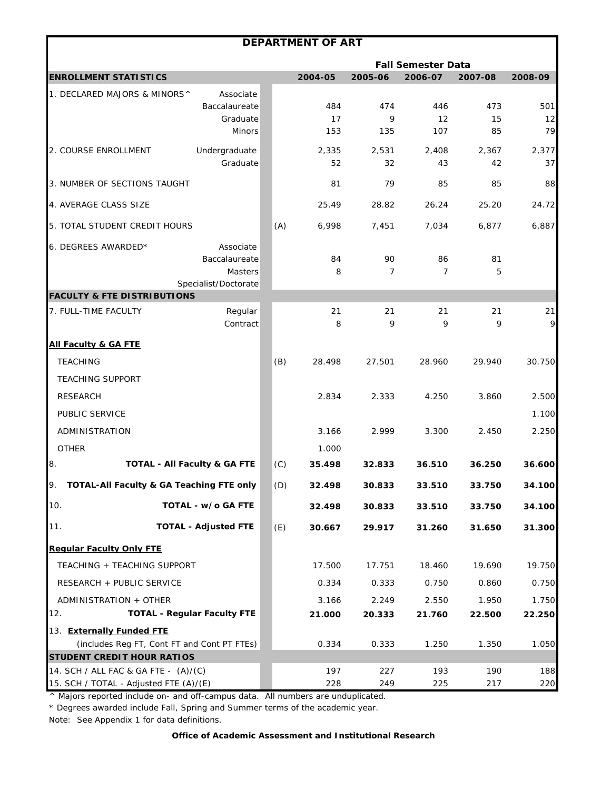|                                                 |                                    |     | <b>DEPARTMENT OF ART</b> |                |                           |             |             |
|-------------------------------------------------|------------------------------------|-----|--------------------------|----------------|---------------------------|-------------|-------------|
|                                                 |                                    |     |                          |                | <b>Fall Semester Data</b> |             |             |
| <b>ENROLLMENT STATISTICS</b>                    |                                    |     | 2004-05                  | 2005-06        | 2006-07                   | 2007-08     | 2008-09     |
| 1. DECLARED MAJORS & MINORS^                    | Associate                          |     |                          |                |                           |             |             |
|                                                 | Baccalaureate                      |     | 484                      | 474            | 446                       | 473         | 501         |
|                                                 | Graduate<br><b>Minors</b>          |     | 17<br>153                | 9<br>135       | 12<br>107                 | 15<br>85    | 12<br>79    |
|                                                 |                                    |     |                          |                |                           |             |             |
| 2. COURSE ENROLLMENT                            | Undergraduate<br>Graduate          |     | 2,335<br>52              | 2,531<br>32    | 2,408<br>43               | 2.367<br>42 | 2,377<br>37 |
| 3. NUMBER OF SECTIONS TAUGHT                    |                                    |     | 81                       | 79             | 85                        | 85          | 88          |
| 4. AVERAGE CLASS SIZE                           |                                    |     | 25.49                    | 28.82          | 26.24                     | 25.20       | 24.72       |
| 5. TOTAL STUDENT CREDIT HOURS                   |                                    | (A) | 6,998                    | 7,451          | 7,034                     | 6,877       | 6,887       |
| 6. DEGREES AWARDED*                             | Associate                          |     |                          |                |                           |             |             |
|                                                 | Baccalaureate                      |     | 84                       | 90             | 86                        | 81          |             |
|                                                 | Masters                            |     | 8                        | $\overline{7}$ | $\overline{7}$            | 5           |             |
| <b>FACULTY &amp; FTE DISTRIBUTIONS</b>          | Specialist/Doctorate               |     |                          |                |                           |             |             |
| 7. FULL-TIME FACULTY                            | Regular                            |     | 21                       | 21             | 21                        | 21          | 21          |
|                                                 | Contract                           |     | 8                        | 9              | 9                         | 9           | 9           |
| <b>All Faculty &amp; GA FTE</b>                 |                                    |     |                          |                |                           |             |             |
| <b>TEACHING</b>                                 |                                    | (B) | 28.498                   | 27.501         | 28.960                    | 29.940      | 30.750      |
| <b>TEACHING SUPPORT</b>                         |                                    |     |                          |                |                           |             |             |
| <b>RESEARCH</b>                                 |                                    |     | 2.834                    | 2.333          | 4.250                     | 3.860       | 2.500       |
| PUBLIC SERVICE                                  |                                    |     |                          |                |                           |             | 1.100       |
| ADMINISTRATION                                  |                                    |     | 3.166                    | 2.999          | 3.300                     | 2.450       | 2.250       |
| <b>OTHER</b>                                    |                                    |     | 1.000                    |                |                           |             |             |
| 8.<br><b>TOTAL - All Faculty &amp; GA FTE</b>   |                                    | (C) | 35.498                   | 32.833         | 36.510                    | 36.250      | 36.600      |
| TOTAL-All Faculty & GA Teaching FTE only<br>IУ. |                                    | (D) | 32.498                   | 30.833         | 33.510                    | 33.750      | 34.100      |
| 10.                                             | TOTAL - w/o GA FTE                 |     | 32.498                   | 30.833         | 33.510                    | 33.750      | 34.100      |
| 11.                                             | <b>TOTAL - Adjusted FTE</b>        | (E) | 30.667                   | 29.917         | 31.260                    | 31.650      | 31.300      |
| <b>Regular Faculty Only FTE</b>                 |                                    |     |                          |                |                           |             |             |
| TEACHING + TEACHING SUPPORT                     |                                    |     | 17.500                   | 17.751         | 18.460                    | 19.690      | 19.750      |
| RESEARCH + PUBLIC SERVICE                       |                                    |     | 0.334                    | 0.333          | 0.750                     | 0.860       | 0.750       |
| ADMINISTRATION + OTHER                          |                                    |     | 3.166                    | 2.249          | 2.550                     | 1.950       | 1.750       |
| 12.                                             | <b>TOTAL - Regular Faculty FTE</b> |     | 21.000                   | 20.333         | 21.760                    | 22.500      | 22.250      |
| 13. Externally Funded FTE                       |                                    |     |                          |                |                           |             |             |
| (includes Reg FT, Cont FT and Cont PT FTEs)     |                                    |     | 0.334                    | 0.333          | 1.250                     | 1.350       | 1.050       |
| <b>STUDENT CREDIT HOUR RATIOS</b>               |                                    |     |                          |                |                           |             |             |
| 14. SCH / ALL FAC & GA FTE - (A)/(C)            |                                    |     | 197                      | 227            | 193                       | 190         | 188         |
| 15. SCH / TOTAL - Adjusted FTE (A)/(E)          |                                    |     | 228                      | 249            | 225                       | 217         | 220         |

\* Degrees awarded include Fall, Spring and Summer terms of the academic year.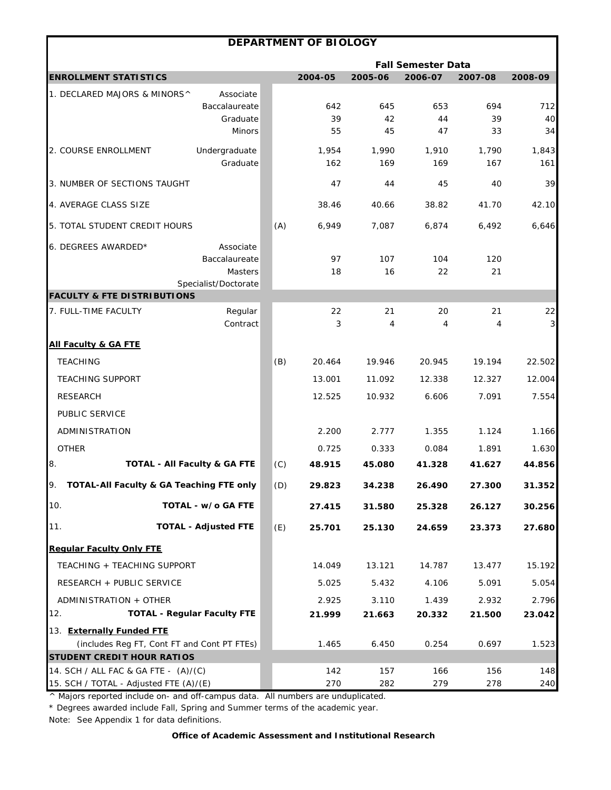|                                             |                                         |     | DEPARTMENT OF BIOLOGY |                |                           |              |              |
|---------------------------------------------|-----------------------------------------|-----|-----------------------|----------------|---------------------------|--------------|--------------|
|                                             |                                         |     |                       |                | <b>Fall Semester Data</b> |              |              |
| <b>ENROLLMENT STATISTICS</b>                |                                         |     | 2004-05               | 2005-06        | 2006-07                   | 2007-08      | 2008-09      |
| 1. DECLARED MAJORS & MINORS^                | Associate                               |     |                       |                |                           |              |              |
|                                             | Baccalaureate                           |     | 642                   | 645            | 653                       | 694          | 712          |
|                                             | Graduate<br><b>Minors</b>               |     | 39<br>55              | 42<br>45       | 44<br>47                  | 39<br>33     | 40<br>34     |
|                                             |                                         |     |                       |                |                           |              |              |
| 2. COURSE ENROLLMENT                        | Undergraduate<br>Graduate               |     | 1,954<br>162          | 1,990<br>169   | 1,910<br>169              | 1,790<br>167 | 1,843<br>161 |
| 3. NUMBER OF SECTIONS TAUGHT                |                                         |     | 47                    | 44             | 45                        | 40           | 39           |
| 4. AVERAGE CLASS SIZE                       |                                         |     | 38.46                 | 40.66          | 38.82                     | 41.70        | 42.10        |
| 5. TOTAL STUDENT CREDIT HOURS               |                                         | (A) | 6,949                 | 7,087          | 6,874                     | 6,492        | 6,646        |
| 6. DEGREES AWARDED*                         | Associate                               |     |                       |                |                           |              |              |
|                                             | Baccalaureate                           |     | 97                    | 107            | 104                       | 120          |              |
|                                             | Masters<br>Specialist/Doctorate         |     | 18                    | 16             | 22                        | 21           |              |
| <b>FACULTY &amp; FTE DISTRIBUTIONS</b>      |                                         |     |                       |                |                           |              |              |
| 7. FULL-TIME FACULTY                        | Regular                                 |     | 22                    | 21             | 20                        | 21           | 22           |
|                                             | Contract                                |     | 3                     | $\overline{4}$ | 4                         | 4            | $\mathbf{3}$ |
| <b>All Faculty &amp; GA FTE</b>             |                                         |     |                       |                |                           |              |              |
| <b>TEACHING</b>                             |                                         | (B) | 20.464                | 19.946         | 20.945                    | 19.194       | 22.502       |
| <b>TEACHING SUPPORT</b>                     |                                         |     | 13.001                | 11.092         | 12.338                    | 12.327       | 12.004       |
| <b>RESEARCH</b>                             |                                         |     | 12.525                | 10.932         | 6.606                     | 7.091        | 7.554        |
| PUBLIC SERVICE                              |                                         |     |                       |                |                           |              |              |
| ADMINISTRATION                              |                                         |     | 2.200                 | 2.777          | 1.355                     | 1.124        | 1.166        |
| <b>OTHER</b>                                |                                         |     | 0.725                 | 0.333          | 0.084                     | 1.891        | 1.630        |
| 8.                                          | <b>TOTAL - All Faculty &amp; GA FTE</b> | (C) | 48.915                | 45.080         | 41.328                    | 41.627       | 44.856       |
| TOTAL-All Faculty & GA Teaching FTE only    |                                         | (D) | 29.823                | 34.238         | 26.490                    | 27.300       | 31.352       |
| 10.                                         | TOTAL - w/o GA FTE                      |     | 27.415                | 31.580         | 25.328                    | 26.127       | 30.256       |
| 11.                                         | <b>TOTAL - Adjusted FTE</b>             | (E) | 25.701                | 25.130         | 24.659                    | 23.373       | 27.680       |
| <b>Requiar Faculty Only FTE</b>             |                                         |     |                       |                |                           |              |              |
| TEACHING + TEACHING SUPPORT                 |                                         |     | 14.049                | 13.121         | 14.787                    | 13.477       | 15.192       |
| RESEARCH + PUBLIC SERVICE                   |                                         |     | 5.025                 | 5.432          | 4.106                     | 5.091        | 5.054        |
| ADMINISTRATION + OTHER                      |                                         |     | 2.925                 | 3.110          | 1.439                     | 2.932        | 2.796        |
| 12.                                         | <b>TOTAL - Regular Faculty FTE</b>      |     | 21.999                | 21.663         | 20.332                    | 21.500       | 23.042       |
| 13. Externally Funded FTE                   |                                         |     |                       |                |                           |              |              |
| (includes Reg FT, Cont FT and Cont PT FTEs) |                                         |     | 1.465                 | 6.450          | 0.254                     | 0.697        | 1.523        |
| <b>STUDENT CREDIT HOUR RATIOS</b>           |                                         |     |                       |                |                           |              |              |
| 14. SCH / ALL FAC & GA FTE - (A)/(C)        |                                         |     | 142                   | 157            | 166                       | 156          | 148          |
| 15. SCH / TOTAL - Adjusted FTE (A)/(E)      |                                         |     | 270                   | 282            | 279                       | 278          | 240          |

\* Degrees awarded include Fall, Spring and Summer terms of the academic year.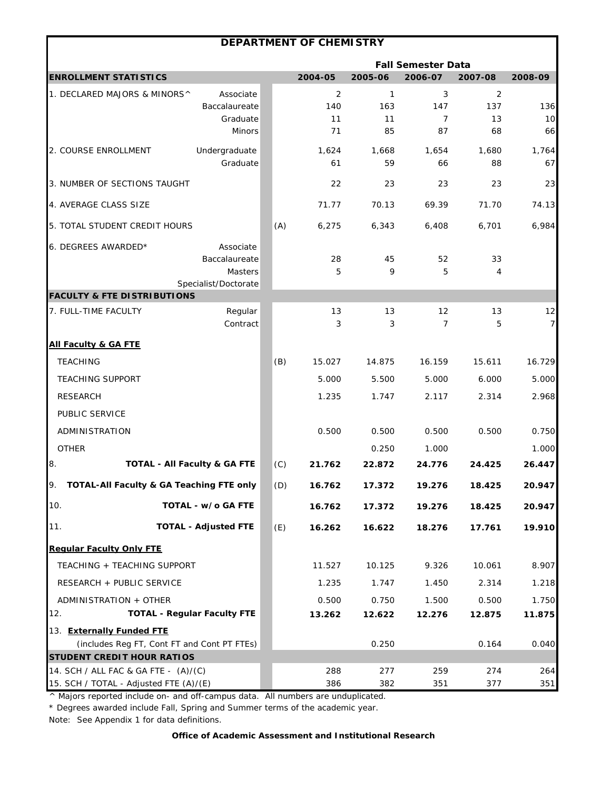| <b>Fall Semester Data</b><br><b>ENROLLMENT STATISTICS</b><br>2004-05<br>2005-06<br>2006-07<br>2007-08<br>2008-09<br>1. DECLARED MAJORS & MINORS^<br>Associate<br>2<br>1<br>3<br>2<br>Baccalaureate<br>140<br>163<br>147<br>137<br>10<br>Graduate<br>7<br>13<br>11<br>11<br>85<br>87<br>68<br><b>Minors</b><br>71<br>Undergraduate<br>1,764<br>2. COURSE ENROLLMENT<br>1,624<br>1,668<br>1,654<br>1,680<br>Graduate<br>59<br>61<br>66<br>88<br>3. NUMBER OF SECTIONS TAUGHT<br>22<br>23<br>23<br>23<br>4. AVERAGE CLASS SIZE<br>71.77<br>70.13<br>69.39<br>71.70<br>5. TOTAL STUDENT CREDIT HOURS<br>(A)<br>6,275<br>6,343<br>6,408<br>6,701<br>6. DEGREES AWARDED*<br>Associate<br>28<br>Baccalaureate<br>45<br>52<br>33<br>Masters<br>5<br>9<br>5<br>4<br>Specialist/Doctorate<br><b>FACULTY &amp; FTE DISTRIBUTIONS</b><br>7. FULL-TIME FACULTY<br>Regular<br>12<br>13<br>13<br>13<br>Contract<br>3<br>3<br>7<br>5<br><b>All Faculty &amp; GA FTE</b><br><b>TEACHING</b><br>15.611<br>(B)<br>15.027<br>14.875<br>16.159<br><b>TEACHING SUPPORT</b><br>5.000<br>5.500<br>5.000<br>6.000<br><b>RESEARCH</b><br>1.235<br>1.747<br>2.117<br>2.314<br>PUBLIC SERVICE<br>ADMINISTRATION<br>0.500<br>0.500<br>0.500<br>0.500<br><b>OTHER</b><br>0.250<br>1.000<br>8.<br><b>TOTAL - All Faculty &amp; GA FTE</b><br>(C)<br>21.762<br>22.872<br>24.776<br>24.425<br>9.<br>TOTAL-All Faculty & GA Teaching FTE only<br>(D)<br>16.762<br>17.372<br>19.276<br>18.425<br>10.<br>TOTAL - w/o GA FTE<br>16.762<br>17.372<br>19.276<br>18.425<br>11.<br><b>TOTAL - Adjusted FTE</b><br>(E)<br>16.262<br>16.622<br>18.276<br>17.761<br><b>Regular Faculty Only FTE</b><br>10.061<br>TEACHING + TEACHING SUPPORT<br>11.527<br>10.125<br>9.326<br>RESEARCH + PUBLIC SERVICE<br>1.235<br>1.747<br>1.450<br>2.314<br>0.750<br>0.500<br>ADMINISTRATION + OTHER<br>0.500<br>1.500<br>12.<br><b>TOTAL - Regular Faculty FTE</b><br>13.262<br>12.622<br>12.276<br>12.875<br>13. Externally Funded FTE<br>(includes Reg FT, Cont FT and Cont PT FTEs)<br>0.250<br>0.164<br><b>STUDENT CREDIT HOUR RATIOS</b> |  | <b>DEPARTMENT OF CHEMISTRY</b> |  |            |
|--------------------------------------------------------------------------------------------------------------------------------------------------------------------------------------------------------------------------------------------------------------------------------------------------------------------------------------------------------------------------------------------------------------------------------------------------------------------------------------------------------------------------------------------------------------------------------------------------------------------------------------------------------------------------------------------------------------------------------------------------------------------------------------------------------------------------------------------------------------------------------------------------------------------------------------------------------------------------------------------------------------------------------------------------------------------------------------------------------------------------------------------------------------------------------------------------------------------------------------------------------------------------------------------------------------------------------------------------------------------------------------------------------------------------------------------------------------------------------------------------------------------------------------------------------------------------------------------------------------------------------------------------------------------------------------------------------------------------------------------------------------------------------------------------------------------------------------------------------------------------------------------------------------------------------------------------------------------------------------------------------------------------------------------------------------------------------------|--|--------------------------------|--|------------|
|                                                                                                                                                                                                                                                                                                                                                                                                                                                                                                                                                                                                                                                                                                                                                                                                                                                                                                                                                                                                                                                                                                                                                                                                                                                                                                                                                                                                                                                                                                                                                                                                                                                                                                                                                                                                                                                                                                                                                                                                                                                                                      |  |                                |  |            |
|                                                                                                                                                                                                                                                                                                                                                                                                                                                                                                                                                                                                                                                                                                                                                                                                                                                                                                                                                                                                                                                                                                                                                                                                                                                                                                                                                                                                                                                                                                                                                                                                                                                                                                                                                                                                                                                                                                                                                                                                                                                                                      |  |                                |  |            |
|                                                                                                                                                                                                                                                                                                                                                                                                                                                                                                                                                                                                                                                                                                                                                                                                                                                                                                                                                                                                                                                                                                                                                                                                                                                                                                                                                                                                                                                                                                                                                                                                                                                                                                                                                                                                                                                                                                                                                                                                                                                                                      |  |                                |  |            |
|                                                                                                                                                                                                                                                                                                                                                                                                                                                                                                                                                                                                                                                                                                                                                                                                                                                                                                                                                                                                                                                                                                                                                                                                                                                                                                                                                                                                                                                                                                                                                                                                                                                                                                                                                                                                                                                                                                                                                                                                                                                                                      |  |                                |  | 136        |
|                                                                                                                                                                                                                                                                                                                                                                                                                                                                                                                                                                                                                                                                                                                                                                                                                                                                                                                                                                                                                                                                                                                                                                                                                                                                                                                                                                                                                                                                                                                                                                                                                                                                                                                                                                                                                                                                                                                                                                                                                                                                                      |  |                                |  | 66         |
|                                                                                                                                                                                                                                                                                                                                                                                                                                                                                                                                                                                                                                                                                                                                                                                                                                                                                                                                                                                                                                                                                                                                                                                                                                                                                                                                                                                                                                                                                                                                                                                                                                                                                                                                                                                                                                                                                                                                                                                                                                                                                      |  |                                |  |            |
|                                                                                                                                                                                                                                                                                                                                                                                                                                                                                                                                                                                                                                                                                                                                                                                                                                                                                                                                                                                                                                                                                                                                                                                                                                                                                                                                                                                                                                                                                                                                                                                                                                                                                                                                                                                                                                                                                                                                                                                                                                                                                      |  |                                |  | 67         |
|                                                                                                                                                                                                                                                                                                                                                                                                                                                                                                                                                                                                                                                                                                                                                                                                                                                                                                                                                                                                                                                                                                                                                                                                                                                                                                                                                                                                                                                                                                                                                                                                                                                                                                                                                                                                                                                                                                                                                                                                                                                                                      |  |                                |  | 23         |
|                                                                                                                                                                                                                                                                                                                                                                                                                                                                                                                                                                                                                                                                                                                                                                                                                                                                                                                                                                                                                                                                                                                                                                                                                                                                                                                                                                                                                                                                                                                                                                                                                                                                                                                                                                                                                                                                                                                                                                                                                                                                                      |  |                                |  | 74.13      |
|                                                                                                                                                                                                                                                                                                                                                                                                                                                                                                                                                                                                                                                                                                                                                                                                                                                                                                                                                                                                                                                                                                                                                                                                                                                                                                                                                                                                                                                                                                                                                                                                                                                                                                                                                                                                                                                                                                                                                                                                                                                                                      |  |                                |  | 6,984      |
|                                                                                                                                                                                                                                                                                                                                                                                                                                                                                                                                                                                                                                                                                                                                                                                                                                                                                                                                                                                                                                                                                                                                                                                                                                                                                                                                                                                                                                                                                                                                                                                                                                                                                                                                                                                                                                                                                                                                                                                                                                                                                      |  |                                |  |            |
|                                                                                                                                                                                                                                                                                                                                                                                                                                                                                                                                                                                                                                                                                                                                                                                                                                                                                                                                                                                                                                                                                                                                                                                                                                                                                                                                                                                                                                                                                                                                                                                                                                                                                                                                                                                                                                                                                                                                                                                                                                                                                      |  |                                |  |            |
|                                                                                                                                                                                                                                                                                                                                                                                                                                                                                                                                                                                                                                                                                                                                                                                                                                                                                                                                                                                                                                                                                                                                                                                                                                                                                                                                                                                                                                                                                                                                                                                                                                                                                                                                                                                                                                                                                                                                                                                                                                                                                      |  |                                |  | 12<br>7    |
|                                                                                                                                                                                                                                                                                                                                                                                                                                                                                                                                                                                                                                                                                                                                                                                                                                                                                                                                                                                                                                                                                                                                                                                                                                                                                                                                                                                                                                                                                                                                                                                                                                                                                                                                                                                                                                                                                                                                                                                                                                                                                      |  |                                |  |            |
|                                                                                                                                                                                                                                                                                                                                                                                                                                                                                                                                                                                                                                                                                                                                                                                                                                                                                                                                                                                                                                                                                                                                                                                                                                                                                                                                                                                                                                                                                                                                                                                                                                                                                                                                                                                                                                                                                                                                                                                                                                                                                      |  |                                |  | 16.729     |
|                                                                                                                                                                                                                                                                                                                                                                                                                                                                                                                                                                                                                                                                                                                                                                                                                                                                                                                                                                                                                                                                                                                                                                                                                                                                                                                                                                                                                                                                                                                                                                                                                                                                                                                                                                                                                                                                                                                                                                                                                                                                                      |  |                                |  | 5.000      |
|                                                                                                                                                                                                                                                                                                                                                                                                                                                                                                                                                                                                                                                                                                                                                                                                                                                                                                                                                                                                                                                                                                                                                                                                                                                                                                                                                                                                                                                                                                                                                                                                                                                                                                                                                                                                                                                                                                                                                                                                                                                                                      |  |                                |  | 2.968      |
|                                                                                                                                                                                                                                                                                                                                                                                                                                                                                                                                                                                                                                                                                                                                                                                                                                                                                                                                                                                                                                                                                                                                                                                                                                                                                                                                                                                                                                                                                                                                                                                                                                                                                                                                                                                                                                                                                                                                                                                                                                                                                      |  |                                |  |            |
|                                                                                                                                                                                                                                                                                                                                                                                                                                                                                                                                                                                                                                                                                                                                                                                                                                                                                                                                                                                                                                                                                                                                                                                                                                                                                                                                                                                                                                                                                                                                                                                                                                                                                                                                                                                                                                                                                                                                                                                                                                                                                      |  |                                |  | 0.750      |
|                                                                                                                                                                                                                                                                                                                                                                                                                                                                                                                                                                                                                                                                                                                                                                                                                                                                                                                                                                                                                                                                                                                                                                                                                                                                                                                                                                                                                                                                                                                                                                                                                                                                                                                                                                                                                                                                                                                                                                                                                                                                                      |  |                                |  | 1.000      |
|                                                                                                                                                                                                                                                                                                                                                                                                                                                                                                                                                                                                                                                                                                                                                                                                                                                                                                                                                                                                                                                                                                                                                                                                                                                                                                                                                                                                                                                                                                                                                                                                                                                                                                                                                                                                                                                                                                                                                                                                                                                                                      |  |                                |  | 26.447     |
|                                                                                                                                                                                                                                                                                                                                                                                                                                                                                                                                                                                                                                                                                                                                                                                                                                                                                                                                                                                                                                                                                                                                                                                                                                                                                                                                                                                                                                                                                                                                                                                                                                                                                                                                                                                                                                                                                                                                                                                                                                                                                      |  |                                |  | 20.947     |
|                                                                                                                                                                                                                                                                                                                                                                                                                                                                                                                                                                                                                                                                                                                                                                                                                                                                                                                                                                                                                                                                                                                                                                                                                                                                                                                                                                                                                                                                                                                                                                                                                                                                                                                                                                                                                                                                                                                                                                                                                                                                                      |  |                                |  | 20.947     |
|                                                                                                                                                                                                                                                                                                                                                                                                                                                                                                                                                                                                                                                                                                                                                                                                                                                                                                                                                                                                                                                                                                                                                                                                                                                                                                                                                                                                                                                                                                                                                                                                                                                                                                                                                                                                                                                                                                                                                                                                                                                                                      |  |                                |  | 19.910     |
|                                                                                                                                                                                                                                                                                                                                                                                                                                                                                                                                                                                                                                                                                                                                                                                                                                                                                                                                                                                                                                                                                                                                                                                                                                                                                                                                                                                                                                                                                                                                                                                                                                                                                                                                                                                                                                                                                                                                                                                                                                                                                      |  |                                |  |            |
|                                                                                                                                                                                                                                                                                                                                                                                                                                                                                                                                                                                                                                                                                                                                                                                                                                                                                                                                                                                                                                                                                                                                                                                                                                                                                                                                                                                                                                                                                                                                                                                                                                                                                                                                                                                                                                                                                                                                                                                                                                                                                      |  |                                |  | 8.907      |
|                                                                                                                                                                                                                                                                                                                                                                                                                                                                                                                                                                                                                                                                                                                                                                                                                                                                                                                                                                                                                                                                                                                                                                                                                                                                                                                                                                                                                                                                                                                                                                                                                                                                                                                                                                                                                                                                                                                                                                                                                                                                                      |  |                                |  | 1.218      |
|                                                                                                                                                                                                                                                                                                                                                                                                                                                                                                                                                                                                                                                                                                                                                                                                                                                                                                                                                                                                                                                                                                                                                                                                                                                                                                                                                                                                                                                                                                                                                                                                                                                                                                                                                                                                                                                                                                                                                                                                                                                                                      |  |                                |  | 1.750      |
|                                                                                                                                                                                                                                                                                                                                                                                                                                                                                                                                                                                                                                                                                                                                                                                                                                                                                                                                                                                                                                                                                                                                                                                                                                                                                                                                                                                                                                                                                                                                                                                                                                                                                                                                                                                                                                                                                                                                                                                                                                                                                      |  |                                |  | 11.875     |
|                                                                                                                                                                                                                                                                                                                                                                                                                                                                                                                                                                                                                                                                                                                                                                                                                                                                                                                                                                                                                                                                                                                                                                                                                                                                                                                                                                                                                                                                                                                                                                                                                                                                                                                                                                                                                                                                                                                                                                                                                                                                                      |  |                                |  |            |
|                                                                                                                                                                                                                                                                                                                                                                                                                                                                                                                                                                                                                                                                                                                                                                                                                                                                                                                                                                                                                                                                                                                                                                                                                                                                                                                                                                                                                                                                                                                                                                                                                                                                                                                                                                                                                                                                                                                                                                                                                                                                                      |  |                                |  | 0.040      |
|                                                                                                                                                                                                                                                                                                                                                                                                                                                                                                                                                                                                                                                                                                                                                                                                                                                                                                                                                                                                                                                                                                                                                                                                                                                                                                                                                                                                                                                                                                                                                                                                                                                                                                                                                                                                                                                                                                                                                                                                                                                                                      |  |                                |  |            |
| 14. SCH / ALL FAC & GA FTE - (A)/(C)<br>288<br>277<br>259<br>274<br>15. SCH / TOTAL - Adjusted FTE (A)/(E)<br>386<br>382<br>351<br>377                                                                                                                                                                                                                                                                                                                                                                                                                                                                                                                                                                                                                                                                                                                                                                                                                                                                                                                                                                                                                                                                                                                                                                                                                                                                                                                                                                                                                                                                                                                                                                                                                                                                                                                                                                                                                                                                                                                                               |  |                                |  | 264<br>351 |

\* Degrees awarded include Fall, Spring and Summer terms of the academic year.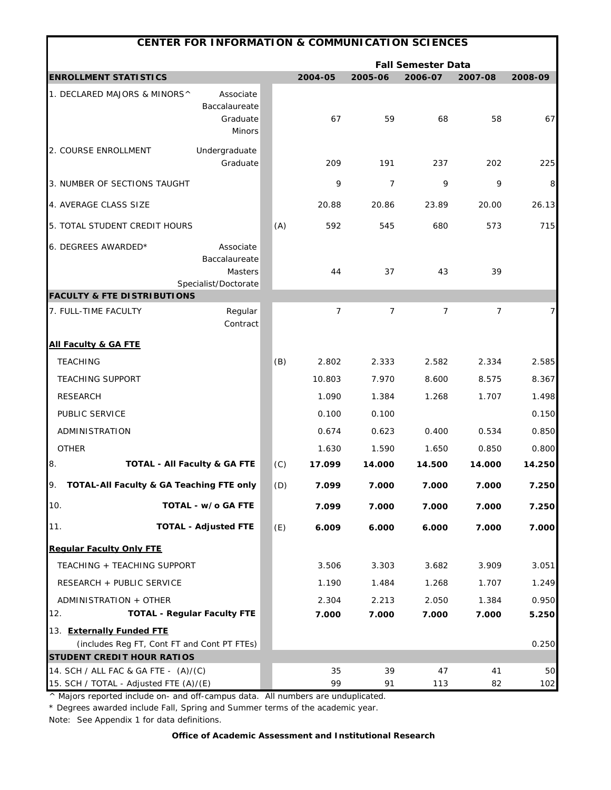|                                                                                | <b>CENTER FOR INFORMATION &amp; COMMUNICATION SCIENCES</b> |     |          |                |                           |                |           |
|--------------------------------------------------------------------------------|------------------------------------------------------------|-----|----------|----------------|---------------------------|----------------|-----------|
|                                                                                |                                                            |     |          |                | <b>Fall Semester Data</b> |                |           |
| <b>ENROLLMENT STATISTICS</b>                                                   |                                                            |     | 2004-05  | 2005-06        | 2006-07                   | 2007-08        | 2008-09   |
| 1. DECLARED MAJORS & MINORS^                                                   | Associate<br>Baccalaureate<br>Graduate<br><b>Minors</b>    |     | 67       | 59             | 68                        | 58             | 67        |
| 2. COURSE ENROLLMENT                                                           | Undergraduate<br>Graduate                                  |     | 209      | 191            | 237                       | 202            | 225       |
| 3. NUMBER OF SECTIONS TAUGHT                                                   |                                                            |     | 9        | $\overline{7}$ | 9                         | 9              | 8         |
| 4. AVERAGE CLASS SIZE                                                          |                                                            |     | 20.88    | 20.86          | 23.89                     | 20.00          | 26.13     |
| 5. TOTAL STUDENT CREDIT HOURS                                                  |                                                            | (A) | 592      | 545            | 680                       | 573            | 715       |
| 6. DEGREES AWARDED*                                                            | Associate<br>Baccalaureate<br>Masters                      |     | 44       | 37             | 43                        | 39             |           |
| <b>FACULTY &amp; FTE DISTRIBUTIONS</b>                                         | Specialist/Doctorate                                       |     |          |                |                           |                |           |
| 7. FULL-TIME FACULTY                                                           | Regular<br>Contract                                        |     | 7        | $\overline{7}$ | 7                         | $\overline{7}$ | 7         |
| <b>All Faculty &amp; GA FTE</b>                                                |                                                            |     |          |                |                           |                |           |
| <b>TEACHING</b>                                                                |                                                            | (B) | 2.802    | 2.333          | 2.582                     | 2.334          | 2.585     |
| <b>TEACHING SUPPORT</b>                                                        |                                                            |     | 10.803   | 7.970          | 8.600                     | 8.575          | 8.367     |
| <b>RESEARCH</b>                                                                |                                                            |     | 1.090    | 1.384          | 1.268                     | 1.707          | 1.498     |
| PUBLIC SERVICE                                                                 |                                                            |     | 0.100    | 0.100          |                           |                | 0.150     |
| ADMINISTRATION                                                                 |                                                            |     | 0.674    | 0.623          | 0.400                     | 0.534          | 0.850     |
| <b>OTHER</b>                                                                   |                                                            |     | 1.630    | 1.590          | 1.650                     | 0.850          | 0.800     |
| 8.<br><b>TOTAL - All Faculty &amp; GA FTE</b>                                  |                                                            | (C) | 17.099   | 14.000         | 14.500                    | 14.000         | 14.250    |
| TOTAL-All Faculty & GA Teaching FTE only                                       |                                                            | (D) | 7.099    | 7.000          | 7.000                     | 7.000          | 7.250     |
| 10.                                                                            | TOTAL - w/o GA FTE                                         |     | 7.099    | 7.000          | 7.000                     | 7.000          | 7.250     |
| 11.                                                                            | <b>TOTAL - Adjusted FTE</b>                                | (E) | 6.009    | 6.000          | 6.000                     | 7.000          | 7.000     |
| <b>Regular Faculty Only FTE</b>                                                |                                                            |     |          |                |                           |                |           |
| TEACHING + TEACHING SUPPORT                                                    |                                                            |     | 3.506    | 3.303          | 3.682                     | 3.909          | 3.051     |
| RESEARCH + PUBLIC SERVICE                                                      |                                                            |     | 1.190    | 1.484          | 1.268                     | 1.707          | 1.249     |
| ADMINISTRATION + OTHER                                                         |                                                            |     | 2.304    | 2.213          | 2.050                     | 1.384          | 0.950     |
| <b>TOTAL - Regular Faculty FTE</b><br>12.                                      |                                                            |     | 7.000    | 7.000          | 7.000                     | 7.000          | 5.250     |
| 13. Externally Funded FTE                                                      |                                                            |     |          |                |                           |                |           |
| (includes Reg FT, Cont FT and Cont PT FTEs)                                    |                                                            |     |          |                |                           |                | 0.250     |
| <b>STUDENT CREDIT HOUR RATIOS</b>                                              |                                                            |     |          |                |                           |                |           |
| 14. SCH / ALL FAC & GA FTE - (A)/(C)<br>15. SCH / TOTAL - Adjusted FTE (A)/(E) |                                                            |     | 35<br>99 | 39<br>91       | 47<br>113                 | 41<br>82       | 50<br>102 |

\* Degrees awarded include Fall, Spring and Summer terms of the academic year.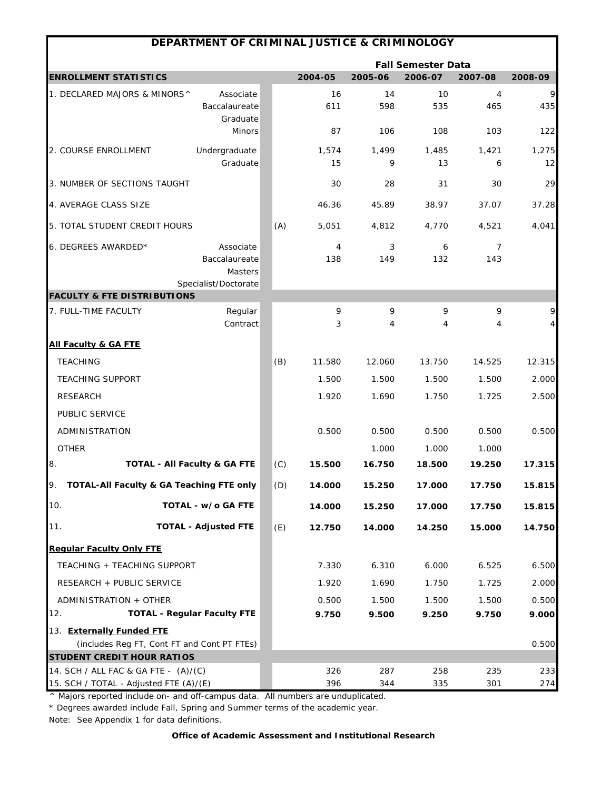|                                                                           | DEPARTMENT OF CRIMINAL JUSTICE & CRIMINOLOGY                  |     |             |            |                           |                       |                              |
|---------------------------------------------------------------------------|---------------------------------------------------------------|-----|-------------|------------|---------------------------|-----------------------|------------------------------|
|                                                                           |                                                               |     |             |            | <b>Fall Semester Data</b> |                       |                              |
| <b>ENROLLMENT STATISTICS</b>                                              |                                                               |     | 2004-05     | 2005-06    | 2006-07                   | 2007-08               | 2008-09                      |
| 1. DECLARED MAJORS & MINORS^                                              | Associate<br>Baccalaureate<br>Graduate                        |     | 16<br>611   | 14<br>598  | 10<br>535                 | 4<br>465              | 9<br>435                     |
|                                                                           | Minors                                                        |     | 87          | 106        | 108                       | 103                   | 122                          |
| 2. COURSE ENROLLMENT                                                      | Undergraduate<br>Graduate                                     |     | 1,574<br>15 | 1,499<br>9 | 1,485<br>13               | 1,421<br>6            | 1,275<br>12                  |
| 3. NUMBER OF SECTIONS TAUGHT                                              |                                                               |     | 30          | 28         | 31                        | 30                    | 29                           |
| 4. AVERAGE CLASS SIZE                                                     |                                                               |     | 46.36       | 45.89      | 38.97                     | 37.07                 | 37.28                        |
| 5. TOTAL STUDENT CREDIT HOURS                                             |                                                               | (A) | 5,051       | 4,812      | 4,770                     | 4,521                 | 4,041                        |
| 6. DEGREES AWARDED*                                                       | Associate<br>Baccalaureate<br>Masters<br>Specialist/Doctorate |     | 4<br>138    | 3<br>149   | 6<br>132                  | $\overline{7}$<br>143 |                              |
| <b>FACULTY &amp; FTE DISTRIBUTIONS</b>                                    |                                                               |     |             |            |                           |                       |                              |
| 7. FULL-TIME FACULTY                                                      | Regular<br>Contract                                           |     | 9<br>3      | 9<br>4     | 9<br>4                    | 9<br>4                | 9<br>$\overline{\mathbf{r}}$ |
| <b>All Faculty &amp; GA FTE</b>                                           |                                                               |     |             |            |                           |                       |                              |
| <b>TEACHING</b>                                                           |                                                               | (B) | 11.580      | 12.060     | 13.750                    | 14.525                | 12.315                       |
| <b>TEACHING SUPPORT</b>                                                   |                                                               |     | 1.500       | 1.500      | 1.500                     | 1.500                 | 2.000                        |
| <b>RESEARCH</b>                                                           |                                                               |     | 1.920       | 1.690      | 1.750                     | 1.725                 | 2.500                        |
| PUBLIC SERVICE                                                            |                                                               |     |             |            |                           |                       |                              |
| ADMINISTRATION                                                            |                                                               |     | 0.500       | 0.500      | 0.500                     | 0.500                 | 0.500                        |
| <b>OTHER</b>                                                              |                                                               |     |             | 1.000      | 1.000                     | 1.000                 |                              |
| 8.<br><b>TOTAL - All Faculty &amp; GA FTE</b>                             |                                                               | (C) | 15.500      | 16.750     | 18.500                    | 19.250                | 17.315                       |
| TOTAL-All Faculty & GA Teaching FTE only<br>IУ.                           |                                                               | (D) | 14.000      | 15.250     | 17.000                    | 17.750                | 15.815                       |
| 10.                                                                       | TOTAL - w/o GA FTE                                            |     | 14.000      | 15.250     | 17.000                    | 17.750                | 15.815                       |
| 11.                                                                       | <b>TOTAL - Adjusted FTE</b>                                   | (E) | 12.750      | 14.000     | 14.250                    | 15.000                | 14.750                       |
| <b>Regular Faculty Only FTE</b>                                           |                                                               |     |             |            |                           |                       |                              |
| TEACHING + TEACHING SUPPORT                                               |                                                               |     | 7.330       | 6.310      | 6.000                     | 6.525                 | 6.500                        |
| RESEARCH + PUBLIC SERVICE                                                 |                                                               |     | 1.920       | 1.690      | 1.750                     | 1.725                 | 2.000                        |
| ADMINISTRATION + OTHER                                                    |                                                               |     | 0.500       | 1.500      | 1.500                     | 1.500                 | 0.500                        |
| 12.                                                                       | <b>TOTAL - Regular Faculty FTE</b>                            |     | 9.750       | 9.500      | 9.250                     | 9.750                 | 9.000                        |
| 13. Externally Funded FTE                                                 |                                                               |     |             |            |                           |                       |                              |
| (includes Reg FT, Cont FT and Cont PT FTEs)                               |                                                               |     |             |            |                           |                       | 0.500                        |
| <b>STUDENT CREDIT HOUR RATIOS</b><br>14. SCH / ALL FAC & GA FTE - (A)/(C) |                                                               |     | 326         | 287        | 258                       | 235                   | 233                          |
| 15. SCH / TOTAL - Adjusted FTE (A)/(E)                                    |                                                               |     | 396         | 344        | 335                       | 301                   | 274                          |

\* Degrees awarded include Fall, Spring and Summer terms of the academic year.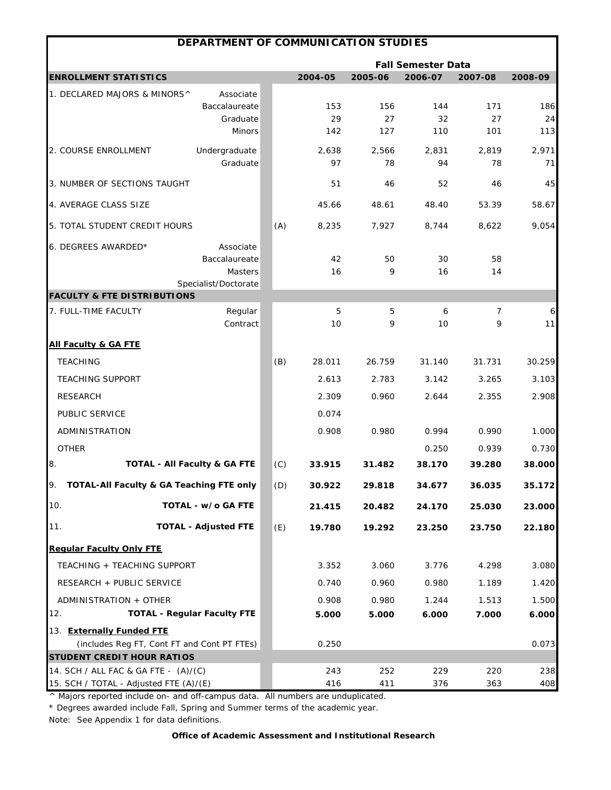|                                                | DEPARTMENT OF COMMUNICATION STUDIES         |     |         |         |                           |         |         |
|------------------------------------------------|---------------------------------------------|-----|---------|---------|---------------------------|---------|---------|
|                                                |                                             |     |         |         | <b>Fall Semester Data</b> |         |         |
| <b>ENROLLMENT STATISTICS</b>                   |                                             |     | 2004-05 | 2005-06 | 2006-07                   | 2007-08 | 2008-09 |
| 1. DECLARED MAJORS & MINORS^                   | Associate                                   |     |         |         |                           |         |         |
|                                                | Baccalaureate                               |     | 153     | 156     | 144                       | 171     | 186     |
|                                                | Graduate                                    |     | 29      | 27      | 32                        | 27      | 24      |
|                                                | <b>Minors</b>                               |     | 142     | 127     | 110                       | 101     | 113     |
| 2. COURSE ENROLLMENT                           | Undergraduate                               |     | 2,638   | 2,566   | 2,831                     | 2.819   | 2,971   |
|                                                | Graduate                                    |     | 97      | 78      | 94                        | 78      | 71      |
| 3. NUMBER OF SECTIONS TAUGHT                   |                                             |     | 51      | 46      | 52                        | 46      | 45      |
| 4. AVERAGE CLASS SIZE                          |                                             |     | 45.66   | 48.61   | 48.40                     | 53.39   | 58.67   |
| 5. TOTAL STUDENT CREDIT HOURS                  |                                             | (A) | 8,235   | 7,927   | 8,744                     | 8,622   | 9,054   |
| 6. DEGREES AWARDED*                            | Associate                                   |     |         |         |                           |         |         |
|                                                | Baccalaureate                               |     | 42      | 50      | 30                        | 58      |         |
|                                                | Masters                                     |     | 16      | 9       | 16                        | 14      |         |
| <b>FACULTY &amp; FTE DISTRIBUTIONS</b>         | Specialist/Doctorate                        |     |         |         |                           |         |         |
| 7. FULL-TIME FACULTY                           | Regular                                     |     | 5       | 5       | 6                         | 7       | 6       |
|                                                | Contract                                    |     | 10      | 9       | 10                        | 9       | 11      |
| <b>All Faculty &amp; GA FTE</b>                |                                             |     |         |         |                           |         |         |
| <b>TEACHING</b>                                |                                             | (B) | 28.011  | 26.759  | 31.140                    | 31.731  | 30.259  |
| <b>TEACHING SUPPORT</b>                        |                                             |     | 2.613   | 2.783   | 3.142                     | 3.265   | 3.103   |
| <b>RESEARCH</b>                                |                                             |     | 2.309   | 0.960   | 2.644                     | 2.355   | 2.908   |
| PUBLIC SERVICE                                 |                                             |     | 0.074   |         |                           |         |         |
| ADMINISTRATION                                 |                                             |     | 0.908   | 0.980   | 0.994                     | 0.990   | 1.000   |
| <b>OTHER</b>                                   |                                             |     |         |         | 0.250                     | 0.939   | 0.730   |
| 8.                                             | <b>TOTAL - All Faculty &amp; GA FTE</b>     | (C) | 33.915  | 31.482  | 38.170                    | 39.280  | 38.000  |
| TOTAL-All Faculty & GA Teaching FTE only<br>9. |                                             | (D) | 30.922  | 29.818  | 34.677                    | 36.035  | 35.172  |
| 10.                                            | TOTAL - w/o GA FTE                          |     | 21.415  | 20.482  | 24.170                    | 25.030  | 23.000  |
| 11.                                            | <b>TOTAL - Adjusted FTE</b>                 | (E) | 19.780  | 19.292  | 23.250                    | 23.750  | 22.180  |
| <b>Regular Faculty Only FTE</b>                |                                             |     |         |         |                           |         |         |
| TEACHING + TEACHING SUPPORT                    |                                             |     | 3.352   | 3.060   | 3.776                     | 4.298   | 3.080   |
| RESEARCH + PUBLIC SERVICE                      |                                             |     | 0.740   | 0.960   | 0.980                     | 1.189   | 1.420   |
| ADMINISTRATION + OTHER                         |                                             |     | 0.908   | 0.980   | 1.244                     | 1.513   | 1.500   |
| 12.                                            | <b>TOTAL - Regular Faculty FTE</b>          |     | 5.000   | 5.000   | 6.000                     | 7.000   | 6.000   |
| 13. Externally Funded FTE                      |                                             |     |         |         |                           |         |         |
|                                                | (includes Reg FT, Cont FT and Cont PT FTEs) |     | 0.250   |         |                           |         | 0.073   |
| <b>STUDENT CREDIT HOUR RATIOS</b>              |                                             |     |         |         |                           |         |         |
| 14. SCH / ALL FAC & GA FTE - (A)/(C)           |                                             |     | 243     | 252     | 229                       | 220     | 238     |
| 15. SCH / TOTAL - Adjusted FTE (A)/(E)         |                                             |     | 416     | 411     | 376                       | 363     | 408     |

\* Degrees awarded include Fall, Spring and Summer terms of the academic year.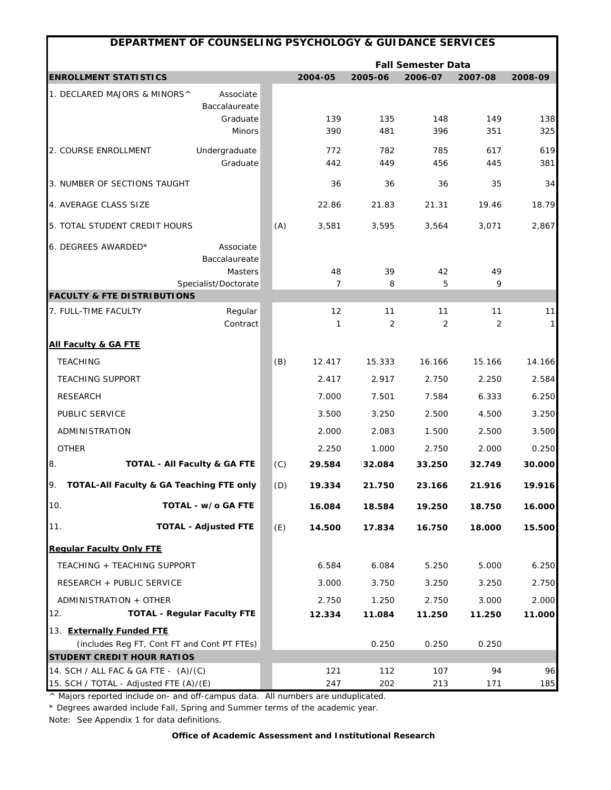|                                                                                | DEPARTMENT OF COUNSELING PSYCHOLOGY & GUIDANCE SERVICES |     |                                                                       |            |            |           |              |  |  |  |  |
|--------------------------------------------------------------------------------|---------------------------------------------------------|-----|-----------------------------------------------------------------------|------------|------------|-----------|--------------|--|--|--|--|
|                                                                                |                                                         |     | <b>Fall Semester Data</b><br>2004-05<br>2005-06<br>2006-07<br>2007-08 |            |            |           |              |  |  |  |  |
| <b>ENROLLMENT STATISTICS</b>                                                   |                                                         |     |                                                                       |            |            |           | 2008-09      |  |  |  |  |
| 1. DECLARED MAJORS & MINORS^                                                   | Associate                                               |     |                                                                       |            |            |           |              |  |  |  |  |
|                                                                                | Baccalaureate<br>Graduate                               |     | 139                                                                   | 135        | 148        | 149       | 138          |  |  |  |  |
|                                                                                | Minors                                                  |     | 390                                                                   | 481        | 396        | 351       | 325          |  |  |  |  |
| 2. COURSE ENROLLMENT                                                           | Undergraduate                                           |     | 772                                                                   | 782        | 785        | 617       | 619          |  |  |  |  |
|                                                                                | Graduate                                                |     | 442                                                                   | 449        | 456        | 445       | 381          |  |  |  |  |
| 3. NUMBER OF SECTIONS TAUGHT                                                   |                                                         |     | 36                                                                    | 36         | 36         | 35        | 34           |  |  |  |  |
| 4. AVERAGE CLASS SIZE                                                          |                                                         |     | 22.86                                                                 | 21.83      | 21.31      | 19.46     | 18.79        |  |  |  |  |
| 5. TOTAL STUDENT CREDIT HOURS                                                  |                                                         | (A) | 3,581                                                                 | 3,595      | 3,564      | 3,071     | 2,867        |  |  |  |  |
| 6. DEGREES AWARDED*                                                            | Associate                                               |     |                                                                       |            |            |           |              |  |  |  |  |
|                                                                                | Baccalaureate                                           |     |                                                                       |            |            |           |              |  |  |  |  |
|                                                                                | Masters                                                 |     | 48                                                                    | 39         | 42         | 49        |              |  |  |  |  |
| <b>FACULTY &amp; FTE DISTRIBUTIONS</b>                                         | Specialist/Doctorate                                    |     | 7                                                                     | 8          | 5          | 9         |              |  |  |  |  |
| 7. FULL-TIME FACULTY                                                           | Regular                                                 |     | 12                                                                    | 11         | 11         | 11        | 11           |  |  |  |  |
|                                                                                | Contract                                                |     | 1                                                                     | 2          | 2          | 2         | $\mathbf{1}$ |  |  |  |  |
| <b>All Faculty &amp; GA FTE</b>                                                |                                                         |     |                                                                       |            |            |           |              |  |  |  |  |
| <b>TEACHING</b>                                                                |                                                         | (B) | 12.417                                                                | 15.333     | 16.166     | 15.166    | 14.166       |  |  |  |  |
| <b>TEACHING SUPPORT</b>                                                        |                                                         |     | 2.417                                                                 | 2.917      | 2.750      | 2.250     | 2.584        |  |  |  |  |
| <b>RESEARCH</b>                                                                |                                                         |     | 7.000                                                                 | 7.501      | 7.584      | 6.333     | 6.250        |  |  |  |  |
| PUBLIC SERVICE                                                                 |                                                         |     | 3.500                                                                 | 3.250      | 2.500      | 4.500     | 3.250        |  |  |  |  |
| ADMINISTRATION                                                                 |                                                         |     | 2.000                                                                 | 2.083      | 1.500      | 2.500     | 3.500        |  |  |  |  |
| <b>OTHER</b>                                                                   |                                                         |     | 2.250                                                                 | 1.000      | 2.750      | 2.000     | 0.250        |  |  |  |  |
| 8.                                                                             | <b>TOTAL - All Faculty &amp; GA FTE</b>                 | (C) | 29.584                                                                | 32.084     | 33.250     | 32.749    | 30.000       |  |  |  |  |
| 9.                                                                             | TOTAL-All Faculty & GA Teaching FTE only                | (D) | 19.334                                                                | 21.750     | 23.166     | 21.916    | 19.916       |  |  |  |  |
| 10.                                                                            | TOTAL - w/o GA FTE                                      |     | 16.084                                                                | 18.584     | 19.250     | 18.750    | 16.000       |  |  |  |  |
| 11.                                                                            | <b>TOTAL - Adjusted FTE</b>                             | (E) | 14.500                                                                | 17.834     | 16.750     | 18.000    | 15.500       |  |  |  |  |
| <b>Regular Faculty Only FTE</b>                                                |                                                         |     |                                                                       |            |            |           |              |  |  |  |  |
| TEACHING + TEACHING SUPPORT                                                    |                                                         |     | 6.584                                                                 | 6.084      | 5.250      | 5.000     | 6.250        |  |  |  |  |
| RESEARCH + PUBLIC SERVICE                                                      |                                                         |     | 3.000                                                                 | 3.750      | 3.250      | 3.250     | 2.750        |  |  |  |  |
| ADMINISTRATION + OTHER                                                         |                                                         |     | 2.750                                                                 | 1.250      | 2.750      | 3.000     | 2.000        |  |  |  |  |
| 12.                                                                            | <b>TOTAL - Regular Faculty FTE</b>                      |     | 12.334                                                                | 11.084     | 11.250     | 11.250    | 11.000       |  |  |  |  |
| 13. Externally Funded FTE                                                      |                                                         |     |                                                                       |            |            |           |              |  |  |  |  |
|                                                                                | (includes Reg FT, Cont FT and Cont PT FTEs)             |     |                                                                       | 0.250      | 0.250      | 0.250     |              |  |  |  |  |
| <b>STUDENT CREDIT HOUR RATIOS</b>                                              |                                                         |     |                                                                       |            |            |           |              |  |  |  |  |
| 14. SCH / ALL FAC & GA FTE - (A)/(C)<br>15. SCH / TOTAL - Adjusted FTE (A)/(E) |                                                         |     | 121<br>247                                                            | 112<br>202 | 107<br>213 | 94<br>171 | 96<br>185    |  |  |  |  |
|                                                                                |                                                         |     |                                                                       |            |            |           |              |  |  |  |  |

\* Degrees awarded include Fall, Spring and Summer terms of the academic year.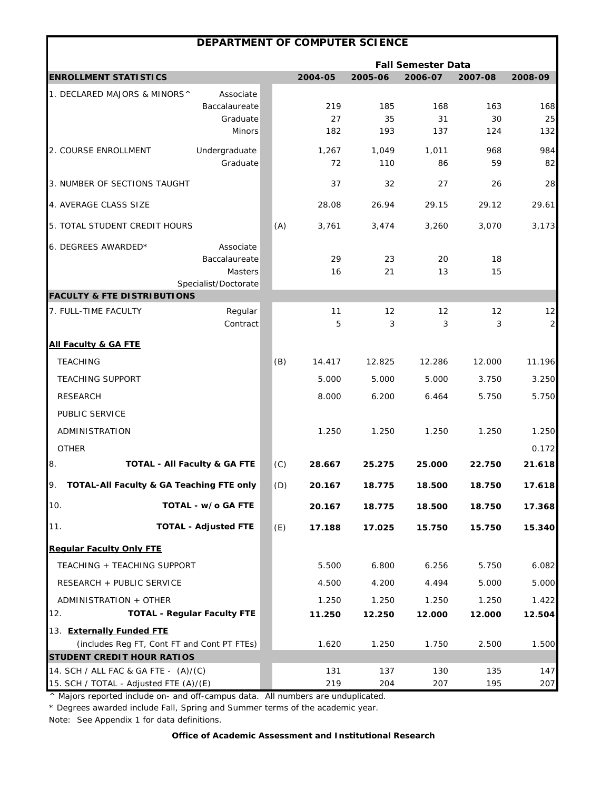|                                                                          | DEPARTMENT OF COMPUTER SCIENCE |     |                 |                 |                           |                 |                         |
|--------------------------------------------------------------------------|--------------------------------|-----|-----------------|-----------------|---------------------------|-----------------|-------------------------|
|                                                                          |                                |     |                 |                 | <b>Fall Semester Data</b> |                 |                         |
| <b>ENROLLMENT STATISTICS</b>                                             |                                |     | 2004-05         | 2005-06         | 2006-07                   | 2007-08         | 2008-09                 |
| 1. DECLARED MAJORS & MINORS^                                             | Associate                      |     |                 |                 |                           |                 |                         |
|                                                                          | Baccalaureate                  |     | 219             | 185             | 168                       | 163             | 168                     |
|                                                                          | Graduate                       |     | 27              | 35              | 31                        | 30              | 25                      |
|                                                                          | <b>Minors</b>                  |     | 182             | 193             | 137                       | 124             | 132                     |
| 2. COURSE ENROLLMENT                                                     | Undergraduate                  |     | 1,267           | 1,049           | 1,011                     | 968             | 984                     |
|                                                                          | Graduate                       |     | 72              | 110             | 86                        | 59              | 82                      |
| 3. NUMBER OF SECTIONS TAUGHT                                             |                                |     | 37              | 32              | 27                        | 26              | 28                      |
| 4. AVERAGE CLASS SIZE                                                    |                                |     | 28.08           | 26.94           | 29.15                     | 29.12           | 29.61                   |
| 5. TOTAL STUDENT CREDIT HOURS                                            |                                | (A) | 3,761           | 3,474           | 3,260                     | 3,070           | 3,173                   |
| 6. DEGREES AWARDED*                                                      | Associate                      |     |                 |                 |                           |                 |                         |
|                                                                          | Baccalaureate                  |     | 29              | 23              | 20                        | 18              |                         |
|                                                                          | <b>Masters</b>                 |     | 16              | 21              | 13                        | 15              |                         |
| <b>FACULTY &amp; FTE DISTRIBUTIONS</b>                                   | Specialist/Doctorate           |     |                 |                 |                           |                 |                         |
| 7. FULL-TIME FACULTY                                                     | Regular                        |     | 11              | 12              | 12                        | 12              | 12                      |
|                                                                          | Contract                       |     | 5               | 3               | 3                         | 3               | $\overline{\mathbf{c}}$ |
| <b>All Faculty &amp; GA FTE</b>                                          |                                |     |                 |                 |                           |                 |                         |
| <b>TEACHING</b>                                                          |                                | (B) | 14.417          | 12.825          | 12.286                    | 12.000          | 11.196                  |
| <b>TEACHING SUPPORT</b>                                                  |                                |     | 5.000           | 5.000           | 5.000                     | 3.750           | 3.250                   |
| <b>RESEARCH</b>                                                          |                                |     | 8.000           | 6.200           | 6.464                     | 5.750           | 5.750                   |
| PUBLIC SERVICE                                                           |                                |     |                 |                 |                           |                 |                         |
| ADMINISTRATION                                                           |                                |     | 1.250           | 1.250           | 1.250                     | 1.250           | 1.250                   |
| <b>OTHER</b>                                                             |                                |     |                 |                 |                           |                 | 0.172                   |
| 8.<br><b>TOTAL - All Faculty &amp; GA FTE</b>                            |                                | (C) | 28.667          | 25.275          | 25.000                    | 22.750          | 21.618                  |
| TOTAL-All Faculty & GA Teaching FTE only                                 |                                | (D) | 20.167          | 18.775          | 18.500                    | 18.750          | 17.618                  |
| 10.                                                                      | TOTAL - w/o GA FTE             |     | 20.167          | 18.775          | 18.500                    | 18.750          | 17.368                  |
| 11.                                                                      | <b>TOTAL - Adjusted FTE</b>    | (E) | 17.188          | 17.025          | 15.750                    | 15.750          | 15.340                  |
| <b>Requiar Faculty Only FTE</b>                                          |                                |     |                 |                 |                           |                 |                         |
| TEACHING + TEACHING SUPPORT                                              |                                |     | 5.500           | 6.800           | 6.256                     | 5.750           | 6.082                   |
| RESEARCH + PUBLIC SERVICE                                                |                                |     |                 | 4.200           | 4.494                     | 5.000           |                         |
|                                                                          |                                |     | 4.500           |                 |                           |                 | 5.000                   |
| ADMINISTRATION + OTHER<br><b>TOTAL - Regular Faculty FTE</b><br>12.      |                                |     | 1.250<br>11.250 | 1.250<br>12.250 | 1.250<br>12.000           | 1.250<br>12.000 | 1.422<br>12.504         |
|                                                                          |                                |     |                 |                 |                           |                 |                         |
| 13. Externally Funded FTE<br>(includes Reg FT, Cont FT and Cont PT FTEs) |                                |     | 1.620           | 1.250           | 1.750                     | 2.500           | 1.500                   |
| <b>STUDENT CREDIT HOUR RATIOS</b>                                        |                                |     |                 |                 |                           |                 |                         |
| 14. SCH / ALL FAC & GA FTE - (A)/(C)                                     |                                |     | 131             | 137             | 130                       | 135             | 147                     |
| 15. SCH / TOTAL - Adjusted FTE (A)/(E)                                   |                                |     | 219             | 204             | 207                       | 195             | 207                     |

\* Degrees awarded include Fall, Spring and Summer terms of the academic year.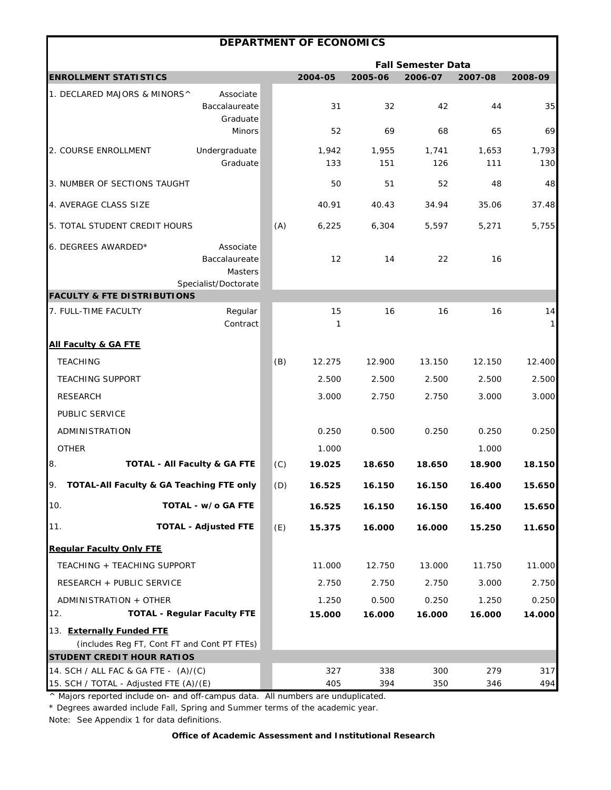|                                                                                |                                                               |     | <b>DEPARTMENT OF ECONOMICS</b> |              |                           |              |                    |
|--------------------------------------------------------------------------------|---------------------------------------------------------------|-----|--------------------------------|--------------|---------------------------|--------------|--------------------|
|                                                                                |                                                               |     |                                |              | <b>Fall Semester Data</b> |              |                    |
| <b>ENROLLMENT STATISTICS</b>                                                   |                                                               |     | 2004-05                        | 2005-06      | 2006-07                   | 2007-08      | 2008-09            |
| 1. DECLARED MAJORS & MINORS^                                                   | Associate<br>Baccalaureate<br>Graduate                        |     | 31                             | 32           | 42                        | 44           | 35                 |
|                                                                                | <b>Minors</b>                                                 |     | 52                             | 69           | 68                        | 65           | 69                 |
| 2. COURSE ENROLLMENT                                                           | Undergraduate<br>Graduate                                     |     | 1,942<br>133                   | 1,955<br>151 | 1,741<br>126              | 1,653<br>111 | 1,793<br>130       |
| 3. NUMBER OF SECTIONS TAUGHT                                                   |                                                               |     | 50                             | 51           | 52                        | 48           | 48                 |
| 4. AVERAGE CLASS SIZE                                                          |                                                               |     | 40.91                          | 40.43        | 34.94                     | 35.06        | 37.48              |
| 5. TOTAL STUDENT CREDIT HOURS                                                  |                                                               | (A) | 6,225                          | 6,304        | 5,597                     | 5,271        | 5,755              |
| 6. DEGREES AWARDED*                                                            | Associate<br>Baccalaureate<br>Masters<br>Specialist/Doctorate |     | 12                             | 14           | 22                        | 16           |                    |
| <b>FACULTY &amp; FTE DISTRIBUTIONS</b>                                         |                                                               |     |                                |              |                           |              |                    |
| 7. FULL-TIME FACULTY                                                           | Regular<br>Contract                                           |     | 15<br>1                        | 16           | 16                        | 16           | 14<br>$\mathbf{1}$ |
| <b>All Faculty &amp; GA FTE</b>                                                |                                                               |     |                                |              |                           |              |                    |
| <b>TEACHING</b>                                                                |                                                               | (B) | 12.275                         | 12.900       | 13.150                    | 12.150       | 12.400             |
| <b>TEACHING SUPPORT</b>                                                        |                                                               |     | 2.500                          | 2.500        | 2.500                     | 2.500        | 2.500              |
| <b>RESEARCH</b>                                                                |                                                               |     | 3.000                          | 2.750        | 2.750                     | 3.000        | 3.000              |
| PUBLIC SERVICE                                                                 |                                                               |     |                                |              |                           |              |                    |
| ADMINISTRATION                                                                 |                                                               |     | 0.250                          | 0.500        | 0.250                     | 0.250        | 0.250              |
| <b>OTHER</b>                                                                   |                                                               |     | 1.000                          |              |                           | 1.000        |                    |
| 8.                                                                             | <b>TOTAL - All Faculty &amp; GA FTE</b>                       | (C) | 19.025                         | 18.650       | 18.650                    | 18.900       | 18.150             |
| 9.<br>TOTAL-All Faculty & GA Teaching FTE only                                 |                                                               | (D) | 16.525                         | 16.150       | 16.150                    | 16.400       | 15.650             |
| 10.                                                                            | TOTAL - w/o GA FTE                                            |     | 16.525                         | 16.150       | 16.150                    | 16.400       | 15.650             |
| 11.                                                                            | <b>TOTAL - Adjusted FTE</b>                                   | (E) | 15.375                         | 16.000       | 16.000                    | 15.250       | 11.650             |
| <b>Regular Faculty Only FTE</b>                                                |                                                               |     |                                |              |                           |              |                    |
| TEACHING + TEACHING SUPPORT                                                    |                                                               |     | 11.000                         | 12.750       | 13.000                    | 11.750       | 11.000             |
| RESEARCH + PUBLIC SERVICE                                                      |                                                               |     | 2.750                          | 2.750        | 2.750                     | 3.000        | 2.750              |
| ADMINISTRATION + OTHER                                                         |                                                               |     | 1.250                          | 0.500        | 0.250                     | 1.250        | 0.250              |
| 12.                                                                            | <b>TOTAL - Regular Faculty FTE</b>                            |     | 15.000                         | 16.000       | 16.000                    | 16.000       | 14.000             |
| 13. Externally Funded FTE<br>(includes Reg FT, Cont FT and Cont PT FTEs)       |                                                               |     |                                |              |                           |              |                    |
| <b>STUDENT CREDIT HOUR RATIOS</b>                                              |                                                               |     |                                |              |                           |              |                    |
| 14. SCH / ALL FAC & GA FTE - (A)/(C)<br>15. SCH / TOTAL - Adjusted FTE (A)/(E) |                                                               |     | 327<br>405                     | 338<br>394   | 300<br>350                | 279<br>346   | 317<br>494         |

\* Degrees awarded include Fall, Spring and Summer terms of the academic year.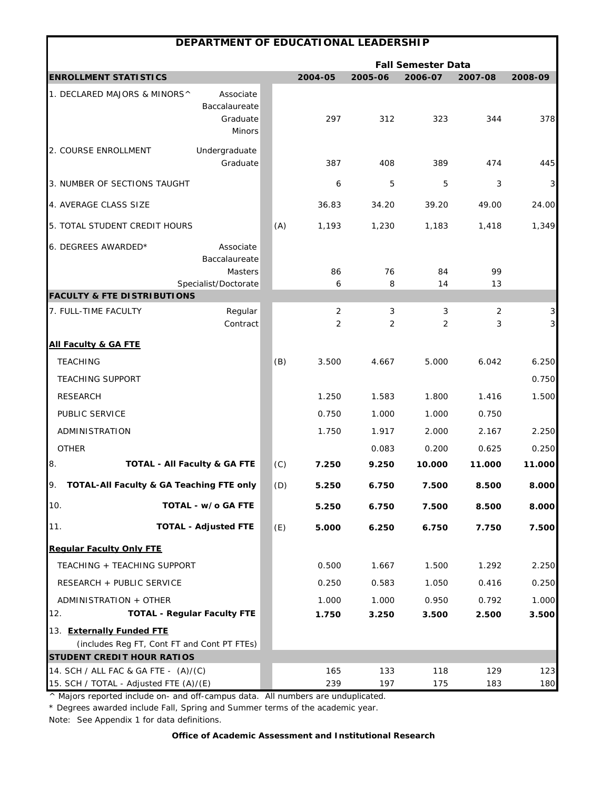| DEPARTMENT OF EDUCATIONAL LEADERSHIP                                             |     |            |            |                           |                     |                     |
|----------------------------------------------------------------------------------|-----|------------|------------|---------------------------|---------------------|---------------------|
|                                                                                  |     |            |            | <b>Fall Semester Data</b> |                     |                     |
| <b>ENROLLMENT STATISTICS</b>                                                     |     | 2004-05    | 2005-06    | 2006-07                   | 2007-08             | 2008-09             |
| 1. DECLARED MAJORS & MINORS^<br>Associate<br>Baccalaureate<br>Graduate<br>Minors |     | 297        | 312        | 323                       | 344                 | 378                 |
| Undergraduate<br>2. COURSE ENROLLMENT<br>Graduate                                |     | 387        | 408        | 389                       | 474                 | 445                 |
| 3. NUMBER OF SECTIONS TAUGHT                                                     |     | 6          | 5          | 5                         | 3                   | 3                   |
| 4. AVERAGE CLASS SIZE                                                            |     | 36.83      | 34.20      | 39.20                     | 49.00               | 24.00               |
| 5. TOTAL STUDENT CREDIT HOURS                                                    | (A) | 1,193      | 1,230      | 1,183                     | 1,418               | 1,349               |
| 6. DEGREES AWARDED*<br>Associate<br>Baccalaureate<br><b>Masters</b>              |     | 86         | 76         | 84                        | 99                  |                     |
| Specialist/Doctorate                                                             |     | 6          | 8          | 14                        | 13                  |                     |
| <b>FACULTY &amp; FTE DISTRIBUTIONS</b>                                           |     |            |            |                           |                     |                     |
| Regular<br>7. FULL-TIME FACULTY<br>Contract                                      |     | 2<br>2     | 3<br>2     | 3<br>2                    | $\overline{2}$<br>3 | 3<br>$\overline{3}$ |
| <b>All Faculty &amp; GA FTE</b>                                                  |     |            |            |                           |                     |                     |
| <b>TEACHING</b>                                                                  | (B) | 3.500      | 4.667      | 5.000                     | 6.042               | 6.250               |
| <b>TEACHING SUPPORT</b>                                                          |     |            |            |                           |                     | 0.750               |
| <b>RESEARCH</b>                                                                  |     | 1.250      | 1.583      | 1.800                     | 1.416               | 1.500               |
| PUBLIC SERVICE                                                                   |     | 0.750      | 1.000      | 1.000                     | 0.750               |                     |
| ADMINISTRATION                                                                   |     | 1.750      | 1.917      | 2.000                     | 2.167               | 2.250               |
| <b>OTHER</b>                                                                     |     |            | 0.083      | 0.200                     | 0.625               | 0.250               |
| 8.<br><b>TOTAL - All Faculty &amp; GA FTE</b>                                    | (C) | 7.250      | 9.250      | 10.000                    | 11.000              | 11.000              |
| TOTAL-All Faculty & GA Teaching FTE only<br>9.                                   | (D) | 5.250      | 6.750      | 7.500                     | 8.500               | 8.000               |
| 10.<br>TOTAL - w/o GA FTE                                                        |     | 5.250      | 6.750      | 7.500                     | 8.500               | 8.000               |
| <b>TOTAL - Adjusted FTE</b><br>11.                                               | (E) | 5.000      | 6.250      | 6.750                     | 7.750               | 7.500               |
| <b>Regular Faculty Only FTE</b>                                                  |     |            |            |                           |                     |                     |
| TEACHING + TEACHING SUPPORT                                                      |     | 0.500      | 1.667      | 1.500                     | 1.292               | 2.250               |
| RESEARCH + PUBLIC SERVICE                                                        |     | 0.250      | 0.583      | 1.050                     | 0.416               | 0.250               |
| ADMINISTRATION + OTHER                                                           |     | 1.000      | 1.000      | 0.950                     | 0.792               | 1.000               |
| <b>TOTAL - Regular Faculty FTE</b><br>12.                                        |     | 1.750      | 3.250      | 3.500                     | 2.500               | 3.500               |
| 13. Externally Funded FTE                                                        |     |            |            |                           |                     |                     |
| (includes Reg FT, Cont FT and Cont PT FTEs)                                      |     |            |            |                           |                     |                     |
| <b>STUDENT CREDIT HOUR RATIOS</b>                                                |     |            |            |                           |                     |                     |
| 14. SCH / ALL FAC & GA FTE - (A)/(C)<br>15. SCH / TOTAL - Adjusted FTE (A)/(E)   |     | 165<br>239 | 133<br>197 | 118<br>175                | 129<br>183          | 123<br>180          |

\* Degrees awarded include Fall, Spring and Summer terms of the academic year.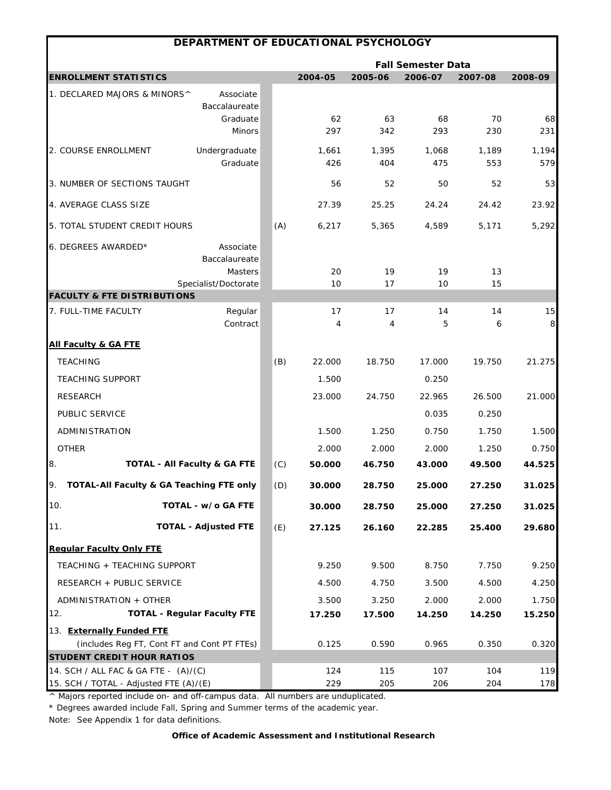| DEPARTMENT OF EDUCATIONAL PSYCHOLOGY                                      |     |               |                      |                           |              |              |
|---------------------------------------------------------------------------|-----|---------------|----------------------|---------------------------|--------------|--------------|
|                                                                           |     |               |                      | <b>Fall Semester Data</b> |              |              |
| <b>ENROLLMENT STATISTICS</b>                                              |     | 2004-05       | 2005-06              | 2006-07                   | 2007-08      | 2008-09      |
| 1. DECLARED MAJORS & MINORS^<br>Associate<br>Baccalaureate                |     |               |                      |                           |              |              |
| Graduate<br>Minors                                                        |     | 62<br>297     | 63<br>342            | 68<br>293                 | 70<br>230    | 68<br>231    |
| Undergraduate<br>2. COURSE ENROLLMENT<br>Graduate                         |     | 1,661<br>426  | 1,395<br>404         | 1,068<br>475              | 1,189<br>553 | 1,194<br>579 |
| 3. NUMBER OF SECTIONS TAUGHT                                              |     | 56            | 52                   | 50                        | 52           | 53           |
| 4. AVERAGE CLASS SIZE                                                     |     | 27.39         | 25.25                | 24.24                     | 24.42        | 23.92        |
| 5. TOTAL STUDENT CREDIT HOURS                                             | (A) | 6,217         | 5,365                | 4,589                     | 5,171        | 5,292        |
| 6. DEGREES AWARDED*<br>Associate<br>Baccalaureate                         |     |               |                      |                           |              |              |
| <b>Masters</b><br>Specialist/Doctorate                                    |     | 20<br>10      | 19<br>17             | 19<br>10                  | 13<br>15     |              |
| <b>FACULTY &amp; FTE DISTRIBUTIONS</b>                                    |     |               |                      |                           |              |              |
| Regular<br>7. FULL-TIME FACULTY<br>Contract                               |     | 17<br>4       | 17<br>$\overline{4}$ | 14<br>5                   | 14<br>6      | 15<br>8      |
| <b>All Faculty &amp; GA FTE</b>                                           |     |               |                      |                           |              |              |
| <b>TEACHING</b>                                                           | (B) | 22.000        | 18.750               | 17.000                    | 19.750       | 21.275       |
| <b>TEACHING SUPPORT</b>                                                   |     | 1.500         |                      | 0.250                     |              |              |
| <b>RESEARCH</b>                                                           |     | 23.000        | 24.750               | 22.965                    | 26.500       | 21.000       |
| PUBLIC SERVICE                                                            |     |               |                      | 0.035                     | 0.250        |              |
| ADMINISTRATION                                                            |     | 1.500         | 1.250                | 0.750                     | 1.750        | 1.500        |
| <b>OTHER</b>                                                              |     | 2.000         | 2.000                | 2.000                     | 1.250        | 0.750        |
| 8.<br><b>TOTAL - All Faculty &amp; GA FTE</b>                             | (C) | 50.000        | 46.750               | 43.000                    | 49.500       | 44.525       |
| TOTAL-All Faculty & GA Teaching FTE only                                  |     | (D)<br>30.000 | 28.750               | 25.000                    | 27.250       | 31.025       |
| 10.<br>TOTAL - w/o GA FTE                                                 |     | 30.000        | 28.750               | 25.000                    | 27.250       | 31.025       |
| 11.<br><b>TOTAL - Adjusted FTE</b>                                        | (E) | 27.125        | 26.160               | 22.285                    | 25.400       | 29.680       |
| <b>Regular Faculty Only FTE</b>                                           |     |               |                      |                           |              |              |
| TEACHING + TEACHING SUPPORT                                               |     | 9.250         | 9.500                | 8.750                     | 7.750        | 9.250        |
| RESEARCH + PUBLIC SERVICE                                                 |     | 4.500         | 4.750                | 3.500                     | 4.500        | 4.250        |
| ADMINISTRATION + OTHER                                                    |     | 3.500         | 3.250                | 2.000                     | 2.000        | 1.750        |
| <b>TOTAL - Regular Faculty FTE</b><br>12.                                 |     | 17.250        | 17.500               | 14.250                    | 14.250       | 15.250       |
| 13. Externally Funded FTE                                                 |     |               |                      |                           |              |              |
| (includes Reg FT, Cont FT and Cont PT FTEs)                               |     | 0.125         | 0.590                | 0.965                     | 0.350        | 0.320        |
| <b>STUDENT CREDIT HOUR RATIOS</b><br>14. SCH / ALL FAC & GA FTE - (A)/(C) |     | 124           | 115                  | 107                       | 104          | 119          |
| 15. SCH / TOTAL - Adjusted FTE (A)/(E)                                    |     | 229           | 205                  | 206                       | 204          | 178          |

\* Degrees awarded include Fall, Spring and Summer terms of the academic year.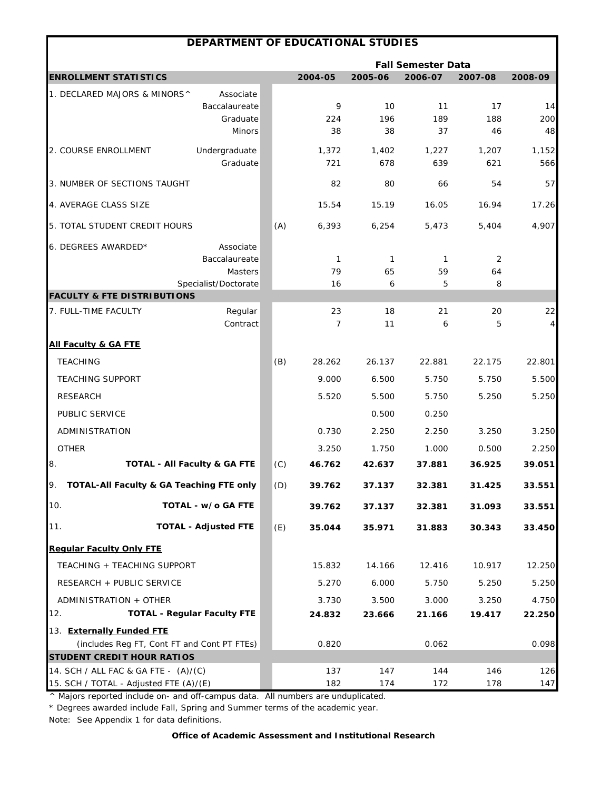|                                                     | DEPARTMENT OF EDUCATIONAL STUDIES           |     |                    |              |                           |              |                      |
|-----------------------------------------------------|---------------------------------------------|-----|--------------------|--------------|---------------------------|--------------|----------------------|
|                                                     |                                             |     |                    |              | <b>Fall Semester Data</b> |              |                      |
| <b>ENROLLMENT STATISTICS</b>                        |                                             |     | 2004-05            | 2005-06      | 2006-07                   | 2007-08      | 2008-09              |
| 1. DECLARED MAJORS & MINORS^                        | Associate                                   |     |                    |              |                           |              |                      |
|                                                     | Baccalaureate                               |     | 9                  | 10           | 11                        | 17           | 14                   |
|                                                     | Graduate<br><b>Minors</b>                   |     | 224<br>38          | 196<br>38    | 189<br>37                 | 188<br>46    | 200<br>48            |
|                                                     |                                             |     |                    |              |                           |              |                      |
| 2. COURSE ENROLLMENT                                | Undergraduate<br>Graduate                   |     | 1,372<br>721       | 1,402<br>678 | 1,227<br>639              | 1,207<br>621 | 1,152<br>566         |
| 3. NUMBER OF SECTIONS TAUGHT                        |                                             |     | 82                 | 80           | 66                        | 54           | 57                   |
| 4. AVERAGE CLASS SIZE                               |                                             |     | 15.54              | 15.19        | 16.05                     | 16.94        | 17.26                |
| 5. TOTAL STUDENT CREDIT HOURS                       |                                             | (A) | 6,393              | 6,254        | 5,473                     | 5,404        | 4,907                |
|                                                     |                                             |     |                    |              |                           |              |                      |
| 6. DEGREES AWARDED*                                 | Associate                                   |     |                    |              |                           |              |                      |
|                                                     | Baccalaureate<br>Masters                    |     | $\mathbf{1}$<br>79 | 1<br>65      | 1<br>59                   | 2<br>64      |                      |
|                                                     | Specialist/Doctorate                        |     | 16                 | 6            | 5                         | 8            |                      |
| <b>FACULTY &amp; FTE DISTRIBUTIONS</b>              |                                             |     |                    |              |                           |              |                      |
| 7. FULL-TIME FACULTY                                | Regular<br>Contract                         |     | 23<br>7            | 18<br>11     | 21<br>6                   | 20<br>5      | 22<br>$\overline{4}$ |
|                                                     |                                             |     |                    |              |                           |              |                      |
| <b>All Faculty &amp; GA FTE</b>                     |                                             |     |                    |              |                           |              |                      |
| <b>TEACHING</b>                                     |                                             | (B) | 28.262             | 26.137       | 22.881                    | 22.175       | 22.801               |
| <b>TEACHING SUPPORT</b>                             |                                             |     | 9.000              | 6.500        | 5.750                     | 5.750        | 5.500                |
| <b>RESEARCH</b>                                     |                                             |     | 5.520              | 5.500        | 5.750                     | 5.250        | 5.250                |
| PUBLIC SERVICE                                      |                                             |     |                    | 0.500        | 0.250                     |              |                      |
| ADMINISTRATION                                      |                                             |     | 0.730              | 2.250        | 2.250                     | 3.250        | 3.250                |
| <b>OTHER</b>                                        |                                             |     | 3.250              | 1.750        | 1.000                     | 0.500        | 2.250                |
| 8.                                                  | <b>TOTAL - All Faculty &amp; GA FTE</b>     | (C) | 46.762             | 42.637       | 37.881                    | 36.925       | 39.051               |
| <b>TOTAL-All Faculty &amp; GA Teaching FTE only</b> |                                             | (D) | 39.762             | 37.137       | 32.381                    | 31.425       | 33.551               |
| 10.                                                 | TOTAL - w/o GA FTE                          |     | 39.762             | 37.137       | 32.381                    | 31.093       | 33.551               |
| 11.                                                 | <b>TOTAL - Adjusted FTE</b>                 | (E) | 35.044             | 35.971       | 31.883                    | 30.343       | 33.450               |
| <b>Regular Faculty Only FTE</b>                     |                                             |     |                    |              |                           |              |                      |
| TEACHING + TEACHING SUPPORT                         |                                             |     | 15.832             | 14.166       | 12.416                    | 10.917       | 12.250               |
| RESEARCH + PUBLIC SERVICE                           |                                             |     | 5.270              | 6.000        | 5.750                     | 5.250        | 5.250                |
| ADMINISTRATION + OTHER                              |                                             |     | 3.730              | 3.500        | 3.000                     | 3.250        | 4.750                |
| 12.                                                 | <b>TOTAL - Regular Faculty FTE</b>          |     | 24.832             | 23.666       | 21.166                    | 19.417       | 22.250               |
| 13. Externally Funded FTE                           |                                             |     |                    |              |                           |              |                      |
|                                                     | (includes Reg FT, Cont FT and Cont PT FTEs) |     | 0.820              |              | 0.062                     |              | 0.098                |
| <b>STUDENT CREDIT HOUR RATIOS</b>                   |                                             |     |                    |              |                           |              |                      |
| 14. SCH / ALL FAC & GA FTE - (A)/(C)                |                                             |     | 137                | 147          | 144                       | 146          | 126                  |
| 15. SCH / TOTAL - Adjusted FTE (A)/(E)              |                                             |     | 182                | 174          | 172                       | 178          | 147                  |

\* Degrees awarded include Fall, Spring and Summer terms of the academic year.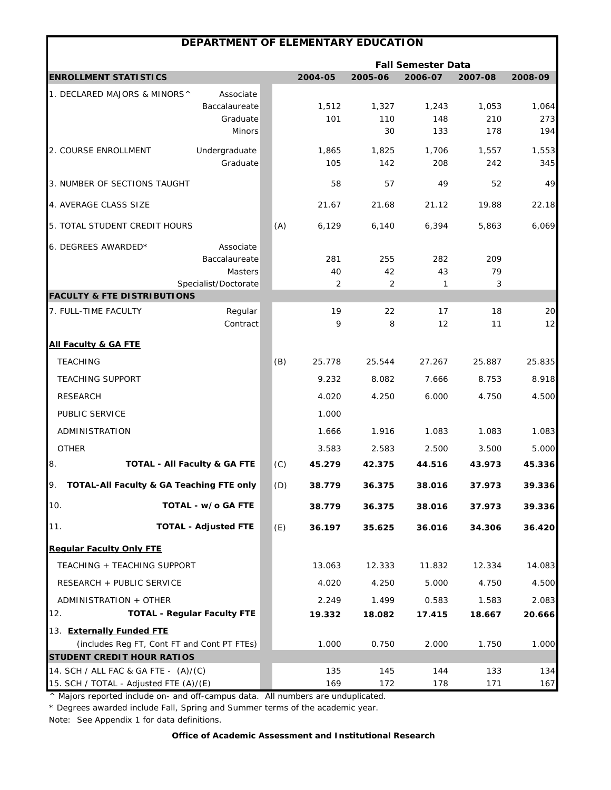|                                                                                  | DEPARTMENT OF ELEMENTARY EDUCATION                            |     |                |                    |                           |                     |                     |
|----------------------------------------------------------------------------------|---------------------------------------------------------------|-----|----------------|--------------------|---------------------------|---------------------|---------------------|
|                                                                                  |                                                               |     |                |                    | <b>Fall Semester Data</b> |                     |                     |
| <b>ENROLLMENT STATISTICS</b>                                                     |                                                               |     | 2004-05        | 2005-06            | 2006-07                   | 2007-08             | 2008-09             |
| 1. DECLARED MAJORS & MINORS^                                                     | Associate<br>Baccalaureate<br>Graduate<br>Minors              |     | 1,512<br>101   | 1,327<br>110<br>30 | 1,243<br>148<br>133       | 1,053<br>210<br>178 | 1,064<br>273<br>194 |
| 2. COURSE ENROLLMENT                                                             | Undergraduate<br>Graduate                                     |     | 1,865<br>105   | 1,825<br>142       | 1,706<br>208              | 1,557<br>242        | 1,553<br>345        |
| 3. NUMBER OF SECTIONS TAUGHT                                                     |                                                               |     | 58             | 57                 | 49                        | 52                  | 49                  |
| 4. AVERAGE CLASS SIZE                                                            |                                                               |     | 21.67          | 21.68              | 21.12                     | 19.88               | 22.18               |
| 5. TOTAL STUDENT CREDIT HOURS                                                    |                                                               | (A) | 6,129          | 6,140              | 6,394                     | 5,863               | 6,069               |
| 6. DEGREES AWARDED*                                                              | Associate<br>Baccalaureate<br>Masters<br>Specialist/Doctorate |     | 281<br>40<br>2 | 255<br>42<br>2     | 282<br>43<br>1            | 209<br>79<br>3      |                     |
| <b>FACULTY &amp; FTE DISTRIBUTIONS</b>                                           |                                                               |     |                |                    |                           |                     |                     |
| 7. FULL-TIME FACULTY                                                             | Regular<br>Contract                                           |     | 19<br>9        | 22<br>8            | 17<br>12                  | 18<br>11            | 20<br>12            |
| <b>All Faculty &amp; GA FTE</b>                                                  |                                                               |     |                |                    |                           |                     |                     |
| <b>TEACHING</b>                                                                  |                                                               | (B) | 25.778         | 25.544             | 27.267                    | 25.887              | 25.835              |
| <b>TEACHING SUPPORT</b>                                                          |                                                               |     | 9.232          | 8.082              | 7.666                     | 8.753               | 8.918               |
| <b>RESEARCH</b>                                                                  |                                                               |     | 4.020          | 4.250              | 6.000                     | 4.750               | 4.500               |
| PUBLIC SERVICE                                                                   |                                                               |     | 1.000          |                    |                           |                     |                     |
| ADMINISTRATION                                                                   |                                                               |     | 1.666          | 1.916              | 1.083                     | 1.083               | 1.083               |
| <b>OTHER</b>                                                                     |                                                               |     | 3.583          | 2.583              | 2.500                     | 3.500               | 5.000               |
| 8.                                                                               | <b>TOTAL - All Faculty &amp; GA FTE</b>                       | (C) | 45.279         | 42.375             | 44.516                    | 43.973              | 45.336              |
| TOTAL-All Faculty & GA Teaching FTE only<br>IУ.                                  |                                                               | (D) | 38.779         | 36.375             | 38.016                    | 37.973              | 39.336              |
| 10.                                                                              | TOTAL - w/o GA FTE                                            |     | 38.779         | 36.375             | 38.016                    | 37.973              | 39.336              |
| 11.                                                                              | <b>TOTAL - Adjusted FTE</b>                                   | (E) | 36.197         | 35.625             | 36.016                    | 34.306              | 36.420              |
| <b>Regular Faculty Only FTE</b>                                                  |                                                               |     |                |                    |                           |                     |                     |
| TEACHING + TEACHING SUPPORT                                                      |                                                               |     | 13.063         | 12.333             | 11.832                    | 12.334              | 14.083              |
| RESEARCH + PUBLIC SERVICE                                                        |                                                               |     | 4.020          | 4.250              | 5.000                     | 4.750               | 4.500               |
| ADMINISTRATION + OTHER                                                           |                                                               |     | 2.249          | 1.499              | 0.583                     | 1.583               | 2.083               |
| 12.                                                                              | <b>TOTAL - Regular Faculty FTE</b>                            |     | 19.332         | 18.082             | 17.415                    | 18.667              | 20.666              |
| 13. Externally Funded FTE                                                        |                                                               |     |                |                    |                           |                     |                     |
| (includes Reg FT, Cont FT and Cont PT FTEs)<br><b>STUDENT CREDIT HOUR RATIOS</b> |                                                               |     | 1.000          | 0.750              | 2.000                     | 1.750               | 1.000               |
| 14. SCH / ALL FAC & GA FTE - (A)/(C)                                             |                                                               |     | 135            | 145                | 144                       | 133                 | 134                 |
| 15. SCH / TOTAL - Adjusted FTE (A)/(E)                                           |                                                               |     | 169            | 172                | 178                       | 171                 | 167                 |

\* Degrees awarded include Fall, Spring and Summer terms of the academic year.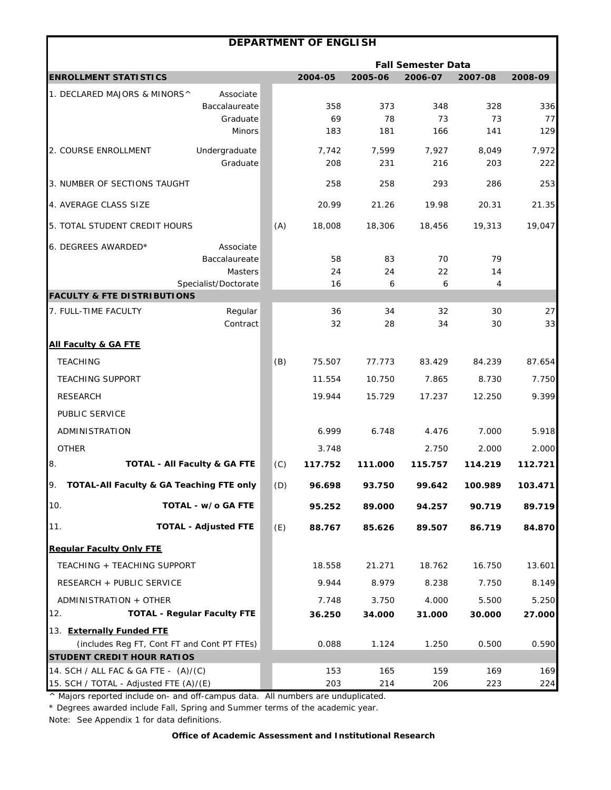|                                                                                  |                                                                      |     | <b>DEPARTMENT OF ENGLISH</b> |                  |                           |                  |                  |
|----------------------------------------------------------------------------------|----------------------------------------------------------------------|-----|------------------------------|------------------|---------------------------|------------------|------------------|
|                                                                                  |                                                                      |     |                              |                  | <b>Fall Semester Data</b> |                  |                  |
| <b>ENROLLMENT STATISTICS</b>                                                     |                                                                      |     | 2004-05                      | 2005-06          | 2006-07                   | 2007-08          | 2008-09          |
| 1. DECLARED MAJORS & MINORS^                                                     | Associate<br>Baccalaureate<br>Graduate<br><b>Minors</b>              |     | 358<br>69<br>183             | 373<br>78<br>181 | 348<br>73<br>166          | 328<br>73<br>141 | 336<br>77<br>129 |
| 2. COURSE ENROLLMENT                                                             | Undergraduate<br>Graduate                                            |     | 7,742<br>208                 | 7,599<br>231     | 7,927<br>216              | 8,049<br>203     | 7,972<br>222     |
| 3. NUMBER OF SECTIONS TAUGHT                                                     |                                                                      |     | 258                          | 258              | 293                       | 286              | 253              |
| 4. AVERAGE CLASS SIZE                                                            |                                                                      |     | 20.99                        | 21.26            | 19.98                     | 20.31            | 21.35            |
| 5. TOTAL STUDENT CREDIT HOURS                                                    |                                                                      | (A) | 18,008                       | 18,306           | 18,456                    | 19,313           | 19,047           |
| 6. DEGREES AWARDED*                                                              | Associate<br>Baccalaureate<br><b>Masters</b><br>Specialist/Doctorate |     | 58<br>24<br>16               | 83<br>24<br>6    | 70<br>22<br>6             | 79<br>14<br>4    |                  |
| <b>FACULTY &amp; FTE DISTRIBUTIONS</b>                                           |                                                                      |     |                              |                  |                           |                  |                  |
| 7. FULL-TIME FACULTY                                                             | Regular<br>Contract                                                  |     | 36<br>32                     | 34<br>28         | 32<br>34                  | 30<br>30         | 27<br>33         |
| <b>All Faculty &amp; GA FTE</b>                                                  |                                                                      |     |                              |                  |                           |                  |                  |
| <b>TEACHING</b>                                                                  |                                                                      | (B) | 75.507                       | 77.773           | 83.429                    | 84.239           | 87.654           |
| <b>TEACHING SUPPORT</b>                                                          |                                                                      |     | 11.554                       | 10.750           | 7.865                     | 8.730            | 7.750            |
| <b>RESEARCH</b>                                                                  |                                                                      |     | 19.944                       | 15.729           | 17.237                    | 12.250           | 9.399            |
| PUBLIC SERVICE                                                                   |                                                                      |     |                              |                  |                           |                  |                  |
| ADMINISTRATION                                                                   |                                                                      |     | 6.999                        | 6.748            | 4.476                     | 7.000            | 5.918            |
| <b>OTHER</b>                                                                     |                                                                      |     | 3.748                        |                  | 2.750                     | 2.000            | 2.000            |
| 8.<br><b>TOTAL - All Faculty &amp; GA FTE</b>                                    |                                                                      | (C) | 117.752                      | 111.000          | 115.757                   | 114.219          | 112.721          |
| 9.<br>TOTAL-All Faculty & GA Teaching FTE only                                   |                                                                      | (D) | 96.698                       | 93.750           | 99.642                    | 100.989          | 103.471          |
| 10.                                                                              | TOTAL - w/o GA FTE                                                   |     | 95.252                       | 89.000           | 94.257                    | 90.719           | 89.719           |
| 11.                                                                              | <b>TOTAL - Adjusted FTE</b>                                          | (E) | 88.767                       | 85.626           | 89.507                    | 86.719           | 84.870           |
| <b>Regular Faculty Only FTE</b>                                                  |                                                                      |     |                              |                  |                           |                  |                  |
| TEACHING + TEACHING SUPPORT                                                      |                                                                      |     | 18.558                       | 21.271           | 18.762                    | 16.750           | 13.601           |
| RESEARCH + PUBLIC SERVICE                                                        |                                                                      |     | 9.944                        | 8.979            | 8.238                     | 7.750            | 8.149            |
| ADMINISTRATION + OTHER                                                           |                                                                      |     | 7.748                        | 3.750            | 4.000                     | 5.500            | 5.250            |
| 12.<br><b>TOTAL - Regular Faculty FTE</b>                                        |                                                                      |     | 36.250                       | 34.000           | 31.000                    | 30.000           | 27.000           |
| 13. Externally Funded FTE                                                        |                                                                      |     |                              |                  |                           |                  |                  |
| (includes Reg FT, Cont FT and Cont PT FTEs)<br><b>STUDENT CREDIT HOUR RATIOS</b> |                                                                      |     | 0.088                        | 1.124            | 1.250                     | 0.500            | 0.590            |
| 14. SCH / ALL FAC & GA FTE - (A)/(C)                                             |                                                                      |     | 153                          | 165              | 159                       | 169              | 169              |
| 15. SCH / TOTAL - Adjusted FTE (A)/(E)                                           |                                                                      |     | 203                          | 214              | 206                       | 223              | 224              |

\* Degrees awarded include Fall, Spring and Summer terms of the academic year.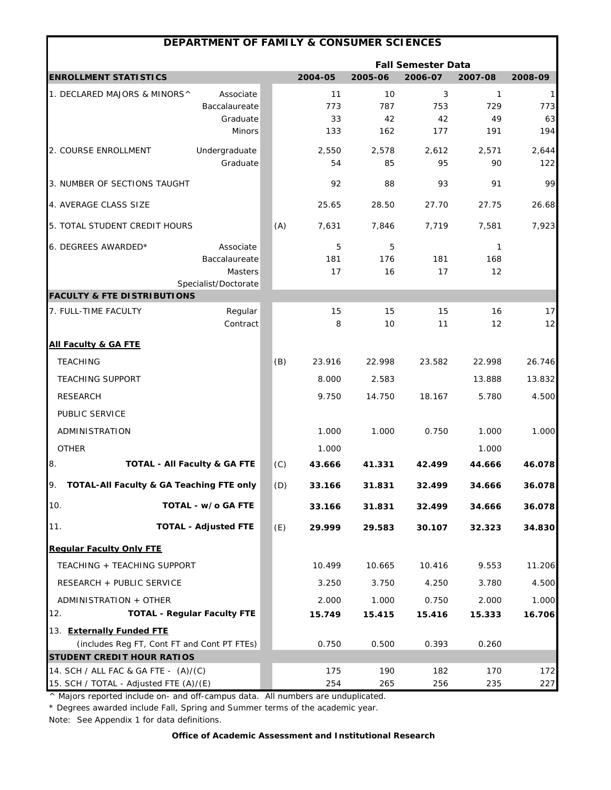|                                                 | DEPARTMENT OF FAMILY & CONSUMER SCIENCES |     |             |             |                           |              |              |
|-------------------------------------------------|------------------------------------------|-----|-------------|-------------|---------------------------|--------------|--------------|
|                                                 |                                          |     |             |             | <b>Fall Semester Data</b> |              |              |
| <b>ENROLLMENT STATISTICS</b>                    |                                          |     | 2004-05     | 2005-06     | 2006-07                   | 2007-08      | 2008-09      |
| 1. DECLARED MAJORS & MINORS^                    | Associate                                |     | 11          | 10          | 3                         | $\mathbf{1}$ | 1            |
|                                                 | Baccalaureate                            |     | 773         | 787         | 753                       | 729          | 773          |
|                                                 | Graduate<br><b>Minors</b>                |     | 33<br>133   | 42<br>162   | 42<br>177                 | 49<br>191    | 63<br>194    |
|                                                 |                                          |     |             |             |                           |              |              |
| 2. COURSE ENROLLMENT                            | Undergraduate<br>Graduate                |     | 2,550<br>54 | 2,578<br>85 | 2,612<br>95               | 2,571<br>90  | 2,644<br>122 |
|                                                 |                                          |     |             |             |                           |              |              |
| 3. NUMBER OF SECTIONS TAUGHT                    |                                          |     | 92          | 88          | 93                        | 91           | 99           |
| 4. AVERAGE CLASS SIZE                           |                                          |     | 25.65       | 28.50       | 27.70                     | 27.75        | 26.68        |
| 5. TOTAL STUDENT CREDIT HOURS                   |                                          | (A) | 7,631       | 7,846       | 7,719                     | 7,581        | 7,923        |
| 6. DEGREES AWARDED*                             | Associate                                |     | 5           | 5           |                           | 1            |              |
|                                                 | Baccalaureate                            |     | 181         | 176         | 181                       | 168          |              |
|                                                 | Masters<br>Specialist/Doctorate          |     | 17          | 16          | 17                        | 12           |              |
| <b>FACULTY &amp; FTE DISTRIBUTIONS</b>          |                                          |     |             |             |                           |              |              |
| 7. FULL-TIME FACULTY                            | Regular                                  |     | 15          | 15          | 15                        | 16           | 17           |
|                                                 | Contract                                 |     | 8           | 10          | 11                        | 12           | 12           |
| <b>All Faculty &amp; GA FTE</b>                 |                                          |     |             |             |                           |              |              |
| <b>TEACHING</b>                                 |                                          | (B) | 23.916      | 22.998      | 23.582                    | 22.998       | 26.746       |
| <b>TEACHING SUPPORT</b>                         |                                          |     | 8.000       | 2.583       |                           | 13.888       | 13.832       |
| <b>RESEARCH</b>                                 |                                          |     | 9.750       | 14.750      | 18.167                    | 5.780        | 4.500        |
| PUBLIC SERVICE                                  |                                          |     |             |             |                           |              |              |
| ADMINISTRATION                                  |                                          |     | 1.000       | 1.000       | 0.750                     | 1.000        | 1.000        |
| <b>OTHER</b>                                    |                                          |     | 1.000       |             |                           | 1.000        |              |
| 8.<br><b>TOTAL - All Faculty &amp; GA FTE</b>   |                                          | (C) | 43.666      | 41.331      | 42.499                    | 44.666       | 46.078       |
| TOTAL-All Faculty & GA Teaching FTE only<br>IУ. |                                          | (D) | 33.166      | 31.831      | 32.499                    | 34.666       | 36.078       |
| 10.                                             | TOTAL - w/o GA FTE                       |     | 33.166      | 31.831      | 32.499                    | 34.666       | 36.078       |
| 11.                                             | <b>TOTAL - Adjusted FTE</b>              | (E) | 29.999      | 29.583      | 30.107                    | 32.323       | 34.830       |
| <b>Regular Faculty Only FTE</b>                 |                                          |     |             |             |                           |              |              |
| TEACHING + TEACHING SUPPORT                     |                                          |     | 10.499      | 10.665      | 10.416                    | 9.553        | 11.206       |
| RESEARCH + PUBLIC SERVICE                       |                                          |     | 3.250       | 3.750       | 4.250                     | 3.780        | 4.500        |
| ADMINISTRATION + OTHER                          |                                          |     | 2.000       | 1.000       | 0.750                     | 2.000        | 1.000        |
| 12.                                             | <b>TOTAL - Regular Faculty FTE</b>       |     | 15.749      | 15.415      | 15.416                    | 15.333       | 16.706       |
| 13. Externally Funded FTE                       |                                          |     |             |             |                           |              |              |
| (includes Reg FT, Cont FT and Cont PT FTEs)     |                                          |     | 0.750       | 0.500       | 0.393                     | 0.260        |              |
| <b>STUDENT CREDIT HOUR RATIOS</b>               |                                          |     |             |             |                           |              |              |
| 14. SCH / ALL FAC & GA FTE - (A)/(C)            |                                          |     | 175         | 190         | 182                       | 170          | 172          |
| 15. SCH / TOTAL - Adjusted FTE (A)/(E)          |                                          |     | 254         | 265         | 256                       | 235          | 227          |

\* Degrees awarded include Fall, Spring and Summer terms of the academic year.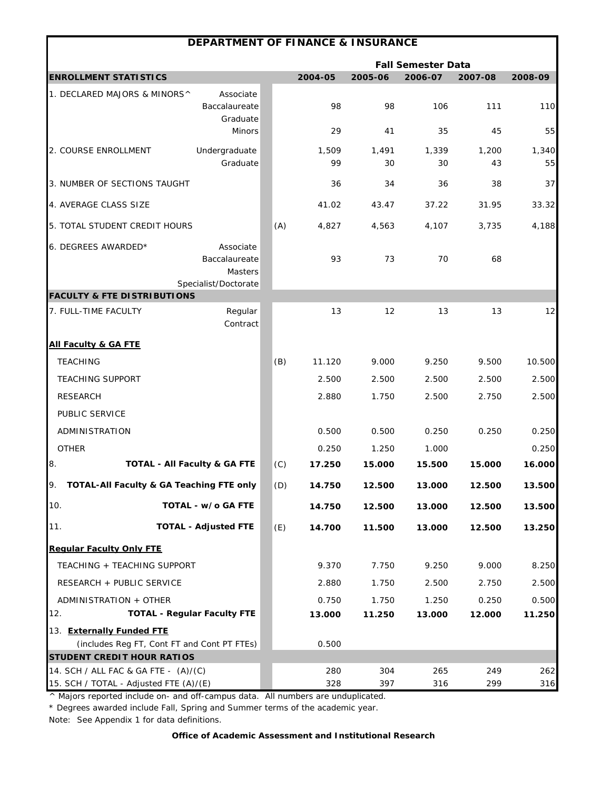|                                          | <b>DEPARTMENT OF FINANCE &amp; INSURANCE</b> |     |         |         |                           |         |         |
|------------------------------------------|----------------------------------------------|-----|---------|---------|---------------------------|---------|---------|
|                                          |                                              |     |         |         | <b>Fall Semester Data</b> |         |         |
| <b>ENROLLMENT STATISTICS</b>             |                                              |     | 2004-05 | 2005-06 | 2006-07                   | 2007-08 | 2008-09 |
| 1. DECLARED MAJORS & MINORS^             | Associate                                    |     |         |         |                           |         |         |
|                                          | Baccalaureate                                |     | 98      | 98      | 106                       | 111     | 110     |
|                                          | Graduate<br><b>Minors</b>                    |     | 29      | 41      | 35                        | 45      | 55      |
| 2. COURSE ENROLLMENT                     | Undergraduate                                |     | 1,509   | 1,491   | 1,339                     | 1,200   | 1,340   |
|                                          | Graduate                                     |     | 99      | 30      | 30                        | 43      | 55      |
| 3. NUMBER OF SECTIONS TAUGHT             |                                              |     | 36      | 34      | 36                        | 38      | 37      |
| 4. AVERAGE CLASS SIZE                    |                                              |     | 41.02   | 43.47   | 37.22                     | 31.95   | 33.32   |
| 5. TOTAL STUDENT CREDIT HOURS            |                                              | (A) | 4,827   | 4,563   | 4,107                     | 3,735   | 4,188   |
| 6. DEGREES AWARDED*                      | Associate                                    |     |         |         |                           |         |         |
|                                          | Baccalaureate                                |     | 93      | 73      | 70                        | 68      |         |
|                                          | Masters                                      |     |         |         |                           |         |         |
| <b>FACULTY &amp; FTE DISTRIBUTIONS</b>   | Specialist/Doctorate                         |     |         |         |                           |         |         |
| 7. FULL-TIME FACULTY                     | Regular                                      |     | 13      | 12      | 13                        | 13      | 12      |
|                                          | Contract                                     |     |         |         |                           |         |         |
| <b>All Faculty &amp; GA FTE</b>          |                                              |     |         |         |                           |         |         |
| <b>TEACHING</b>                          |                                              | (B) | 11.120  | 9.000   | 9.250                     | 9.500   | 10.500  |
| <b>TEACHING SUPPORT</b>                  |                                              |     | 2.500   | 2.500   | 2.500                     | 2.500   | 2.500   |
| <b>RESEARCH</b>                          |                                              |     | 2.880   | 1.750   | 2.500                     | 2.750   | 2.500   |
| PUBLIC SERVICE                           |                                              |     |         |         |                           |         |         |
| ADMINISTRATION                           |                                              |     | 0.500   | 0.500   | 0.250                     | 0.250   | 0.250   |
| <b>OTHER</b>                             |                                              |     | 0.250   | 1.250   | 1.000                     |         | 0.250   |
| 8.                                       | TOTAL - All Faculty & GA FTE                 | (C) | 17.250  | 15.000  | 15.500                    | 15.000  | 16.000  |
| TOTAL-All Faculty & GA Teaching FTE only |                                              | (D) | 14.750  | 12.500  | 13.000                    | 12.500  | 13.500  |
| 10.                                      | TOTAL - w/o GA FTE                           |     | 14.750  | 12.500  | 13.000                    | 12.500  | 13.500  |
| 11.                                      | <b>TOTAL - Adjusted FTE</b>                  | (E) | 14.700  | 11.500  | 13.000                    | 12.500  | 13.250  |
| <b>Regular Faculty Only FTE</b>          |                                              |     |         |         |                           |         |         |
| TEACHING + TEACHING SUPPORT              |                                              |     | 9.370   | 7.750   | 9.250                     | 9.000   | 8.250   |
| RESEARCH + PUBLIC SERVICE                |                                              |     | 2.880   | 1.750   | 2.500                     | 2.750   | 2.500   |
| ADMINISTRATION + OTHER                   |                                              |     | 0.750   | 1.750   | 1.250                     | 0.250   | 0.500   |
| 12.                                      | <b>TOTAL - Regular Faculty FTE</b>           |     | 13.000  | 11.250  | 13.000                    | 12.000  | 11.250  |
| 13. Externally Funded FTE                |                                              |     |         |         |                           |         |         |
|                                          | (includes Reg FT, Cont FT and Cont PT FTEs)  |     | 0.500   |         |                           |         |         |
| <b>STUDENT CREDIT HOUR RATIOS</b>        |                                              |     |         |         |                           |         |         |
| 14. SCH / ALL FAC & GA FTE - (A)/(C)     |                                              |     | 280     | 304     | 265                       | 249     | 262     |
| 15. SCH / TOTAL - Adjusted FTE (A)/(E)   |                                              |     | 328     | 397     | 316                       | 299     | 316     |

\* Degrees awarded include Fall, Spring and Summer terms of the academic year.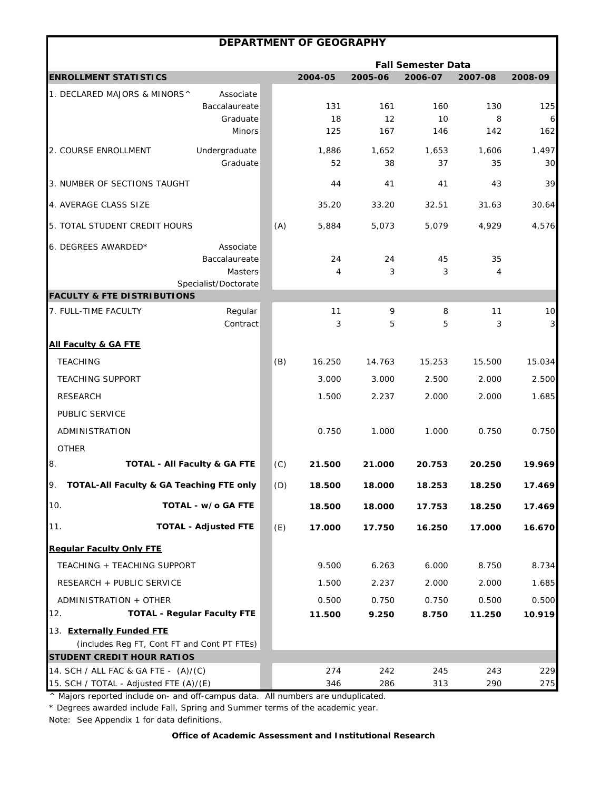|                                             |                                         |     | <b>DEPARTMENT OF GEOGRAPHY</b> |         |                           |         |              |
|---------------------------------------------|-----------------------------------------|-----|--------------------------------|---------|---------------------------|---------|--------------|
|                                             |                                         |     |                                |         | <b>Fall Semester Data</b> |         |              |
| <b>ENROLLMENT STATISTICS</b>                |                                         |     | 2004-05                        | 2005-06 | 2006-07                   | 2007-08 | 2008-09      |
| 1. DECLARED MAJORS & MINORS^                | Associate                               |     |                                |         |                           |         |              |
|                                             | Baccalaureate                           |     | 131                            | 161     | 160                       | 130     | 125          |
|                                             | Graduate                                |     | 18                             | 12      | 10                        | 8       | 6            |
|                                             | <b>Minors</b>                           |     | 125                            | 167     | 146                       | 142     | 162          |
| 2. COURSE ENROLLMENT                        | Undergraduate                           |     | 1,886                          | 1,652   | 1,653                     | 1,606   | 1,497        |
|                                             | Graduate                                |     | 52                             | 38      | 37                        | 35      | 30           |
| 3. NUMBER OF SECTIONS TAUGHT                |                                         |     | 44                             | 41      | 41                        | 43      | 39           |
| 4. AVERAGE CLASS SIZE                       |                                         |     | 35.20                          | 33.20   | 32.51                     | 31.63   | 30.64        |
| 5. TOTAL STUDENT CREDIT HOURS               |                                         | (A) | 5,884                          | 5,073   | 5,079                     | 4,929   | 4,576        |
| 6. DEGREES AWARDED*                         | Associate                               |     |                                |         |                           |         |              |
|                                             | Baccalaureate                           |     | 24                             | 24      | 45                        | 35      |              |
|                                             | Masters                                 |     | 4                              | 3       | 3                         | 4       |              |
| <b>FACULTY &amp; FTE DISTRIBUTIONS</b>      | Specialist/Doctorate                    |     |                                |         |                           |         |              |
| 7. FULL-TIME FACULTY                        | Regular                                 |     | 11                             | 9       | 8                         | 11      | 10           |
|                                             | Contract                                |     | 3                              | 5       | 5                         | 3       | $\mathbf{3}$ |
| <b>All Faculty &amp; GA FTE</b>             |                                         |     |                                |         |                           |         |              |
| <b>TEACHING</b>                             |                                         | (B) | 16.250                         | 14.763  | 15.253                    | 15.500  | 15.034       |
| <b>TEACHING SUPPORT</b>                     |                                         |     | 3.000                          | 3.000   | 2.500                     | 2.000   | 2.500        |
| <b>RESEARCH</b>                             |                                         |     | 1.500                          | 2.237   | 2.000                     | 2.000   | 1.685        |
| PUBLIC SERVICE                              |                                         |     |                                |         |                           |         |              |
| ADMINISTRATION                              |                                         |     | 0.750                          | 1.000   | 1.000                     | 0.750   | 0.750        |
| <b>OTHER</b>                                |                                         |     |                                |         |                           |         |              |
| 8.                                          | <b>TOTAL - All Faculty &amp; GA FTE</b> | (C) | 21.500                         | 21.000  | 20.753                    | 20.250  | 19.969       |
| TOTAL-All Faculty & GA Teaching FTE only    |                                         | (D) | 18.500                         | 18.000  | 18.253                    | 18.250  | 17.469       |
| 10.                                         | TOTAL - w/o GA FTE                      |     | 18.500                         | 18.000  | 17.753                    | 18.250  | 17.469       |
| 11.                                         | <b>TOTAL - Adjusted FTE</b>             | (E) | 17.000                         | 17.750  | 16.250                    | 17.000  | 16.670       |
| <b>Regular Faculty Only FTE</b>             |                                         |     |                                |         |                           |         |              |
| TEACHING + TEACHING SUPPORT                 |                                         |     | 9.500                          | 6.263   | 6.000                     | 8.750   | 8.734        |
| RESEARCH + PUBLIC SERVICE                   |                                         |     | 1.500                          | 2.237   | 2.000                     | 2.000   | 1.685        |
| ADMINISTRATION + OTHER                      |                                         |     | 0.500                          | 0.750   | 0.750                     | 0.500   | 0.500        |
| 12.                                         | <b>TOTAL - Regular Faculty FTE</b>      |     | 11.500                         | 9.250   | 8.750                     | 11.250  | 10.919       |
| 13. Externally Funded FTE                   |                                         |     |                                |         |                           |         |              |
| (includes Reg FT, Cont FT and Cont PT FTEs) |                                         |     |                                |         |                           |         |              |
| <b>STUDENT CREDIT HOUR RATIOS</b>           |                                         |     |                                |         |                           |         |              |
| 14. SCH / ALL FAC & GA FTE - (A)/(C)        |                                         |     | 274                            | 242     | 245                       | 243     | 229          |
| 15. SCH / TOTAL - Adjusted FTE (A)/(E)      |                                         |     | 346                            | 286     | 313                       | 290     | 275          |

\* Degrees awarded include Fall, Spring and Summer terms of the academic year.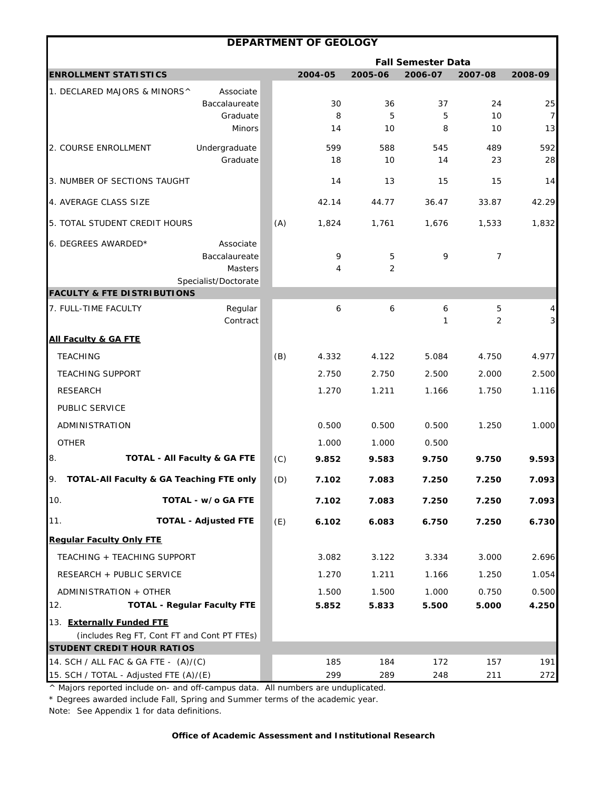|                                                                          |                                                                      |     | DEPARTMENT OF GEOLOGY |           |                           |           |                               |
|--------------------------------------------------------------------------|----------------------------------------------------------------------|-----|-----------------------|-----------|---------------------------|-----------|-------------------------------|
|                                                                          |                                                                      |     |                       |           | <b>Fall Semester Data</b> |           |                               |
| <b>ENROLLMENT STATISTICS</b>                                             |                                                                      |     | 2004-05               | 2005-06   | 2006-07                   | 2007-08   | 2008-09                       |
| 1. DECLARED MAJORS & MINORS^                                             | Associate<br>Baccalaureate                                           |     | 30                    | 36        | 37                        | 24        | 25                            |
|                                                                          | Graduate<br><b>Minors</b>                                            |     | 8<br>14               | 5<br>10   | 5<br>8                    | 10<br>10  | $\overline{7}$<br>13          |
| 2. COURSE ENROLLMENT                                                     | Undergraduate<br>Graduate                                            |     | 599<br>18             | 588<br>10 | 545<br>14                 | 489<br>23 | 592<br>28                     |
| 3. NUMBER OF SECTIONS TAUGHT                                             |                                                                      |     | 14                    | 13        | 15                        | 15        | 14                            |
| 4. AVERAGE CLASS SIZE                                                    |                                                                      |     | 42.14                 | 44.77     | 36.47                     | 33.87     | 42.29                         |
| 5. TOTAL STUDENT CREDIT HOURS                                            |                                                                      | (A) | 1,824                 | 1,761     | 1,676                     | 1,533     | 1,832                         |
| 6. DEGREES AWARDED*                                                      | Associate<br>Baccalaureate<br><b>Masters</b><br>Specialist/Doctorate |     | 9<br>4                | 5<br>2    | 9                         | 7         |                               |
| <b>FACULTY &amp; FTE DISTRIBUTIONS</b>                                   |                                                                      |     |                       |           |                           |           |                               |
| 7. FULL-TIME FACULTY                                                     | Regular<br>Contract                                                  |     | 6                     | 6         | 6<br>1                    | 5<br>2    | $\frac{4}{3}$<br>$\mathbf{3}$ |
| <b>All Faculty &amp; GA FTE</b>                                          |                                                                      |     |                       |           |                           |           |                               |
| <b>TEACHING</b>                                                          |                                                                      | (B) | 4.332                 | 4.122     | 5.084                     | 4.750     | 4.977                         |
| <b>TEACHING SUPPORT</b>                                                  |                                                                      |     | 2.750                 | 2.750     | 2.500                     | 2.000     | 2.500                         |
| <b>RESEARCH</b>                                                          |                                                                      |     | 1.270                 | 1.211     | 1.166                     | 1.750     | 1.116                         |
| PUBLIC SERVICE                                                           |                                                                      |     |                       |           |                           |           |                               |
| ADMINISTRATION                                                           |                                                                      |     | 0.500                 | 0.500     | 0.500                     | 1.250     | 1.000                         |
| <b>OTHER</b>                                                             |                                                                      |     | 1.000                 | 1.000     | 0.500                     |           |                               |
| 8.                                                                       | <b>TOTAL - All Faculty &amp; GA FTE</b>                              | (C) | 9.852                 | 9.583     | 9.750                     | 9.750     | 9.593                         |
| 9.<br><b>TOTAL-All Faculty &amp; GA Teaching FTE only</b>                |                                                                      | (D) | 7.102                 | 7.083     | 7.250                     | 7.250     | 7.093                         |
| 10.                                                                      | TOTAL - w/o GA FTE                                                   |     | 7.102                 | 7.083     | 7.250                     | 7.250     | 7.093                         |
| 11.                                                                      | <b>TOTAL - Adjusted FTE</b>                                          | (E) | 6.102                 | 6.083     | 6.750                     | 7.250     | 6.730                         |
| <b>Regular Faculty Only FTE</b>                                          |                                                                      |     |                       |           |                           |           |                               |
| TEACHING + TEACHING SUPPORT                                              |                                                                      |     | 3.082                 | 3.122     | 3.334                     | 3.000     | 2.696                         |
| RESEARCH + PUBLIC SERVICE                                                |                                                                      |     | 1.270                 | 1.211     | 1.166                     | 1.250     | 1.054                         |
| ADMINISTRATION + OTHER                                                   |                                                                      |     | 1.500                 | 1.500     | 1.000                     | 0.750     | 0.500                         |
| 12.                                                                      | <b>TOTAL - Regular Faculty FTE</b>                                   |     | 5.852                 | 5.833     | 5.500                     | 5.000     | 4.250                         |
| 13. Externally Funded FTE<br>(includes Reg FT, Cont FT and Cont PT FTEs) |                                                                      |     |                       |           |                           |           |                               |
| <b>STUDENT CREDIT HOUR RATIOS</b>                                        |                                                                      |     |                       |           |                           |           |                               |
| 14. SCH / ALL FAC & GA FTE - (A)/(C)                                     |                                                                      |     | 185                   | 184       | 172                       | 157       | 191                           |
| 15. SCH / TOTAL - Adjusted FTE (A)/(E)                                   |                                                                      |     | 299                   | 289       | 248                       | 211       | 272                           |

\* Degrees awarded include Fall, Spring and Summer terms of the academic year.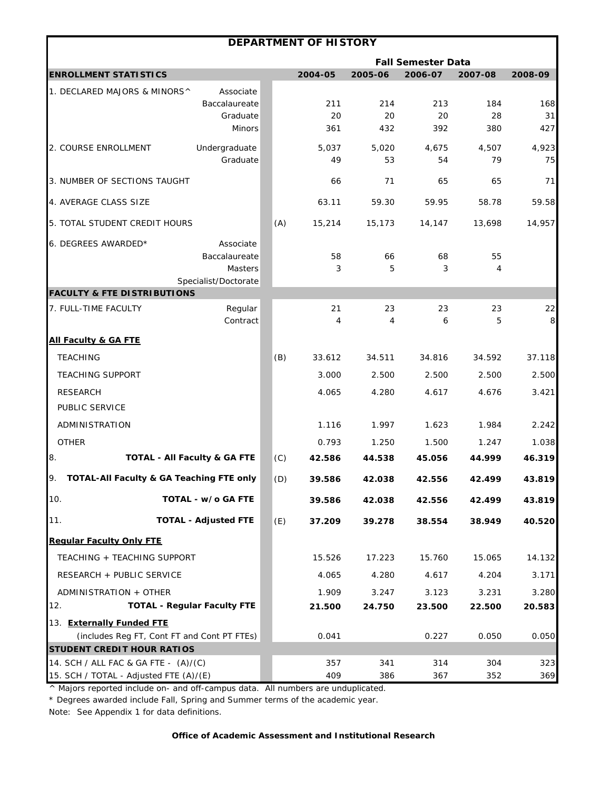|                                                                                |                                    |     | <b>DEPARTMENT OF HISTORY</b> |             |                           |             |             |
|--------------------------------------------------------------------------------|------------------------------------|-----|------------------------------|-------------|---------------------------|-------------|-------------|
|                                                                                |                                    |     |                              |             | <b>Fall Semester Data</b> |             |             |
| <b>ENROLLMENT STATISTICS</b>                                                   |                                    |     | 2004-05                      | 2005-06     | 2006-07                   | 2007-08     | 2008-09     |
| 1. DECLARED MAJORS & MINORS^                                                   | Associate                          |     |                              |             |                           |             |             |
|                                                                                | Baccalaureate                      |     | 211                          | 214         | 213                       | 184         | 168         |
|                                                                                | Graduate<br><b>Minors</b>          |     | 20<br>361                    | 20<br>432   | 20<br>392                 | 28<br>380   | 31<br>427   |
|                                                                                |                                    |     |                              |             |                           |             |             |
| 2. COURSE ENROLLMENT                                                           | Undergraduate<br>Graduate          |     | 5,037<br>49                  | 5,020<br>53 | 4,675<br>54               | 4,507<br>79 | 4,923<br>75 |
|                                                                                |                                    |     |                              |             |                           |             |             |
| 3. NUMBER OF SECTIONS TAUGHT                                                   |                                    |     | 66                           | 71          | 65                        | 65          | 71          |
| 4. AVERAGE CLASS SIZE                                                          |                                    |     | 63.11                        | 59.30       | 59.95                     | 58.78       | 59.58       |
| 5. TOTAL STUDENT CREDIT HOURS                                                  |                                    | (A) | 15,214                       | 15,173      | 14,147                    | 13,698      | 14,957      |
| 6. DEGREES AWARDED*                                                            | Associate                          |     |                              |             |                           |             |             |
|                                                                                | Baccalaureate                      |     | 58                           | 66          | 68                        | 55          |             |
|                                                                                | <b>Masters</b>                     |     | 3                            | 5           | 3                         | 4           |             |
| <b>FACULTY &amp; FTE DISTRIBUTIONS</b>                                         | Specialist/Doctorate               |     |                              |             |                           |             |             |
| 7. FULL-TIME FACULTY                                                           | Regular                            |     | 21                           | 23          | 23                        | 23          | 22          |
|                                                                                | Contract                           |     | 4                            | 4           | 6                         | 5           | $\,8\,$     |
| <b>All Faculty &amp; GA FTE</b>                                                |                                    |     |                              |             |                           |             |             |
| <b>TEACHING</b>                                                                |                                    | (B) | 33.612                       | 34.511      | 34.816                    | 34.592      | 37.118      |
| <b>TEACHING SUPPORT</b>                                                        |                                    |     | 3.000                        | 2.500       | 2.500                     | 2.500       | 2.500       |
| <b>RESEARCH</b>                                                                |                                    |     | 4.065                        | 4.280       | 4.617                     | 4.676       | 3.421       |
| PUBLIC SERVICE                                                                 |                                    |     |                              |             |                           |             |             |
| ADMINISTRATION                                                                 |                                    |     | 1.116                        | 1.997       | 1.623                     | 1.984       | 2.242       |
| <b>OTHER</b>                                                                   |                                    |     | 0.793                        | 1.250       | 1.500                     | 1.247       | 1.038       |
| 8.                                                                             | TOTAL - All Faculty & GA FTE       | (C) | 42.586                       | 44.538      | 45.056                    | 44.999      | 46.319      |
| 9.<br>TOTAL-All Faculty & GA Teaching FTE only                                 |                                    | (D) | 39.586                       | 42.038      | 42.556                    | 42.499      | 43.819      |
| 10.                                                                            | TOTAL - w/o GA FTE                 |     | 39.586                       | 42.038      | 42.556                    | 42.499      | 43.819      |
| 11.                                                                            | <b>TOTAL - Adjusted FTE</b>        | (E) | 37.209                       | 39.278      | 38.554                    | 38.949      | 40.520      |
| <b>Regular Faculty Only FTE</b>                                                |                                    |     |                              |             |                           |             |             |
| TEACHING + TEACHING SUPPORT                                                    |                                    |     | 15.526                       | 17.223      | 15.760                    | 15.065      | 14.132      |
| RESEARCH + PUBLIC SERVICE                                                      |                                    |     | 4.065                        | 4.280       | 4.617                     | 4.204       | 3.171       |
| ADMINISTRATION + OTHER                                                         |                                    |     | 1.909                        | 3.247       | 3.123                     | 3.231       | 3.280       |
| 12.                                                                            | <b>TOTAL - Regular Faculty FTE</b> |     | 21.500                       | 24.750      | 23.500                    | 22.500      | 20.583      |
| 13. Externally Funded FTE                                                      |                                    |     |                              |             |                           |             |             |
| (includes Reg FT, Cont FT and Cont PT FTEs)                                    |                                    |     | 0.041                        |             | 0.227                     | 0.050       | 0.050       |
| <b>STUDENT CREDIT HOUR RATIOS</b>                                              |                                    |     |                              |             |                           |             |             |
| 14. SCH / ALL FAC & GA FTE - (A)/(C)<br>15. SCH / TOTAL - Adjusted FTE (A)/(E) |                                    |     | 357<br>409                   | 341<br>386  | 314<br>367                | 304<br>352  | 323<br>369  |

\* Degrees awarded include Fall, Spring and Summer terms of the academic year.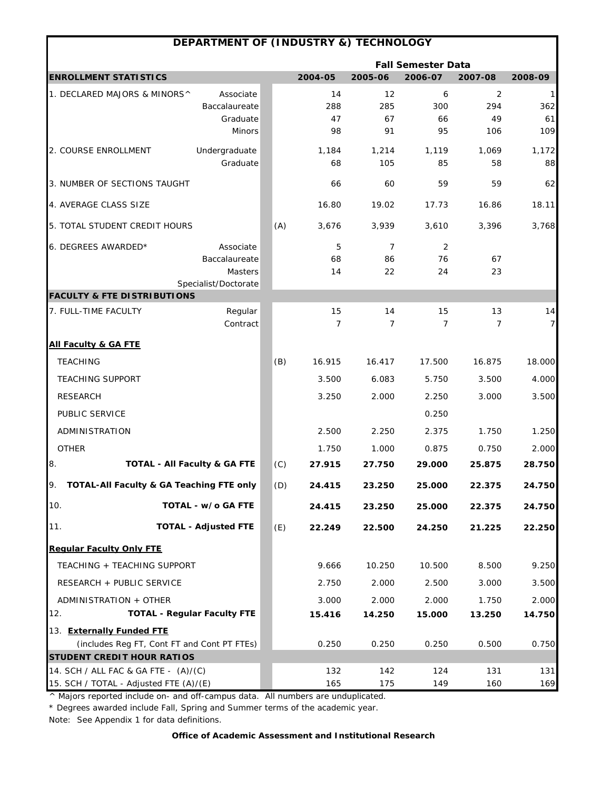|                                               | DEPARTMENT OF (INDUSTRY &) TECHNOLOGY |     |                |                |                           |                |                |
|-----------------------------------------------|---------------------------------------|-----|----------------|----------------|---------------------------|----------------|----------------|
|                                               |                                       |     |                |                | <b>Fall Semester Data</b> |                |                |
| <b>ENROLLMENT STATISTICS</b>                  |                                       |     | 2004-05        | 2005-06        | 2006-07                   | 2007-08        | 2008-09        |
| 1. DECLARED MAJORS & MINORS^                  | Associate                             |     | 14             | 12             | 6                         | 2              | $\mathbf{1}$   |
|                                               | Baccalaureate                         |     | 288            | 285            | 300                       | 294            | 362            |
|                                               | Graduate<br><b>Minors</b>             |     | 47<br>98       | 67<br>91       | 66<br>95                  | 49<br>106      | 61<br>109      |
|                                               |                                       |     |                |                |                           |                |                |
| 2. COURSE ENROLLMENT                          | Undergraduate<br>Graduate             |     | 1,184<br>68    | 1,214<br>105   | 1,119<br>85               | 1.069<br>58    | 1,172<br>88    |
|                                               |                                       |     |                |                |                           |                |                |
| 3. NUMBER OF SECTIONS TAUGHT                  |                                       |     | 66             | 60             | 59                        | 59             | 62             |
| 4. AVERAGE CLASS SIZE                         |                                       |     | 16.80          | 19.02          | 17.73                     | 16.86          | 18.11          |
| 5. TOTAL STUDENT CREDIT HOURS                 |                                       | (A) | 3,676          | 3,939          | 3,610                     | 3,396          | 3,768          |
| 6. DEGREES AWARDED*                           | Associate                             |     | 5              | $\overline{7}$ | 2                         |                |                |
|                                               | Baccalaureate                         |     | 68             | 86             | 76                        | 67             |                |
|                                               | Masters                               |     | 14             | 22             | 24                        | 23             |                |
| <b>FACULTY &amp; FTE DISTRIBUTIONS</b>        | Specialist/Doctorate                  |     |                |                |                           |                |                |
| 7. FULL-TIME FACULTY                          | Regular                               |     | 15             | 14             | 15                        | 13             | 14             |
|                                               | Contract                              |     | $\overline{7}$ | $\overline{7}$ | $\overline{7}$            | $\overline{7}$ | $\overline{7}$ |
| <b>All Faculty &amp; GA FTE</b>               |                                       |     |                |                |                           |                |                |
| <b>TEACHING</b>                               |                                       | (B) | 16.915         | 16.417         | 17.500                    | 16.875         | 18.000         |
| <b>TEACHING SUPPORT</b>                       |                                       |     | 3.500          | 6.083          | 5.750                     | 3.500          | 4.000          |
| <b>RESEARCH</b>                               |                                       |     | 3.250          | 2.000          | 2.250                     | 3.000          | 3.500          |
| PUBLIC SERVICE                                |                                       |     |                |                | 0.250                     |                |                |
| ADMINISTRATION                                |                                       |     | 2.500          | 2.250          | 2.375                     | 1.750          | 1.250          |
| <b>OTHER</b>                                  |                                       |     | 1.750          | 1.000          | 0.875                     | 0.750          | 2.000          |
| 8.<br><b>TOTAL - All Faculty &amp; GA FTE</b> |                                       | (C) | 27.915         | 27.750         | 29.000                    | 25.875         | 28.750         |
| TOTAL-All Faculty & GA Teaching FTE only      |                                       | (D) | 24.415         | 23.250         | 25.000                    | 22.375         | 24.750         |
| 10.                                           | TOTAL - w/o GA FTE                    |     | 24.415         | 23.250         | 25.000                    | 22.375         | 24.750         |
| 11.                                           | <b>TOTAL - Adjusted FTE</b>           | (E) | 22.249         | 22.500         | 24.250                    | 21.225         | 22.250         |
| <b>Regular Faculty Only FTE</b>               |                                       |     |                |                |                           |                |                |
| TEACHING + TEACHING SUPPORT                   |                                       |     | 9.666          | 10.250         | 10.500                    | 8.500          | 9.250          |
| RESEARCH + PUBLIC SERVICE                     |                                       |     | 2.750          | 2.000          | 2.500                     | 3.000          | 3.500          |
| ADMINISTRATION + OTHER                        |                                       |     | 3.000          | 2.000          | 2.000                     | 1.750          | 2.000          |
| 12.                                           | <b>TOTAL - Regular Faculty FTE</b>    |     | 15.416         | 14.250         | 15.000                    | 13.250         | 14.750         |
| 13. Externally Funded FTE                     |                                       |     |                |                |                           |                |                |
| (includes Reg FT, Cont FT and Cont PT FTEs)   |                                       |     | 0.250          | 0.250          | 0.250                     | 0.500          | 0.750          |
| <b>STUDENT CREDIT HOUR RATIOS</b>             |                                       |     |                |                |                           |                |                |
| 14. SCH / ALL FAC & GA FTE - (A)/(C)          |                                       |     | 132            | 142            | 124                       | 131            | 131            |
| 15. SCH / TOTAL - Adjusted FTE (A)/(E)        |                                       |     | 165            | 175            | 149                       | 160            | 169            |

\* Degrees awarded include Fall, Spring and Summer terms of the academic year.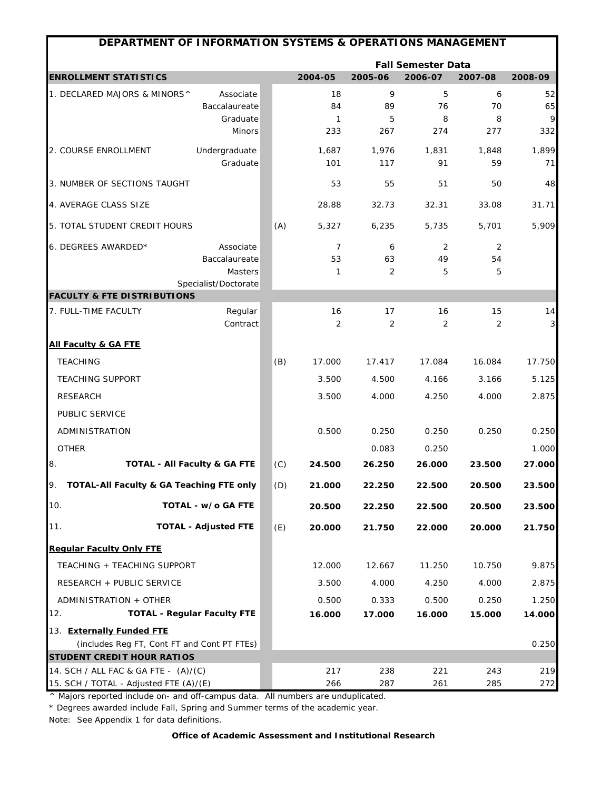| DEPARTMENT OF INFORMATION SYSTEMS & OPERATIONS MANAGEMENT |                                    |     |              |              |                           |             |              |
|-----------------------------------------------------------|------------------------------------|-----|--------------|--------------|---------------------------|-------------|--------------|
|                                                           |                                    |     |              |              | <b>Fall Semester Data</b> |             |              |
| <b>ENROLLMENT STATISTICS</b>                              |                                    |     | 2004-05      | 2005-06      | 2006-07                   | 2007-08     | 2008-09      |
| 1. DECLARED MAJORS & MINORS^                              | Associate                          |     | 18           | 9            | 5                         | 6           | 52           |
|                                                           | Baccalaureate                      |     | 84           | 89           | 76                        | 70          | 65           |
|                                                           | Graduate<br>Minors                 |     | 1<br>233     | 5<br>267     | 8<br>274                  | 8<br>277    | 9<br>332     |
|                                                           |                                    |     |              |              |                           |             |              |
| 2. COURSE ENROLLMENT                                      | Undergraduate<br>Graduate          |     | 1,687<br>101 | 1,976<br>117 | 1,831<br>91               | 1,848<br>59 | 1,899<br>71  |
|                                                           |                                    |     |              |              |                           |             |              |
| 3. NUMBER OF SECTIONS TAUGHT                              |                                    |     | 53           | 55           | 51                        | 50          | 48           |
| 4. AVERAGE CLASS SIZE                                     |                                    |     | 28.88        | 32.73        | 32.31                     | 33.08       | 31.71        |
| 5. TOTAL STUDENT CREDIT HOURS                             |                                    | (A) | 5,327        | 6,235        | 5,735                     | 5,701       | 5,909        |
| 6. DEGREES AWARDED*                                       | Associate                          |     | 7            | 6            | 2                         | 2           |              |
|                                                           | Baccalaureate                      |     | 53           | 63           | 49                        | 54          |              |
|                                                           | Masters                            |     | 1            | 2            | 5                         | 5           |              |
| <b>FACULTY &amp; FTE DISTRIBUTIONS</b>                    | Specialist/Doctorate               |     |              |              |                           |             |              |
| 7. FULL-TIME FACULTY                                      | Regular                            |     | 16           | 17           | 16                        | 15          | 14           |
|                                                           | Contract                           |     | 2            | 2            | 2                         | 2           | $\mathbf{3}$ |
| <b>All Faculty &amp; GA FTE</b>                           |                                    |     |              |              |                           |             |              |
| <b>TEACHING</b>                                           |                                    | (B) | 17.000       | 17.417       | 17.084                    | 16.084      | 17.750       |
| <b>TEACHING SUPPORT</b>                                   |                                    |     | 3.500        | 4.500        | 4.166                     | 3.166       | 5.125        |
| <b>RESEARCH</b>                                           |                                    |     | 3.500        | 4.000        | 4.250                     | 4.000       | 2.875        |
| PUBLIC SERVICE                                            |                                    |     |              |              |                           |             |              |
| ADMINISTRATION                                            |                                    |     | 0.500        | 0.250        | 0.250                     | 0.250       | 0.250        |
| <b>OTHER</b>                                              |                                    |     |              | 0.083        | 0.250                     |             | 1.000        |
| 8.<br><b>TOTAL - All Faculty &amp; GA FTE</b>             |                                    | (C) | 24.500       | 26.250       | 26.000                    | 23.500      | 27.000       |
| TOTAL-All Faculty & GA Teaching FTE only<br>19.           |                                    | (D) | 21.000       | 22.250       | 22.500                    | 20.500      | 23.500       |
| 10.                                                       | TOTAL - w/o GA FTE                 |     | 20.500       | 22.250       | 22.500                    | 20.500      | 23.500       |
| 11.                                                       | <b>TOTAL - Adjusted FTE</b>        | (E) | 20.000       | 21.750       | 22.000                    | 20.000      | 21.750       |
| <b>Regular Faculty Only FTE</b>                           |                                    |     |              |              |                           |             |              |
| TEACHING + TEACHING SUPPORT                               |                                    |     | 12.000       | 12.667       | 11.250                    | 10.750      | 9.875        |
| RESEARCH + PUBLIC SERVICE                                 |                                    |     | 3.500        | 4.000        | 4.250                     | 4.000       | 2.875        |
| ADMINISTRATION + OTHER                                    |                                    |     | 0.500        | 0.333        | 0.500                     | 0.250       | 1.250        |
| 12.                                                       | <b>TOTAL - Regular Faculty FTE</b> |     | 16.000       | 17.000       | 16.000                    | 15.000      | 14.000       |
| 13. Externally Funded FTE                                 |                                    |     |              |              |                           |             |              |
| (includes Reg FT, Cont FT and Cont PT FTEs)               |                                    |     |              |              |                           |             | 0.250        |
| <b>STUDENT CREDIT HOUR RATIOS</b>                         |                                    |     |              |              |                           |             |              |
| 14. SCH / ALL FAC & GA FTE - (A)/(C)                      |                                    |     | 217          | 238          | 221                       | 243         | 219          |
| 15. SCH / TOTAL - Adjusted FTE (A)/(E)                    |                                    |     | 266          | 287          | 261                       | 285         | 272          |

\* Degrees awarded include Fall, Spring and Summer terms of the academic year.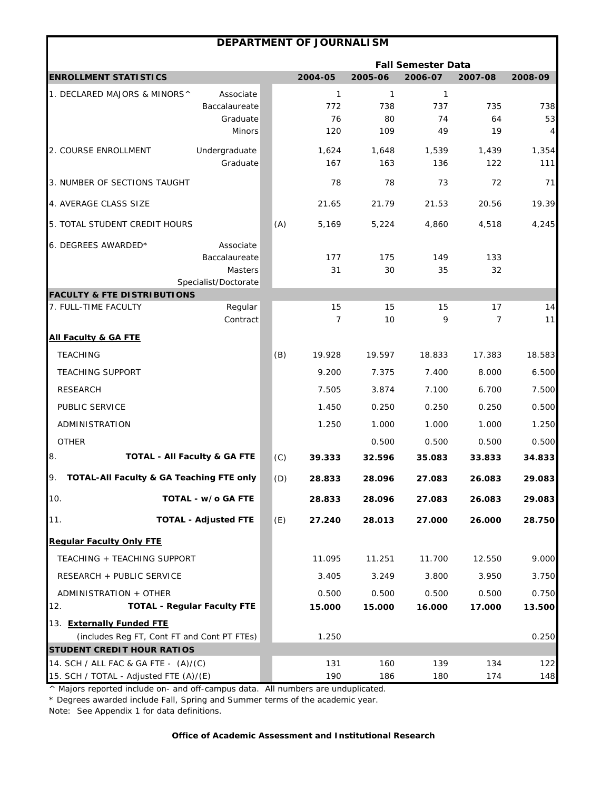|                                                |                                         |     | DEPARTMENT OF JOURNALISM |           |                           |                |         |
|------------------------------------------------|-----------------------------------------|-----|--------------------------|-----------|---------------------------|----------------|---------|
|                                                |                                         |     |                          |           | <b>Fall Semester Data</b> |                |         |
| <b>ENROLLMENT STATISTICS</b>                   |                                         |     | 2004-05                  | 2005-06   | 2006-07                   | 2007-08        | 2008-09 |
| 1. DECLARED MAJORS & MINORS^                   | Associate                               |     | $\mathbf{1}$             | 1         | $\mathbf{1}$              |                |         |
|                                                | Baccalaureate                           |     | 772                      | 738       | 737                       | 735            | 738     |
|                                                | Graduate                                |     | 76<br>120                | 80<br>109 | 74<br>49                  | 64<br>19       | 53      |
|                                                | <b>Minors</b>                           |     |                          |           |                           |                | 4       |
| 2. COURSE ENROLLMENT                           | Undergraduate                           |     | 1,624                    | 1,648     | 1,539                     | 1,439          | 1,354   |
|                                                | Graduate                                |     | 167                      | 163       | 136                       | 122            | 111     |
| 3. NUMBER OF SECTIONS TAUGHT                   |                                         |     | 78                       | 78        | 73                        | 72             | 71      |
| 4. AVERAGE CLASS SIZE                          |                                         |     | 21.65                    | 21.79     | 21.53                     | 20.56          | 19.39   |
| 5. TOTAL STUDENT CREDIT HOURS                  |                                         | (A) | 5,169                    | 5,224     | 4,860                     | 4,518          | 4,245   |
| 6. DEGREES AWARDED*                            | Associate                               |     |                          |           |                           |                |         |
|                                                | Baccalaureate                           |     | 177                      | 175       | 149                       | 133            |         |
|                                                | Masters                                 |     | 31                       | 30        | 35                        | 32             |         |
| <b>FACULTY &amp; FTE DISTRIBUTIONS</b>         | Specialist/Doctorate                    |     |                          |           |                           |                |         |
| 7. FULL-TIME FACULTY                           | Regular                                 |     | 15                       | 15        | 15                        | 17             | 14      |
|                                                | Contract                                |     | $\overline{7}$           | 10        | 9                         | $\overline{7}$ | 11      |
| <b>All Faculty &amp; GA FTE</b>                |                                         |     |                          |           |                           |                |         |
| <b>TEACHING</b>                                |                                         | (B) | 19.928                   | 19.597    | 18.833                    | 17.383         | 18.583  |
| <b>TEACHING SUPPORT</b>                        |                                         |     | 9.200                    | 7.375     | 7.400                     | 8.000          | 6.500   |
| <b>RESEARCH</b>                                |                                         |     | 7.505                    | 3.874     | 7.100                     | 6.700          | 7.500   |
| PUBLIC SERVICE                                 |                                         |     | 1.450                    | 0.250     | 0.250                     | 0.250          | 0.500   |
| ADMINISTRATION                                 |                                         |     | 1.250                    | 1.000     | 1.000                     | 1.000          | 1.250   |
| <b>OTHER</b>                                   |                                         |     |                          | 0.500     | 0.500                     | 0.500          | 0.500   |
| 8.                                             | <b>TOTAL - All Faculty &amp; GA FTE</b> | (C) | 39.333                   | 32.596    | 35.083                    | 33.833         | 34.833  |
| 9.<br>TOTAL-All Faculty & GA Teaching FTE only |                                         | (D) | 28.833                   | 28.096    | 27.083                    | 26.083         | 29.083  |
| 10.                                            | TOTAL - w/o GA FTE                      |     | 28.833                   | 28.096    | 27.083                    | 26.083         | 29.083  |
| 11.                                            | <b>TOTAL - Adjusted FTE</b>             | (E) | 27.240                   | 28.013    | 27.000                    | 26.000         | 28.750  |
| <b>Regular Faculty Only FTE</b>                |                                         |     |                          |           |                           |                |         |
| TEACHING + TEACHING SUPPORT                    |                                         |     | 11.095                   | 11.251    | 11.700                    | 12.550         | 9.000   |
| RESEARCH + PUBLIC SERVICE                      |                                         |     | 3.405                    | 3.249     | 3.800                     | 3.950          | 3.750   |
| ADMINISTRATION + OTHER                         |                                         |     | 0.500                    | 0.500     | 0.500                     | 0.500          | 0.750   |
| 12.                                            | <b>TOTAL - Regular Faculty FTE</b>      |     | 15.000                   | 15.000    | 16.000                    | 17.000         | 13.500  |
| 13. Externally Funded FTE                      |                                         |     |                          |           |                           |                |         |
| (includes Reg FT, Cont FT and Cont PT FTEs)    |                                         |     | 1.250                    |           |                           |                | 0.250   |
| <b>STUDENT CREDIT HOUR RATIOS</b>              |                                         |     |                          |           |                           |                |         |
| 14. SCH / ALL FAC & GA FTE - (A)/(C)           |                                         |     | 131                      | 160       | 139                       | 134            | 122     |
| 15. SCH / TOTAL - Adjusted FTE (A)/(E)         |                                         |     | 190                      | 186       | 180                       | 174            | 148     |

 $\overline{\phantom{a}}$  Majors reported include on- and off-campus data. All numbers are unduplicated. \* Degrees awarded include Fall, Spring and Summer terms of the academic year.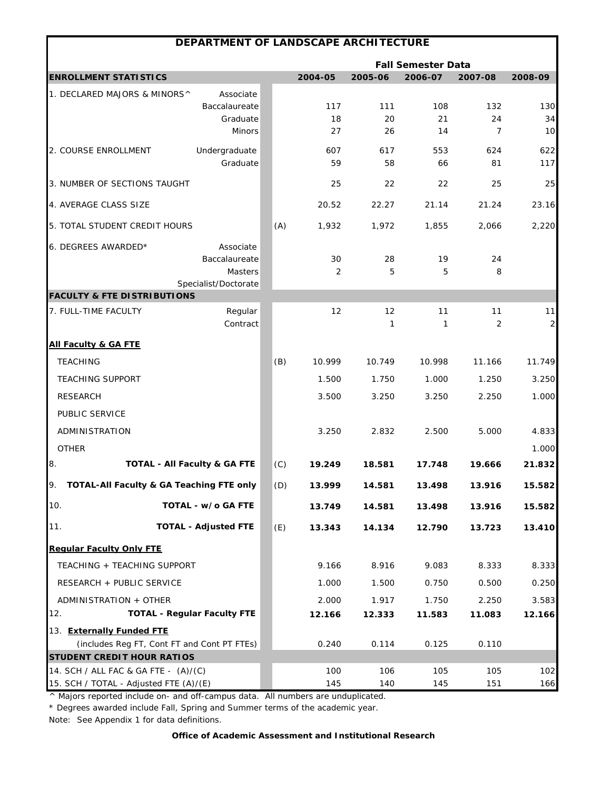| DEPARTMENT OF LANDSCAPE ARCHITECTURE        |                                         |     |           |           |                           |           |                |  |  |
|---------------------------------------------|-----------------------------------------|-----|-----------|-----------|---------------------------|-----------|----------------|--|--|
|                                             |                                         |     |           |           | <b>Fall Semester Data</b> |           |                |  |  |
| <b>ENROLLMENT STATISTICS</b>                |                                         |     | 2004-05   | 2005-06   | 2006-07                   | 2007-08   | 2008-09        |  |  |
| 1. DECLARED MAJORS & MINORS^                | Associate                               |     |           |           |                           |           |                |  |  |
|                                             | Baccalaureate                           |     | 117       | 111       | 108                       | 132       | 130            |  |  |
|                                             | Graduate<br><b>Minors</b>               |     | 18<br>27  | 20<br>26  | 21<br>14                  | 24<br>7   | 34<br>10       |  |  |
|                                             |                                         |     |           |           |                           |           |                |  |  |
| 2. COURSE ENROLLMENT                        | Undergraduate<br>Graduate               |     | 607<br>59 | 617<br>58 | 553<br>66                 | 624<br>81 | 622<br>117     |  |  |
|                                             |                                         |     |           |           |                           |           |                |  |  |
| 3. NUMBER OF SECTIONS TAUGHT                |                                         |     | 25        | 22        | 22                        | 25        | 25             |  |  |
| 4. AVERAGE CLASS SIZE                       |                                         |     | 20.52     | 22.27     | 21.14                     | 21.24     | 23.16          |  |  |
| 5. TOTAL STUDENT CREDIT HOURS               |                                         | (A) | 1,932     | 1,972     | 1,855                     | 2,066     | 2,220          |  |  |
| 6. DEGREES AWARDED*                         | Associate                               |     |           |           |                           |           |                |  |  |
|                                             | Baccalaureate                           |     | 30        | 28        | 19                        | 24        |                |  |  |
|                                             | Masters                                 |     | 2         | 5         | 5                         | 8         |                |  |  |
| <b>FACULTY &amp; FTE DISTRIBUTIONS</b>      | Specialist/Doctorate                    |     |           |           |                           |           |                |  |  |
| 7. FULL-TIME FACULTY                        | Regular                                 |     | 12        | 12        | 11                        | 11        | 11             |  |  |
|                                             | Contract                                |     |           | 1         | 1                         | 2         | $\overline{a}$ |  |  |
| <b>All Faculty &amp; GA FTE</b>             |                                         |     |           |           |                           |           |                |  |  |
| <b>TEACHING</b>                             |                                         | (B) | 10.999    | 10.749    | 10.998                    | 11.166    | 11.749         |  |  |
| <b>TEACHING SUPPORT</b>                     |                                         |     | 1.500     | 1.750     | 1.000                     | 1.250     | 3.250          |  |  |
| <b>RESEARCH</b>                             |                                         |     | 3.500     | 3.250     | 3.250                     | 2.250     | 1.000          |  |  |
| PUBLIC SERVICE                              |                                         |     |           |           |                           |           |                |  |  |
| ADMINISTRATION                              |                                         |     | 3.250     | 2.832     | 2.500                     | 5.000     | 4.833          |  |  |
| <b>OTHER</b>                                |                                         |     |           |           |                           |           | 1.000          |  |  |
| 8.                                          | <b>TOTAL - All Faculty &amp; GA FTE</b> | (C) | 19.249    | 18.581    | 17.748                    | 19.666    | 21.832         |  |  |
|                                             |                                         |     |           |           |                           |           |                |  |  |
| TOTAL-All Faculty & GA Teaching FTE only    |                                         | (D) | 13.999    | 14.581    | 13.498                    | 13.916    | 15.582         |  |  |
| 10.                                         | TOTAL - w/o GA FTE                      |     | 13.749    | 14.581    | 13.498                    | 13.916    | 15.582         |  |  |
| 11.                                         | <b>TOTAL - Adjusted FTE</b>             | (E) | 13.343    | 14.134    | 12.790                    | 13.723    | 13.410         |  |  |
| <b>Regular Faculty Only FTE</b>             |                                         |     |           |           |                           |           |                |  |  |
| TEACHING + TEACHING SUPPORT                 |                                         |     | 9.166     | 8.916     | 9.083                     | 8.333     | 8.333          |  |  |
| RESEARCH + PUBLIC SERVICE                   |                                         |     | 1.000     | 1.500     | 0.750                     | 0.500     | 0.250          |  |  |
| ADMINISTRATION + OTHER                      |                                         |     | 2.000     | 1.917     | 1.750                     | 2.250     | 3.583          |  |  |
| 12.                                         | <b>TOTAL - Regular Faculty FTE</b>      |     | 12.166    | 12.333    | 11.583                    | 11.083    | 12.166         |  |  |
| 13. Externally Funded FTE                   |                                         |     |           |           |                           |           |                |  |  |
| (includes Reg FT, Cont FT and Cont PT FTEs) |                                         |     | 0.240     | 0.114     | 0.125                     | 0.110     |                |  |  |
| <b>STUDENT CREDIT HOUR RATIOS</b>           |                                         |     |           |           |                           |           |                |  |  |
| 14. SCH / ALL FAC & GA FTE - (A)/(C)        |                                         |     | 100       | 106       | 105                       | 105       | 102            |  |  |
| 15. SCH / TOTAL - Adjusted FTE (A)/(E)      |                                         |     | 145       | 140       | 145                       | 151       | 166            |  |  |

\* Degrees awarded include Fall, Spring and Summer terms of the academic year.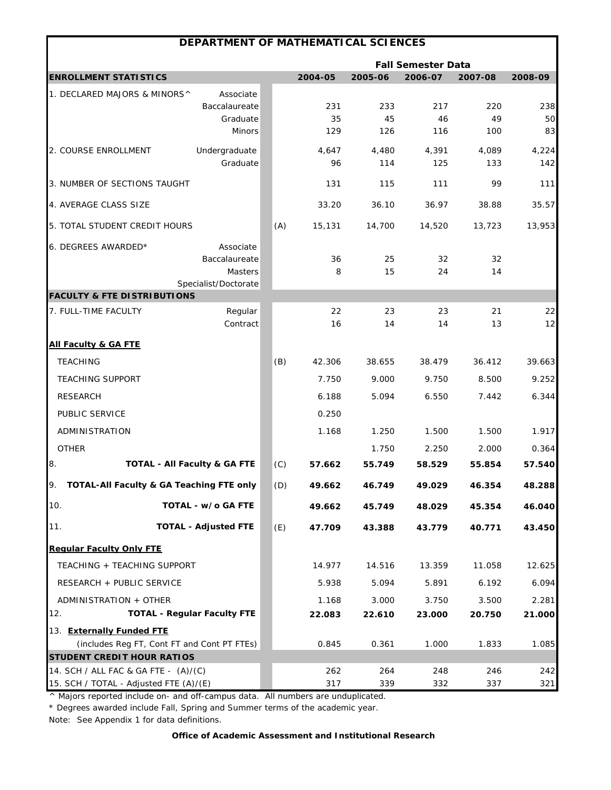|                                             | DEPARTMENT OF MATHEMATICAL SCIENCES |     |         |         |                           |         |         |
|---------------------------------------------|-------------------------------------|-----|---------|---------|---------------------------|---------|---------|
|                                             |                                     |     |         |         | <b>Fall Semester Data</b> |         |         |
| <b>ENROLLMENT STATISTICS</b>                |                                     |     | 2004-05 | 2005-06 | 2006-07                   | 2007-08 | 2008-09 |
| 1. DECLARED MAJORS & MINORS^                | Associate                           |     |         |         |                           |         |         |
|                                             | Baccalaureate                       |     | 231     | 233     | 217                       | 220     | 238     |
|                                             | Graduate                            |     | 35      | 45      | 46                        | 49      | 50      |
|                                             | <b>Minors</b>                       |     | 129     | 126     | 116                       | 100     | 83      |
| 2. COURSE ENROLLMENT                        | Undergraduate                       |     | 4,647   | 4,480   | 4,391                     | 4,089   | 4,224   |
|                                             | Graduate                            |     | 96      | 114     | 125                       | 133     | 142     |
| 3. NUMBER OF SECTIONS TAUGHT                |                                     |     | 131     | 115     | 111                       | 99      | 111     |
| 4. AVERAGE CLASS SIZE                       |                                     |     | 33.20   | 36.10   | 36.97                     | 38.88   | 35.57   |
| 5. TOTAL STUDENT CREDIT HOURS               |                                     | (A) | 15,131  | 14,700  | 14,520                    | 13,723  | 13,953  |
| 6. DEGREES AWARDED*                         | Associate                           |     |         |         |                           |         |         |
|                                             | Baccalaureate                       |     | 36      | 25      | 32                        | 32      |         |
|                                             | Masters                             |     | 8       | 15      | 24                        | 14      |         |
| <b>FACULTY &amp; FTE DISTRIBUTIONS</b>      | Specialist/Doctorate                |     |         |         |                           |         |         |
| 7. FULL-TIME FACULTY                        | Regular                             |     | 22      | 23      | 23                        | 21      | 22      |
|                                             | Contract                            |     | 16      | 14      | 14                        | 13      | 12      |
| <b>All Faculty &amp; GA FTE</b>             |                                     |     |         |         |                           |         |         |
| <b>TEACHING</b>                             |                                     | (B) | 42.306  | 38.655  | 38.479                    | 36.412  | 39.663  |
| <b>TEACHING SUPPORT</b>                     |                                     |     | 7.750   | 9.000   | 9.750                     | 8.500   | 9.252   |
| <b>RESEARCH</b>                             |                                     |     | 6.188   | 5.094   | 6.550                     | 7.442   | 6.344   |
| PUBLIC SERVICE                              |                                     |     | 0.250   |         |                           |         |         |
| ADMINISTRATION                              |                                     |     | 1.168   | 1.250   | 1.500                     | 1.500   | 1.917   |
| <b>OTHER</b>                                |                                     |     |         | 1.750   | 2.250                     | 2.000   | 0.364   |
| 8.                                          | TOTAL - All Faculty & GA FTE        | (C) | 57.662  | 55.749  | 58.529                    | 55.854  | 57.540  |
| TOTAL-All Faculty & GA Teaching FTE only    |                                     | (D) | 49.662  | 46.749  | 49.029                    | 46.354  | 48.288  |
| 10.                                         | TOTAL - w/o GA FTE                  |     | 49.662  | 45.749  | 48.029                    | 45.354  | 46.040  |
| 11.                                         | <b>TOTAL - Adjusted FTE</b>         | (E) | 47.709  | 43.388  | 43.779                    | 40.771  | 43.450  |
| <b>Regular Faculty Only FTE</b>             |                                     |     |         |         |                           |         |         |
| TEACHING + TEACHING SUPPORT                 |                                     |     | 14.977  | 14.516  | 13.359                    | 11.058  | 12.625  |
| RESEARCH + PUBLIC SERVICE                   |                                     |     | 5.938   | 5.094   | 5.891                     | 6.192   | 6.094   |
| ADMINISTRATION + OTHER                      |                                     |     | 1.168   | 3.000   | 3.750                     | 3.500   | 2.281   |
| 12.                                         | <b>TOTAL - Regular Faculty FTE</b>  |     | 22.083  | 22.610  | 23.000                    | 20.750  | 21.000  |
| 13. Externally Funded FTE                   |                                     |     |         |         |                           |         |         |
| (includes Reg FT, Cont FT and Cont PT FTEs) |                                     |     | 0.845   | 0.361   | 1.000                     | 1.833   | 1.085   |
| <b>STUDENT CREDIT HOUR RATIOS</b>           |                                     |     |         |         |                           |         |         |
| 14. SCH / ALL FAC & GA FTE - (A)/(C)        |                                     |     | 262     | 264     | 248                       | 246     | 242     |
| 15. SCH / TOTAL - Adjusted FTE (A)/(E)      |                                     |     | 317     | 339     | 332                       | 337     | 321     |

\* Degrees awarded include Fall, Spring and Summer terms of the academic year.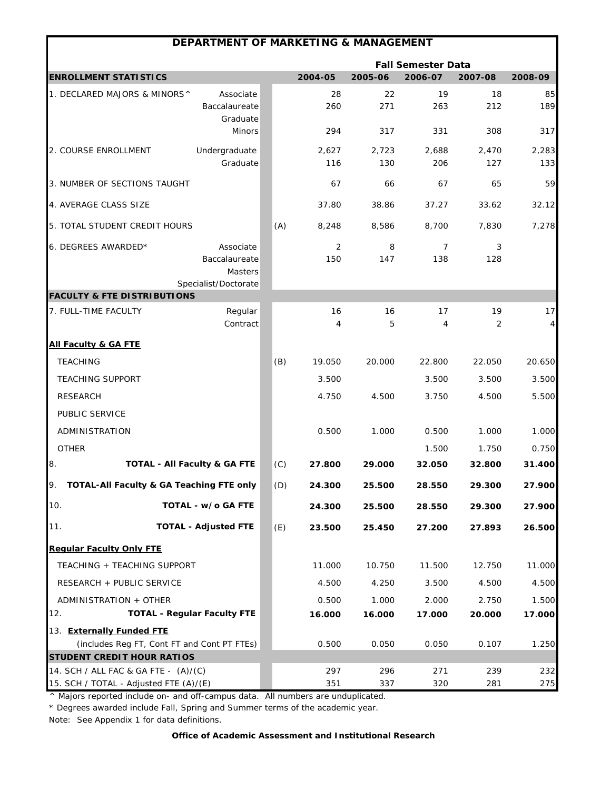| <b>DEPARTMENT OF MARKETING &amp; MANAGEMENT</b>                                      |     |                      |              |                           |              |              |
|--------------------------------------------------------------------------------------|-----|----------------------|--------------|---------------------------|--------------|--------------|
|                                                                                      |     |                      |              | <b>Fall Semester Data</b> |              |              |
| <b>ENROLLMENT STATISTICS</b>                                                         |     | 2004-05              | 2005-06      | 2006-07                   | 2007-08      | 2008-09      |
| 1. DECLARED MAJORS & MINORS^<br>Associate<br>Baccalaureate<br>Graduate               |     | 28<br>260            | 22<br>271    | 19<br>263                 | 18<br>212    | 85<br>189    |
| <b>Minors</b>                                                                        |     | 294                  | 317          | 331                       | 308          | 317          |
| Undergraduate<br>2. COURSE ENROLLMENT<br>Graduate                                    |     | 2,627<br>116         | 2,723<br>130 | 2,688<br>206              | 2,470<br>127 | 2,283<br>133 |
| 3. NUMBER OF SECTIONS TAUGHT                                                         |     | 67                   | 66           | 67                        | 65           | 59           |
| 4. AVERAGE CLASS SIZE                                                                |     | 37.80                | 38.86        | 37.27                     | 33.62        | 32.12        |
| 5. TOTAL STUDENT CREDIT HOURS                                                        | (A) | 8,248                | 8,586        | 8,700                     | 7,830        | 7,278        |
| 6. DEGREES AWARDED*<br>Associate<br>Baccalaureate<br>Masters<br>Specialist/Doctorate |     | 2<br>150             | 8<br>147     | 7<br>138                  | 3<br>128     |              |
| <b>FACULTY &amp; FTE DISTRIBUTIONS</b>                                               |     |                      |              |                           |              |              |
| Regular<br>7. FULL-TIME FACULTY<br>Contract                                          |     | 16<br>$\overline{4}$ | 16<br>5      | 17<br>4                   | 19<br>2      | 17<br>4      |
| <b>All Faculty &amp; GA FTE</b>                                                      |     |                      |              |                           |              |              |
| <b>TEACHING</b>                                                                      | (B) | 19.050               | 20.000       | 22.800                    | 22.050       | 20.650       |
| <b>TEACHING SUPPORT</b>                                                              |     | 3.500                |              | 3.500                     | 3.500        | 3.500        |
| <b>RESEARCH</b>                                                                      |     | 4.750                | 4.500        | 3.750                     | 4.500        | 5.500        |
| PUBLIC SERVICE                                                                       |     |                      |              |                           |              |              |
| ADMINISTRATION                                                                       |     | 0.500                | 1.000        | 0.500                     | 1.000        | 1.000        |
| <b>OTHER</b>                                                                         |     |                      |              | 1.500                     | 1.750        | 0.750        |
| 8.<br>TOTAL - All Faculty & GA FTE                                                   | (C) | 27.800               | 29.000       | 32.050                    | 32.800       | 31.400       |
| TOTAL-All Faculty & GA Teaching FTE only                                             | (D) | 24.300               | 25.500       | 28.550                    | 29.300       | 27.900       |
| 10.<br>TOTAL - w/o GA FTE                                                            |     | 24.300               | 25.500       | 28.550                    | 29.300       | 27.900       |
| 11.<br><b>TOTAL - Adjusted FTE</b>                                                   | (E) | 23.500               | 25.450       | 27.200                    | 27.893       | 26.500       |
| <b>Regular Faculty Only FTE</b>                                                      |     |                      |              |                           |              |              |
| TEACHING + TEACHING SUPPORT                                                          |     | 11.000               | 10.750       | 11.500                    | 12.750       | 11.000       |
| RESEARCH + PUBLIC SERVICE                                                            |     | 4.500                | 4.250        | 3.500                     | 4.500        | 4.500        |
| ADMINISTRATION + OTHER                                                               |     | 0.500                | 1.000        | 2.000                     | 2.750        | 1.500        |
| 12.<br><b>TOTAL - Regular Faculty FTE</b>                                            |     | 16.000               | 16.000       | 17.000                    | 20.000       | 17.000       |
| 13. Externally Funded FTE                                                            |     |                      |              |                           |              |              |
| (includes Reg FT, Cont FT and Cont PT FTEs)                                          |     | 0.500                | 0.050        | 0.050                     | 0.107        | 1.250        |
| <b>STUDENT CREDIT HOUR RATIOS</b>                                                    |     |                      |              |                           |              |              |
| 14. SCH / ALL FAC & GA FTE - (A)/(C)<br>15. SCH / TOTAL - Adjusted FTE (A)/(E)       |     | 297<br>351           | 296<br>337   | 271<br>320                | 239<br>281   | 232<br>275   |

\* Degrees awarded include Fall, Spring and Summer terms of the academic year.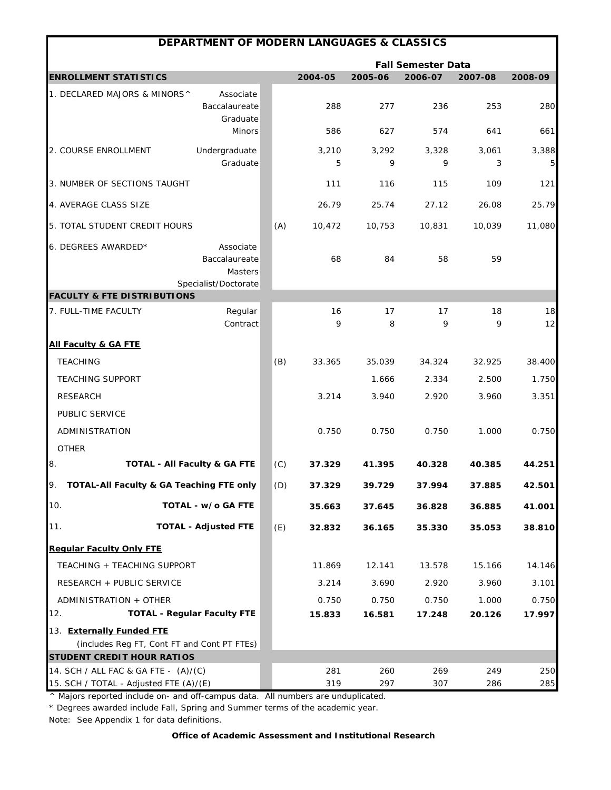|                                                                                | <b>DEPARTMENT OF MODERN LANGUAGES &amp; CLASSICS</b>          |     |            |            |                           |            |            |
|--------------------------------------------------------------------------------|---------------------------------------------------------------|-----|------------|------------|---------------------------|------------|------------|
|                                                                                |                                                               |     |            |            | <b>Fall Semester Data</b> |            |            |
| <b>ENROLLMENT STATISTICS</b>                                                   |                                                               |     | 2004-05    | 2005-06    | 2006-07                   | 2007-08    | 2008-09    |
| 1. DECLARED MAJORS & MINORS^                                                   | Associate<br>Baccalaureate<br>Graduate                        |     | 288        | 277        | 236                       | 253        | 280        |
|                                                                                | Minors                                                        |     | 586        | 627        | 574                       | 641        | 661        |
| 2. COURSE ENROLLMENT                                                           | Undergraduate<br>Graduate                                     |     | 3,210<br>5 | 3,292<br>9 | 3,328<br>9                | 3,061<br>3 | 3,388<br>5 |
| 3. NUMBER OF SECTIONS TAUGHT                                                   |                                                               |     | 111        | 116        | 115                       | 109        | 121        |
| 4. AVERAGE CLASS SIZE                                                          |                                                               |     | 26.79      | 25.74      | 27.12                     | 26.08      | 25.79      |
| 5. TOTAL STUDENT CREDIT HOURS                                                  |                                                               | (A) | 10,472     | 10,753     | 10,831                    | 10,039     | 11,080     |
| 6. DEGREES AWARDED*                                                            | Associate<br>Baccalaureate<br>Masters<br>Specialist/Doctorate |     | 68         | 84         | 58                        | 59         |            |
| <b>FACULTY &amp; FTE DISTRIBUTIONS</b>                                         |                                                               |     |            |            |                           |            |            |
| 7. FULL-TIME FACULTY                                                           | Regular<br>Contract                                           |     | 16<br>9    | 17<br>8    | 17<br>9                   | 18<br>9    | 18<br>12   |
| <b>All Faculty &amp; GA FTE</b>                                                |                                                               |     |            |            |                           |            |            |
| <b>TEACHING</b>                                                                |                                                               | (B) | 33.365     | 35.039     | 34.324                    | 32.925     | 38.400     |
| <b>TEACHING SUPPORT</b>                                                        |                                                               |     |            | 1.666      | 2.334                     | 2.500      | 1.750      |
| <b>RESEARCH</b>                                                                |                                                               |     | 3.214      | 3.940      | 2.920                     | 3.960      | 3.351      |
| PUBLIC SERVICE                                                                 |                                                               |     |            |            |                           |            |            |
| ADMINISTRATION                                                                 |                                                               |     | 0.750      | 0.750      | 0.750                     | 1.000      | 0.750      |
| <b>OTHER</b>                                                                   |                                                               |     |            |            |                           |            |            |
| 8.<br><b>TOTAL - All Faculty &amp; GA FTE</b>                                  |                                                               | (C) | 37.329     | 41.395     | 40.328                    | 40.385     | 44.251     |
| TOTAL-All Faculty & GA Teaching FTE only                                       |                                                               | (D) | 37.329     | 39.729     | 37.994                    | 37.885     | 42.501     |
| 10.                                                                            | TOTAL - w/o GA FTE                                            |     | 35.663     | 37.645     | 36.828                    | 36.885     | 41.001     |
| <b>TOTAL - Adjusted FTE</b><br>11.                                             |                                                               | (E) | 32.832     | 36.165     | 35.330                    | 35.053     | 38.810     |
| <b>Regular Faculty Only FTE</b>                                                |                                                               |     |            |            |                           |            |            |
| TEACHING + TEACHING SUPPORT                                                    |                                                               |     | 11.869     | 12.141     | 13.578                    | 15.166     | 14.146     |
| RESEARCH + PUBLIC SERVICE                                                      |                                                               |     | 3.214      | 3.690      | 2.920                     | 3.960      | 3.101      |
| ADMINISTRATION + OTHER                                                         |                                                               |     | 0.750      | 0.750      | 0.750                     | 1.000      | 0.750      |
| <b>TOTAL - Regular Faculty FTE</b><br>12.                                      |                                                               |     | 15.833     | 16.581     | 17.248                    | 20.126     | 17.997     |
| 13. Externally Funded FTE                                                      |                                                               |     |            |            |                           |            |            |
| (includes Reg FT, Cont FT and Cont PT FTEs)                                    |                                                               |     |            |            |                           |            |            |
| <b>STUDENT CREDIT HOUR RATIOS</b>                                              |                                                               |     |            |            |                           |            |            |
| 14. SCH / ALL FAC & GA FTE - (A)/(C)<br>15. SCH / TOTAL - Adjusted FTE (A)/(E) |                                                               |     | 281<br>319 | 260<br>297 | 269<br>307                | 249<br>286 | 250<br>285 |

\* Degrees awarded include Fall, Spring and Summer terms of the academic year.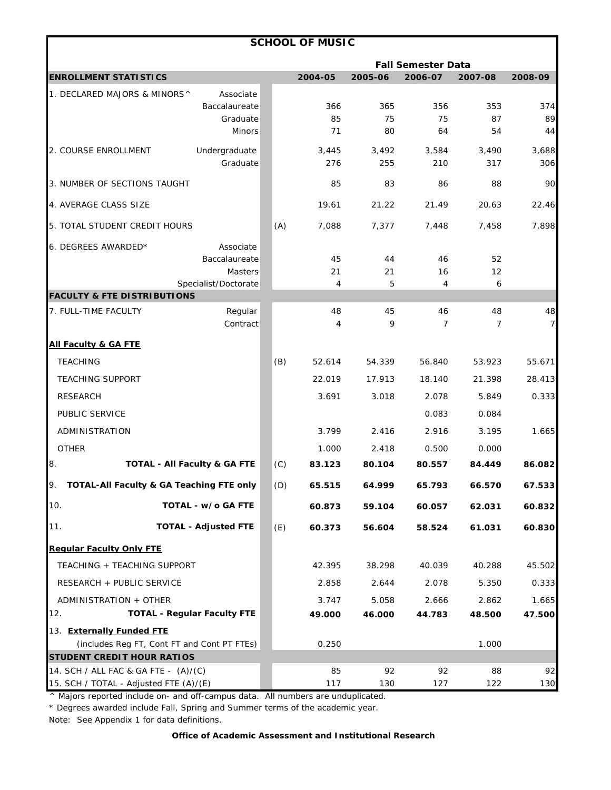| <b>Fall Semester Data</b><br><b>ENROLLMENT STATISTICS</b><br>2004-05<br>2005-06<br>2006-07<br>2007-08<br>2008-09<br>1. DECLARED MAJORS & MINORS^<br>Associate<br>366<br>353<br>374<br>Baccalaureate<br>365<br>356<br>85<br>75<br>75<br>87<br>Graduate<br>80<br>54<br><b>Minors</b><br>71<br>64<br>Undergraduate<br>3,688<br>2. COURSE ENROLLMENT<br>3,445<br>3,492<br>3,584<br>3,490<br>Graduate<br>276<br>255<br>210<br>317<br>306<br>83<br>3. NUMBER OF SECTIONS TAUGHT<br>85<br>86<br>88<br>4. AVERAGE CLASS SIZE<br>19.61<br>21.22<br>21.49<br>20.63<br>22.46<br>5. TOTAL STUDENT CREDIT HOURS<br>(A)<br>7,088<br>7,377<br>7,448<br>7,458<br>7,898<br>Associate<br>Baccalaureate<br>45<br>44<br>46<br>52<br>21<br>16<br>Masters<br>21<br>12<br>Specialist/Doctorate<br>5<br>4<br>6<br>4<br>7. FULL-TIME FACULTY<br>Regular<br>48<br>45<br>46<br>48<br>Contract<br>9<br>$\overline{7}$<br>7<br>4 |
|-----------------------------------------------------------------------------------------------------------------------------------------------------------------------------------------------------------------------------------------------------------------------------------------------------------------------------------------------------------------------------------------------------------------------------------------------------------------------------------------------------------------------------------------------------------------------------------------------------------------------------------------------------------------------------------------------------------------------------------------------------------------------------------------------------------------------------------------------------------------------------------------------------|
|                                                                                                                                                                                                                                                                                                                                                                                                                                                                                                                                                                                                                                                                                                                                                                                                                                                                                                     |
|                                                                                                                                                                                                                                                                                                                                                                                                                                                                                                                                                                                                                                                                                                                                                                                                                                                                                                     |
|                                                                                                                                                                                                                                                                                                                                                                                                                                                                                                                                                                                                                                                                                                                                                                                                                                                                                                     |
|                                                                                                                                                                                                                                                                                                                                                                                                                                                                                                                                                                                                                                                                                                                                                                                                                                                                                                     |
|                                                                                                                                                                                                                                                                                                                                                                                                                                                                                                                                                                                                                                                                                                                                                                                                                                                                                                     |
|                                                                                                                                                                                                                                                                                                                                                                                                                                                                                                                                                                                                                                                                                                                                                                                                                                                                                                     |
|                                                                                                                                                                                                                                                                                                                                                                                                                                                                                                                                                                                                                                                                                                                                                                                                                                                                                                     |
|                                                                                                                                                                                                                                                                                                                                                                                                                                                                                                                                                                                                                                                                                                                                                                                                                                                                                                     |
| 6. DEGREES AWARDED*<br><b>FACULTY &amp; FTE DISTRIBUTIONS</b><br><b>All Faculty &amp; GA FTE</b>                                                                                                                                                                                                                                                                                                                                                                                                                                                                                                                                                                                                                                                                                                                                                                                                    |
|                                                                                                                                                                                                                                                                                                                                                                                                                                                                                                                                                                                                                                                                                                                                                                                                                                                                                                     |
|                                                                                                                                                                                                                                                                                                                                                                                                                                                                                                                                                                                                                                                                                                                                                                                                                                                                                                     |
|                                                                                                                                                                                                                                                                                                                                                                                                                                                                                                                                                                                                                                                                                                                                                                                                                                                                                                     |
|                                                                                                                                                                                                                                                                                                                                                                                                                                                                                                                                                                                                                                                                                                                                                                                                                                                                                                     |
|                                                                                                                                                                                                                                                                                                                                                                                                                                                                                                                                                                                                                                                                                                                                                                                                                                                                                                     |
| <b>TEACHING</b><br>(B)<br>52.614<br>54.339<br>56.840<br>53.923<br>55.671                                                                                                                                                                                                                                                                                                                                                                                                                                                                                                                                                                                                                                                                                                                                                                                                                            |
| 18.140<br>28.413<br><b>TEACHING SUPPORT</b><br>22.019<br>17.913<br>21.398                                                                                                                                                                                                                                                                                                                                                                                                                                                                                                                                                                                                                                                                                                                                                                                                                           |
| 0.333<br><b>RESEARCH</b><br>3.691<br>3.018<br>2.078<br>5.849                                                                                                                                                                                                                                                                                                                                                                                                                                                                                                                                                                                                                                                                                                                                                                                                                                        |
| PUBLIC SERVICE<br>0.083<br>0.084                                                                                                                                                                                                                                                                                                                                                                                                                                                                                                                                                                                                                                                                                                                                                                                                                                                                    |
| ADMINISTRATION<br>3.799<br>2.416<br>1.665<br>2.916<br>3.195                                                                                                                                                                                                                                                                                                                                                                                                                                                                                                                                                                                                                                                                                                                                                                                                                                         |
| <b>OTHER</b><br>1.000<br>2.418<br>0.500<br>0.000                                                                                                                                                                                                                                                                                                                                                                                                                                                                                                                                                                                                                                                                                                                                                                                                                                                    |
| 8.<br><b>TOTAL - All Faculty &amp; GA FTE</b><br>(C)<br>83.123<br>84.449<br>80.104<br>80.557<br>86.082                                                                                                                                                                                                                                                                                                                                                                                                                                                                                                                                                                                                                                                                                                                                                                                              |
| TOTAL-All Faculty & GA Teaching FTE only<br>(D)<br>64.999<br>65.793<br>66.570<br>65.515<br>IУ.<br>67.533                                                                                                                                                                                                                                                                                                                                                                                                                                                                                                                                                                                                                                                                                                                                                                                            |
| 10.<br>TOTAL - w/o GA FTE<br>60.873<br>59.104<br>60.057<br>62.031<br>60.832                                                                                                                                                                                                                                                                                                                                                                                                                                                                                                                                                                                                                                                                                                                                                                                                                         |
| 11.<br><b>TOTAL - Adjusted FTE</b><br>(E)<br>60.830<br>60.373<br>56.604<br>58.524<br>61.031                                                                                                                                                                                                                                                                                                                                                                                                                                                                                                                                                                                                                                                                                                                                                                                                         |
| <b>Regular Faculty Only FTE</b>                                                                                                                                                                                                                                                                                                                                                                                                                                                                                                                                                                                                                                                                                                                                                                                                                                                                     |
| 38.298<br>40.039<br>40.288<br>TEACHING + TEACHING SUPPORT<br>42.395<br>45.502                                                                                                                                                                                                                                                                                                                                                                                                                                                                                                                                                                                                                                                                                                                                                                                                                       |
| RESEARCH + PUBLIC SERVICE<br>2.078<br>5.350<br>0.333<br>2.858<br>2.644                                                                                                                                                                                                                                                                                                                                                                                                                                                                                                                                                                                                                                                                                                                                                                                                                              |
| 1.665<br>ADMINISTRATION + OTHER<br>3.747<br>5.058<br>2.666<br>2.862                                                                                                                                                                                                                                                                                                                                                                                                                                                                                                                                                                                                                                                                                                                                                                                                                                 |
| <b>TOTAL - Regular Faculty FTE</b><br>12.<br>46.000<br>47.500<br>49.000<br>44.783<br>48.500                                                                                                                                                                                                                                                                                                                                                                                                                                                                                                                                                                                                                                                                                                                                                                                                         |
| 13. Externally Funded FTE                                                                                                                                                                                                                                                                                                                                                                                                                                                                                                                                                                                                                                                                                                                                                                                                                                                                           |
| (includes Reg FT, Cont FT and Cont PT FTEs)<br>0.250<br>1.000                                                                                                                                                                                                                                                                                                                                                                                                                                                                                                                                                                                                                                                                                                                                                                                                                                       |
| <b>STUDENT CREDIT HOUR RATIOS</b>                                                                                                                                                                                                                                                                                                                                                                                                                                                                                                                                                                                                                                                                                                                                                                                                                                                                   |
| 14. SCH / ALL FAC & GA FTE - (A)/(C)<br>85<br>92<br>92<br>88<br>15. SCH / TOTAL - Adjusted FTE (A)/(E)<br>117<br>130<br>122<br>130<br>127                                                                                                                                                                                                                                                                                                                                                                                                                                                                                                                                                                                                                                                                                                                                                           |

\* Degrees awarded include Fall, Spring and Summer terms of the academic year.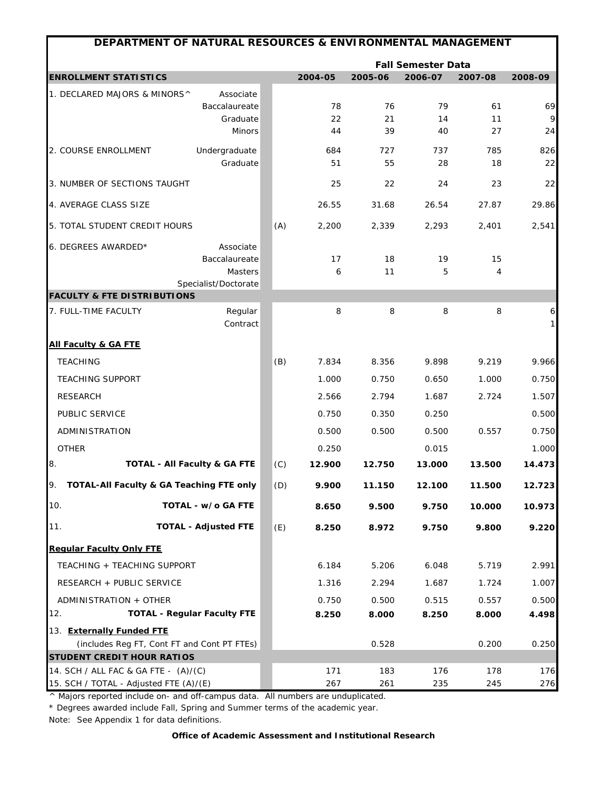| DEPARTMENT OF NATURAL RESOURCES & ENVIRONMENTAL MANAGEMENT |                                         |     |         |         |                                      |         |              |
|------------------------------------------------------------|-----------------------------------------|-----|---------|---------|--------------------------------------|---------|--------------|
| <b>ENROLLMENT STATISTICS</b>                               |                                         |     | 2004-05 | 2005-06 | <b>Fall Semester Data</b><br>2006-07 | 2007-08 | 2008-09      |
| 1. DECLARED MAJORS & MINORS^                               | Associate                               |     |         |         |                                      |         |              |
|                                                            | Baccalaureate                           |     | 78      | 76      | 79                                   | 61      | 69           |
|                                                            | Graduate                                |     | 22      | 21      | 14                                   | 11      | 9            |
|                                                            | Minors                                  |     | 44      | 39      | 40                                   | 27      | 24           |
| 2. COURSE ENROLLMENT                                       | Undergraduate                           |     | 684     | 727     | 737                                  | 785     | 826          |
|                                                            | Graduate                                |     | 51      | 55      | 28                                   | 18      | 22           |
| 3. NUMBER OF SECTIONS TAUGHT                               |                                         |     | 25      | 22      | 24                                   | 23      | 22           |
| 4. AVERAGE CLASS SIZE                                      |                                         |     | 26.55   | 31.68   | 26.54                                | 27.87   | 29.86        |
| 5. TOTAL STUDENT CREDIT HOURS                              |                                         | (A) | 2,200   | 2,339   | 2,293                                | 2,401   | 2,541        |
| 6. DEGREES AWARDED*                                        | Associate                               |     |         |         |                                      |         |              |
|                                                            | Baccalaureate                           |     | 17      | 18      | 19                                   | 15      |              |
|                                                            | Masters                                 |     | 6       | 11      | 5                                    | 4       |              |
| <b>FACULTY &amp; FTE DISTRIBUTIONS</b>                     | Specialist/Doctorate                    |     |         |         |                                      |         |              |
| 7. FULL-TIME FACULTY                                       | Regular                                 |     | 8       | 8       | 8                                    | 8       | 6            |
|                                                            | Contract                                |     |         |         |                                      |         | $\mathbf{1}$ |
| <b>All Faculty &amp; GA FTE</b>                            |                                         |     |         |         |                                      |         |              |
| <b>TEACHING</b>                                            |                                         | (B) | 7.834   | 8.356   | 9.898                                | 9.219   | 9.966        |
| <b>TEACHING SUPPORT</b>                                    |                                         |     | 1.000   | 0.750   | 0.650                                | 1.000   | 0.750        |
| <b>RESEARCH</b>                                            |                                         |     | 2.566   | 2.794   | 1.687                                | 2.724   | 1.507        |
| PUBLIC SERVICE                                             |                                         |     | 0.750   | 0.350   | 0.250                                |         | 0.500        |
| ADMINISTRATION                                             |                                         |     | 0.500   | 0.500   | 0.500                                | 0.557   | 0.750        |
| <b>OTHER</b>                                               |                                         |     | 0.250   |         | 0.015                                |         | 1.000        |
| 8.                                                         | <b>TOTAL - All Faculty &amp; GA FTE</b> | (C) | 12.900  | 12.750  | 13.000                               | 13.500  | 14.473       |
| TOTAL-All Faculty & GA Teaching FTE only<br>9.             |                                         | (D) | 9.900   | 11.150  | 12.100                               | 11.500  | 12.723       |
| 10.                                                        | TOTAL - w/o GA FTE                      |     | 8.650   | 9.500   | 9.750                                | 10.000  | 10.973       |
| 11.                                                        | <b>TOTAL - Adjusted FTE</b>             | (E) | 8.250   | 8.972   | 9.750                                | 9.800   | 9.220        |
| <b>Regular Faculty Only FTE</b>                            |                                         |     |         |         |                                      |         |              |
| TEACHING + TEACHING SUPPORT                                |                                         |     | 6.184   | 5.206   | 6.048                                | 5.719   | 2.991        |
| RESEARCH + PUBLIC SERVICE                                  |                                         |     | 1.316   | 2.294   | 1.687                                | 1.724   | 1.007        |
| ADMINISTRATION + OTHER                                     |                                         |     | 0.750   | 0.500   | 0.515                                | 0.557   | 0.500        |
| 12.                                                        | <b>TOTAL - Regular Faculty FTE</b>      |     | 8.250   | 8.000   | 8.250                                | 8.000   | 4.498        |
| 13. Externally Funded FTE                                  |                                         |     |         |         |                                      |         |              |
| (includes Reg FT, Cont FT and Cont PT FTEs)                |                                         |     |         | 0.528   |                                      | 0.200   | 0.250        |
| <b>STUDENT CREDIT HOUR RATIOS</b>                          |                                         |     |         |         |                                      |         |              |
| 14. SCH / ALL FAC & GA FTE - (A)/(C)                       |                                         |     | 171     | 183     | 176                                  | 178     | 176          |
| 15. SCH / TOTAL - Adjusted FTE (A)/(E)                     |                                         |     | 267     | 261     | 235                                  | 245     | 276          |

\* Degrees awarded include Fall, Spring and Summer terms of the academic year.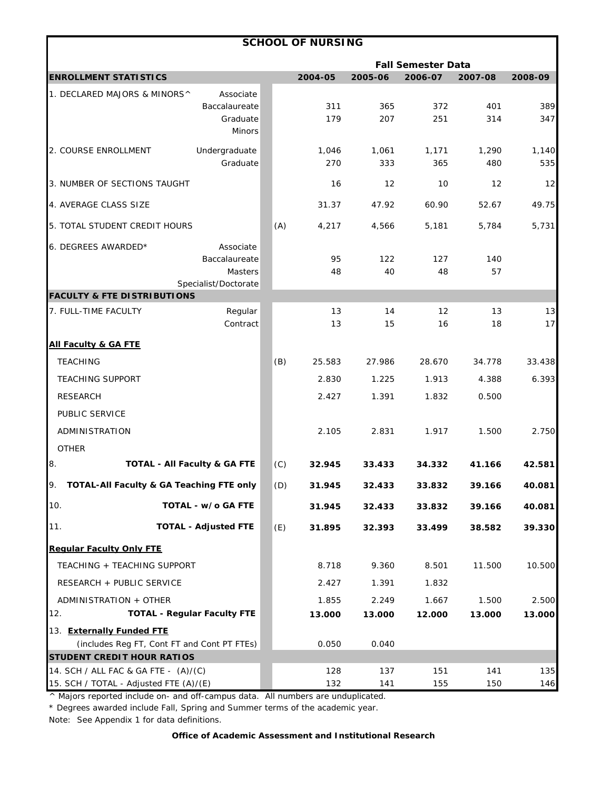|                                                                                |                                                                      |     | <b>SCHOOL OF NURSING</b> |              |                           |              |              |
|--------------------------------------------------------------------------------|----------------------------------------------------------------------|-----|--------------------------|--------------|---------------------------|--------------|--------------|
|                                                                                |                                                                      |     |                          |              | <b>Fall Semester Data</b> |              |              |
| <b>ENROLLMENT STATISTICS</b>                                                   |                                                                      |     | 2004-05                  | 2005-06      | 2006-07                   | 2007-08      | 2008-09      |
| 1. DECLARED MAJORS & MINORS^                                                   | Associate<br>Baccalaureate<br>Graduate<br>Minors                     |     | 311<br>179               | 365<br>207   | 372<br>251                | 401<br>314   | 389<br>347   |
| 2. COURSE ENROLLMENT                                                           | Undergraduate<br>Graduate                                            |     | 1,046<br>270             | 1,061<br>333 | 1,171<br>365              | 1,290<br>480 | 1,140<br>535 |
| 3. NUMBER OF SECTIONS TAUGHT                                                   |                                                                      |     | 16                       | 12           | 10                        | 12           | 12           |
| 4. AVERAGE CLASS SIZE                                                          |                                                                      |     | 31.37                    | 47.92        | 60.90                     | 52.67        | 49.75        |
| 5. TOTAL STUDENT CREDIT HOURS                                                  |                                                                      | (A) | 4,217                    | 4,566        | 5,181                     | 5,784        | 5,731        |
| 6. DEGREES AWARDED*                                                            | Associate<br>Baccalaureate<br><b>Masters</b><br>Specialist/Doctorate |     | 95<br>48                 | 122<br>40    | 127<br>48                 | 140<br>57    |              |
| <b>FACULTY &amp; FTE DISTRIBUTIONS</b>                                         |                                                                      |     |                          |              |                           |              |              |
| 7. FULL-TIME FACULTY                                                           | Regular<br>Contract                                                  |     | 13<br>13                 | 14<br>15     | 12<br>16                  | 13<br>18     | 13<br>17     |
| <b>All Faculty &amp; GA FTE</b>                                                |                                                                      |     |                          |              |                           |              |              |
| <b>TEACHING</b>                                                                |                                                                      | (B) | 25.583                   | 27.986       | 28.670                    | 34.778       | 33.438       |
| <b>TEACHING SUPPORT</b>                                                        |                                                                      |     | 2.830                    | 1.225        | 1.913                     | 4.388        | 6.393        |
| <b>RESEARCH</b>                                                                |                                                                      |     | 2.427                    | 1.391        | 1.832                     | 0.500        |              |
| PUBLIC SERVICE                                                                 |                                                                      |     |                          |              |                           |              |              |
| ADMINISTRATION                                                                 |                                                                      |     | 2.105                    | 2.831        | 1.917                     | 1.500        | 2.750        |
| <b>OTHER</b><br>8.                                                             | TOTAL - All Faculty & GA FTE                                         | (C) | 32.945                   | 33.433       | 34.332                    | 41.166       | 42.581       |
| TOTAL-All Faculty & GA Teaching FTE only                                       |                                                                      | (D) | 31.945                   | 32.433       | 33.832                    | 39.166       | 40.081       |
| 10.                                                                            | TOTAL - w/o GA FTE                                                   |     | 31.945                   | 32.433       | 33.832                    | 39.166       | 40.081       |
| 11.                                                                            | <b>TOTAL - Adjusted FTE</b>                                          | (E) | 31.895                   | 32.393       | 33.499                    | 38.582       | 39.330       |
| <b>Regular Faculty Only FTE</b>                                                |                                                                      |     |                          |              |                           |              |              |
| TEACHING + TEACHING SUPPORT                                                    |                                                                      |     | 8.718                    | 9.360        | 8.501                     | 11.500       | 10.500       |
| RESEARCH + PUBLIC SERVICE                                                      |                                                                      |     | 2.427                    | 1.391        | 1.832                     |              |              |
| ADMINISTRATION + OTHER                                                         |                                                                      |     | 1.855                    | 2.249        | 1.667                     | 1.500        | 2.500        |
| 12.                                                                            | <b>TOTAL - Regular Faculty FTE</b>                                   |     | 13.000                   | 13.000       | 12.000                    | 13.000       | 13.000       |
| 13. Externally Funded FTE                                                      |                                                                      |     |                          |              |                           |              |              |
| (includes Reg FT, Cont FT and Cont PT FTEs)                                    |                                                                      |     | 0.050                    | 0.040        |                           |              |              |
| <b>STUDENT CREDIT HOUR RATIOS</b>                                              |                                                                      |     |                          |              |                           |              |              |
| 14. SCH / ALL FAC & GA FTE - (A)/(C)<br>15. SCH / TOTAL - Adjusted FTE (A)/(E) |                                                                      |     | 128<br>132               | 137<br>141   | 151<br>155                | 141<br>150   | 135<br>146   |

\* Degrees awarded include Fall, Spring and Summer terms of the academic year.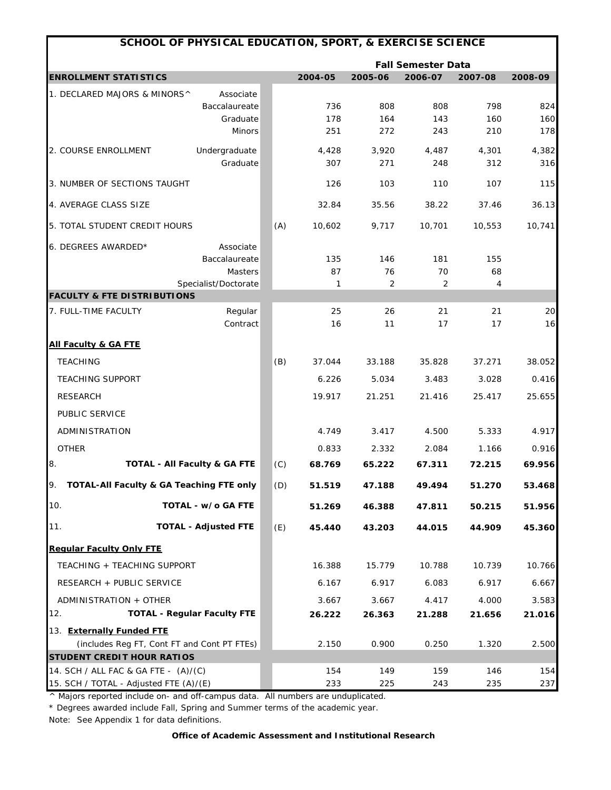| SCHOOL OF PHYSICAL EDUCATION, SPORT, & EXERCISE SCIENCE |                                             |     |              |                           |              |              |              |  |
|---------------------------------------------------------|---------------------------------------------|-----|--------------|---------------------------|--------------|--------------|--------------|--|
|                                                         |                                             |     |              | <b>Fall Semester Data</b> |              |              |              |  |
| <b>ENROLLMENT STATISTICS</b>                            |                                             |     | 2004-05      | 2005-06                   | 2006-07      | 2007-08      | 2008-09      |  |
| 1. DECLARED MAJORS & MINORS^                            | Associate<br>Baccalaureate                  |     | 736          | 808                       | 808          | 798          | 824          |  |
|                                                         | Graduate                                    |     | 178          | 164                       | 143          | 160          | 160          |  |
|                                                         | <b>Minors</b>                               |     | 251          | 272                       | 243          | 210          | 178          |  |
| 2. COURSE ENROLLMENT                                    | Undergraduate<br>Graduate                   |     | 4,428<br>307 | 3,920<br>271              | 4,487<br>248 | 4,301<br>312 | 4,382<br>316 |  |
| 3. NUMBER OF SECTIONS TAUGHT                            |                                             |     | 126          | 103                       | 110          | 107          | 115          |  |
| 4. AVERAGE CLASS SIZE                                   |                                             |     | 32.84        | 35.56                     | 38.22        | 37.46        | 36.13        |  |
| 5. TOTAL STUDENT CREDIT HOURS                           |                                             | (A) | 10,602       | 9,717                     | 10,701       | 10,553       | 10,741       |  |
| 6. DEGREES AWARDED*                                     | Associate<br>Baccalaureate<br>Masters       |     | 135<br>87    | 146<br>76                 | 181<br>70    | 155<br>68    |              |  |
| <b>FACULTY &amp; FTE DISTRIBUTIONS</b>                  | Specialist/Doctorate                        |     | 1            | 2                         | 2            | 4            |              |  |
| 7. FULL-TIME FACULTY                                    | Regular<br>Contract                         |     | 25<br>16     | 26<br>11                  | 21<br>17     | 21<br>17     | 20<br>16     |  |
| <u>All Faculty &amp; GA FTE</u>                         |                                             |     |              |                           |              |              |              |  |
| <b>TEACHING</b>                                         |                                             | (B) | 37.044       | 33.188                    | 35.828       | 37.271       | 38.052       |  |
| <b>TEACHING SUPPORT</b>                                 |                                             |     | 6.226        | 5.034                     | 3.483        | 3.028        | 0.416        |  |
| <b>RESEARCH</b>                                         |                                             |     | 19.917       | 21.251                    | 21.416       | 25.417       | 25.655       |  |
| PUBLIC SERVICE                                          |                                             |     |              |                           |              |              |              |  |
| ADMINISTRATION                                          |                                             |     | 4.749        | 3.417                     | 4.500        | 5.333        | 4.917        |  |
| <b>OTHER</b>                                            |                                             |     | 0.833        | 2.332                     | 2.084        | 1.166        | 0.916        |  |
| 8.                                                      | <b>TOTAL - All Faculty &amp; GA FTE</b>     | (C) | 68.769       | 65.222                    | 67.311       | 72.215       | 69.956       |  |
| 9.                                                      | TOTAL-All Faculty & GA Teaching FTE only    | (D) | 51.519       | 47.188                    | 49.494       | 51.270       | 53.468       |  |
| 10.                                                     | TOTAL - w/o GA FTE                          |     | 51.269       | 46.388                    | 47.811       | 50.215       | 51.956       |  |
| 11.                                                     | <b>TOTAL - Adjusted FTE</b>                 | (E) | 45.440       | 43.203                    | 44.015       | 44.909       | 45.360       |  |
| <b>Regular Faculty Only FTE</b>                         |                                             |     |              |                           |              |              |              |  |
| TEACHING + TEACHING SUPPORT                             |                                             |     | 16.388       | 15.779                    | 10.788       | 10.739       | 10.766       |  |
| RESEARCH + PUBLIC SERVICE                               |                                             |     | 6.167        | 6.917                     | 6.083        | 6.917        | 6.667        |  |
| ADMINISTRATION + OTHER                                  |                                             |     | 3.667        | 3.667                     | 4.417        | 4.000        | 3.583        |  |
| 12.                                                     | <b>TOTAL - Regular Faculty FTE</b>          |     | 26.222       | 26.363                    | 21.288       | 21.656       | 21.016       |  |
| 13. Externally Funded FTE                               |                                             |     |              |                           |              |              |              |  |
| <b>STUDENT CREDIT HOUR RATIOS</b>                       | (includes Reg FT, Cont FT and Cont PT FTEs) |     | 2.150        | 0.900                     | 0.250        | 1.320        | 2.500        |  |
| 14. SCH / ALL FAC & GA FTE - (A)/(C)                    |                                             |     | 154          | 149                       | 159          | 146          | 154          |  |
| 15. SCH / TOTAL - Adjusted FTE (A)/(E)                  |                                             |     | 233          | 225                       | 243          | 235          | 237          |  |

\* Degrees awarded include Fall, Spring and Summer terms of the academic year.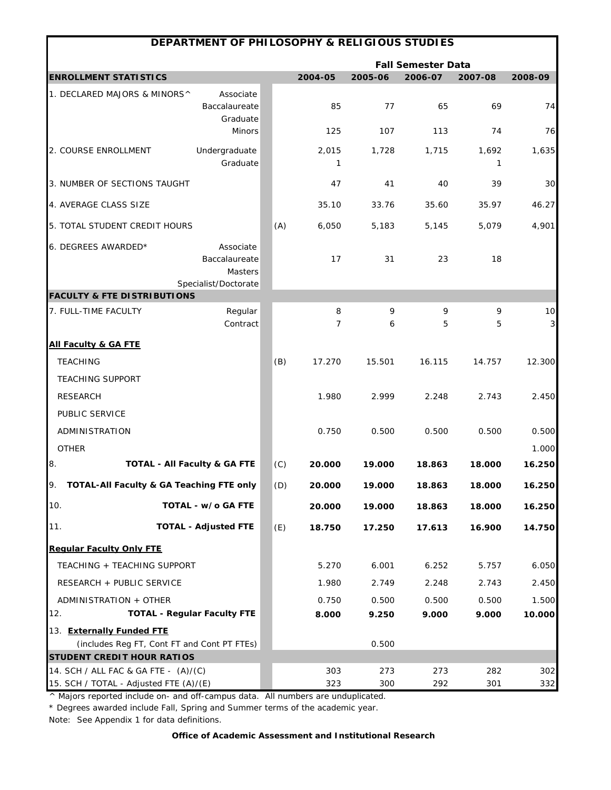| DEPARTMENT OF PHILOSOPHY & RELIGIOUS STUDIES   |                                                               |     |            |         |                           |            |                               |  |
|------------------------------------------------|---------------------------------------------------------------|-----|------------|---------|---------------------------|------------|-------------------------------|--|
|                                                |                                                               |     |            |         | <b>Fall Semester Data</b> |            |                               |  |
| <b>ENROLLMENT STATISTICS</b>                   |                                                               |     | 2004-05    | 2005-06 | 2006-07                   | 2007-08    | 2008-09                       |  |
| 1. DECLARED MAJORS & MINORS^                   | Associate<br>Baccalaureate<br>Graduate                        |     | 85         | 77      | 65                        | 69         | 74                            |  |
|                                                | <b>Minors</b>                                                 |     | 125        | 107     | 113                       | 74         | 76                            |  |
| 2. COURSE ENROLLMENT                           | Undergraduate<br>Graduate                                     |     | 2,015<br>1 | 1,728   | 1,715                     | 1,692<br>1 | 1,635                         |  |
| 3. NUMBER OF SECTIONS TAUGHT                   |                                                               |     | 47         | 41      | 40                        | 39         | 30                            |  |
| 4. AVERAGE CLASS SIZE                          |                                                               |     | 35.10      | 33.76   | 35.60                     | 35.97      | 46.27                         |  |
| 5. TOTAL STUDENT CREDIT HOURS                  |                                                               | (A) | 6,050      | 5,183   | 5,145                     | 5,079      | 4,901                         |  |
| 6. DEGREES AWARDED*                            | Associate<br>Baccalaureate<br>Masters<br>Specialist/Doctorate |     | 17         | 31      | 23                        | 18         |                               |  |
| <b>FACULTY &amp; FTE DISTRIBUTIONS</b>         |                                                               |     |            |         |                           |            |                               |  |
| 7. FULL-TIME FACULTY                           | Regular<br>Contract                                           |     | 8<br>7     | 9<br>6  | 9<br>5                    | 9<br>5     | 10<br>$\overline{\mathbf{3}}$ |  |
| <b>All Faculty &amp; GA FTE</b>                |                                                               |     |            |         |                           |            |                               |  |
| <b>TEACHING</b>                                |                                                               | (B) | 17.270     | 15.501  | 16.115                    | 14.757     | 12.300                        |  |
| <b>TEACHING SUPPORT</b>                        |                                                               |     |            |         |                           |            |                               |  |
| <b>RESEARCH</b>                                |                                                               |     | 1.980      | 2.999   | 2.248                     | 2.743      | 2.450                         |  |
| PUBLIC SERVICE                                 |                                                               |     |            |         |                           |            |                               |  |
| ADMINISTRATION                                 |                                                               |     | 0.750      | 0.500   | 0.500                     | 0.500      | 0.500                         |  |
| <b>OTHER</b>                                   |                                                               |     |            |         |                           |            | 1.000                         |  |
| 8.<br><b>TOTAL - All Faculty &amp; GA FTE</b>  |                                                               | (C) | 20.000     | 19.000  | 18.863                    | 18.000     | 16.250                        |  |
| TOTAL-All Faculty & GA Teaching FTE only<br>9. |                                                               | (D) | 20.000     | 19.000  | 18.863                    | 18.000     | 16.250                        |  |
| 10.                                            | TOTAL - w/o GA FTE                                            |     | 20.000     | 19.000  | 18.863                    | 18.000     | 16.250                        |  |
| 11.                                            | <b>TOTAL - Adjusted FTE</b>                                   | (E) | 18.750     | 17.250  | 17.613                    | 16.900     | 14.750                        |  |
| <b>Regular Faculty Only FTE</b>                |                                                               |     |            |         |                           |            |                               |  |
| TEACHING + TEACHING SUPPORT                    |                                                               |     | 5.270      | 6.001   | 6.252                     | 5.757      | 6.050                         |  |
| RESEARCH + PUBLIC SERVICE                      |                                                               |     | 1.980      | 2.749   | 2.248                     | 2.743      | 2.450                         |  |
| ADMINISTRATION + OTHER                         |                                                               |     | 0.750      | 0.500   | 0.500                     | 0.500      | 1.500                         |  |
| 12.                                            | <b>TOTAL - Regular Faculty FTE</b>                            |     | 8.000      | 9.250   | 9.000                     | 9.000      | 10.000                        |  |
| 13. Externally Funded FTE                      |                                                               |     |            |         |                           |            |                               |  |
| (includes Reg FT, Cont FT and Cont PT FTEs)    |                                                               |     |            | 0.500   |                           |            |                               |  |
| <b>STUDENT CREDIT HOUR RATIOS</b>              |                                                               |     |            |         |                           |            |                               |  |
| 14. SCH / ALL FAC & GA FTE - (A)/(C)           |                                                               |     | 303        | 273     | 273                       | 282        | 302                           |  |
| 15. SCH / TOTAL - Adjusted FTE (A)/(E)         |                                                               |     | 323        | 300     | 292                       | 301        | 332                           |  |

\* Degrees awarded include Fall, Spring and Summer terms of the academic year.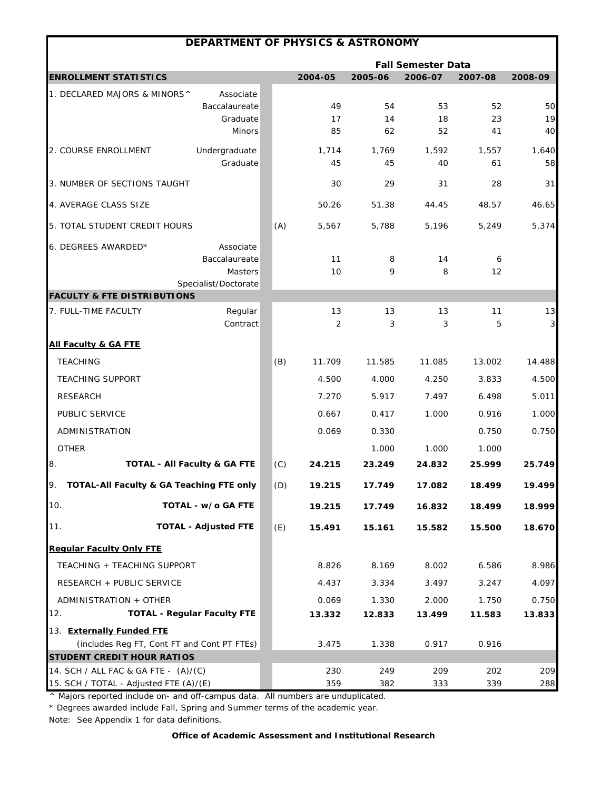|                                             | <b>DEPARTMENT OF PHYSICS &amp; ASTRONOMY</b> |     |                 |                 |                           |                 |                         |
|---------------------------------------------|----------------------------------------------|-----|-----------------|-----------------|---------------------------|-----------------|-------------------------|
|                                             |                                              |     |                 |                 | <b>Fall Semester Data</b> |                 |                         |
| <b>ENROLLMENT STATISTICS</b>                |                                              |     | 2004-05         | 2005-06         | 2006-07                   | 2007-08         | 2008-09                 |
| 1. DECLARED MAJORS & MINORS^                | Associate                                    |     |                 |                 |                           |                 |                         |
|                                             | Baccalaureate                                |     | 49              | 54              | 53                        | 52              | 50                      |
|                                             | Graduate<br><b>Minors</b>                    |     | 17<br>85        | 14<br>62        | 18<br>52                  | 23<br>41        | 19<br>40                |
|                                             |                                              |     |                 |                 |                           |                 |                         |
| 2. COURSE ENROLLMENT                        | Undergraduate<br>Graduate                    |     | 1,714<br>45     | 1,769           | 1,592                     | 1,557           | 1,640                   |
|                                             |                                              |     |                 | 45              | 40                        | 61              | 58                      |
| 3. NUMBER OF SECTIONS TAUGHT                |                                              |     | 30              | 29              | 31                        | 28              | 31                      |
| 4. AVERAGE CLASS SIZE                       |                                              |     | 50.26           | 51.38           | 44.45                     | 48.57           | 46.65                   |
| 5. TOTAL STUDENT CREDIT HOURS               |                                              | (A) | 5,567           | 5,788           | 5,196                     | 5,249           | 5,374                   |
| 6. DEGREES AWARDED*                         | Associate                                    |     |                 |                 |                           |                 |                         |
|                                             | Baccalaureate                                |     | 11              | 8               | 14                        | 6               |                         |
|                                             | <b>Masters</b>                               |     | 10              | 9               | 8                         | 12              |                         |
| <b>FACULTY &amp; FTE DISTRIBUTIONS</b>      | Specialist/Doctorate                         |     |                 |                 |                           |                 |                         |
| 7. FULL-TIME FACULTY                        | Regular                                      |     | 13              | 13              | 13                        | 11              | 13                      |
|                                             | Contract                                     |     | 2               | 3               | 3                         | 5               | $\overline{\mathbf{3}}$ |
| <b>All Faculty &amp; GA FTE</b>             |                                              |     |                 |                 |                           |                 |                         |
| <b>TEACHING</b>                             |                                              | (B) | 11.709          | 11.585          | 11.085                    | 13.002          | 14.488                  |
| <b>TEACHING SUPPORT</b>                     |                                              |     | 4.500           | 4.000           | 4.250                     | 3.833           | 4.500                   |
| <b>RESEARCH</b>                             |                                              |     | 7.270           | 5.917           | 7.497                     | 6.498           | 5.011                   |
| PUBLIC SERVICE                              |                                              |     | 0.667           | 0.417           | 1.000                     | 0.916           | 1.000                   |
| ADMINISTRATION                              |                                              |     | 0.069           | 0.330           |                           | 0.750           | 0.750                   |
| <b>OTHER</b>                                |                                              |     |                 | 1.000           | 1.000                     | 1.000           |                         |
| 8.                                          | <b>TOTAL - All Faculty &amp; GA FTE</b>      | (C) | 24.215          | 23.249          | 24.832                    | 25.999          | 25.749                  |
| TOTAL-All Faculty & GA Teaching FTE only    |                                              | (D) | 19.215          | 17.749          | 17.082                    | 18.499          | 19.499                  |
| 10.                                         | TOTAL - w/o GA FTE                           |     | 19.215          | 17.749          | 16.832                    | 18.499          | 18.999                  |
| 11.                                         | <b>TOTAL - Adjusted FTE</b>                  | (E) | 15.491          | 15.161          | 15.582                    | 15.500          | 18.670                  |
| <b>Requiar Faculty Only FTE</b>             |                                              |     |                 |                 |                           |                 |                         |
| TEACHING + TEACHING SUPPORT                 |                                              |     | 8.826           | 8.169           | 8.002                     | 6.586           | 8.986                   |
| RESEARCH + PUBLIC SERVICE                   |                                              |     | 4.437           | 3.334           | 3.497                     | 3.247           | 4.097                   |
|                                             |                                              |     |                 |                 |                           |                 |                         |
| ADMINISTRATION + OTHER<br>12.               | <b>TOTAL - Regular Faculty FTE</b>           |     | 0.069<br>13.332 | 1.330<br>12.833 | 2.000<br>13.499           | 1.750<br>11.583 | 0.750<br>13.833         |
| 13. Externally Funded FTE                   |                                              |     |                 |                 |                           |                 |                         |
| (includes Reg FT, Cont FT and Cont PT FTEs) |                                              |     | 3.475           | 1.338           | 0.917                     | 0.916           |                         |
| <b>STUDENT CREDIT HOUR RATIOS</b>           |                                              |     |                 |                 |                           |                 |                         |
| 14. SCH / ALL FAC & GA FTE - (A)/(C)        |                                              |     | 230             | 249             | 209                       | 202             | 209                     |
| 15. SCH / TOTAL - Adjusted FTE (A)/(E)      |                                              |     | 359             | 382             | 333                       | 339             | 288                     |

\* Degrees awarded include Fall, Spring and Summer terms of the academic year.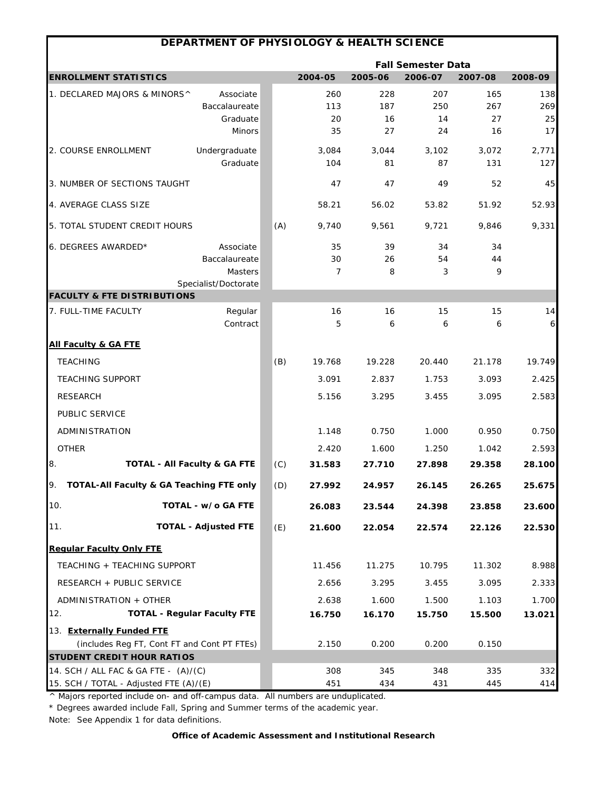|                                                | DEPARTMENT OF PHYSIOLOGY & HEALTH SCIENCE |     |              |             |                           |              |              |
|------------------------------------------------|-------------------------------------------|-----|--------------|-------------|---------------------------|--------------|--------------|
|                                                |                                           |     |              |             | <b>Fall Semester Data</b> |              |              |
| <b>ENROLLMENT STATISTICS</b>                   |                                           |     | 2004-05      | 2005-06     | 2006-07                   | 2007-08      | 2008-09      |
| 1. DECLARED MAJORS & MINORS^                   | Associate                                 |     | 260          | 228         | 207                       | 165          | 138          |
|                                                | Baccalaureate                             |     | 113          | 187         | 250                       | 267          | 269          |
|                                                | Graduate<br><b>Minors</b>                 |     | 20<br>35     | 16<br>27    | 14<br>24                  | 27<br>16     | 25<br>17     |
|                                                |                                           |     |              |             |                           |              |              |
| 2. COURSE ENROLLMENT                           | Undergraduate<br>Graduate                 |     | 3,084<br>104 | 3,044<br>81 | 3,102<br>87               | 3,072<br>131 | 2,771<br>127 |
| 3. NUMBER OF SECTIONS TAUGHT                   |                                           |     | 47           | 47          | 49                        | 52           | 45           |
| 4. AVERAGE CLASS SIZE                          |                                           |     | 58.21        | 56.02       | 53.82                     | 51.92        | 52.93        |
| 5. TOTAL STUDENT CREDIT HOURS                  |                                           | (A) | 9,740        | 9,561       | 9,721                     | 9,846        | 9,331        |
| 6. DEGREES AWARDED*                            | Associate                                 |     | 35           | 39          | 34                        | 34           |              |
|                                                | Baccalaureate                             |     | 30           | 26          | 54                        | 44           |              |
|                                                | <b>Masters</b>                            |     | 7            | 8           | 3                         | 9            |              |
| <b>FACULTY &amp; FTE DISTRIBUTIONS</b>         | Specialist/Doctorate                      |     |              |             |                           |              |              |
| 7. FULL-TIME FACULTY                           | Regular                                   |     | 16           | 16          | 15                        | 15           | 14           |
|                                                | Contract                                  |     | 5            | 6           | 6                         | 6            | 6            |
| <b>All Faculty &amp; GA FTE</b>                |                                           |     |              |             |                           |              |              |
| <b>TEACHING</b>                                |                                           | (B) | 19.768       | 19.228      | 20.440                    | 21.178       | 19.749       |
| <b>TEACHING SUPPORT</b>                        |                                           |     | 3.091        | 2.837       | 1.753                     | 3.093        | 2.425        |
| <b>RESEARCH</b>                                |                                           |     | 5.156        | 3.295       | 3.455                     | 3.095        | 2.583        |
| PUBLIC SERVICE                                 |                                           |     |              |             |                           |              |              |
| ADMINISTRATION                                 |                                           |     | 1.148        | 0.750       | 1.000                     | 0.950        | 0.750        |
| <b>OTHER</b>                                   |                                           |     | 2.420        | 1.600       | 1.250                     | 1.042        | 2.593        |
| 8.                                             | <b>TOTAL - All Faculty &amp; GA FTE</b>   | (C) | 31.583       | 27.710      | 27.898                    | 29.358       | 28.100       |
| TOTAL-All Faculty & GA Teaching FTE only<br>9. |                                           | (D) | 27.992       | 24.957      | 26.145                    | 26.265       | 25.675       |
| 10.                                            | TOTAL - w/o GA FTE                        |     | 26.083       | 23.544      | 24.398                    | 23.858       | 23.600       |
| 11.                                            | <b>TOTAL - Adjusted FTE</b>               | (E) | 21.600       | 22.054      | 22.574                    | 22.126       | 22.530       |
| <b>Regular Faculty Only FTE</b>                |                                           |     |              |             |                           |              |              |
| TEACHING + TEACHING SUPPORT                    |                                           |     | 11.456       | 11.275      | 10.795                    | 11.302       | 8.988        |
| RESEARCH + PUBLIC SERVICE                      |                                           |     | 2.656        | 3.295       | 3.455                     | 3.095        | 2.333        |
| ADMINISTRATION + OTHER                         |                                           |     | 2.638        | 1.600       | 1.500                     | 1.103        | 1.700        |
| 12.                                            | <b>TOTAL - Regular Faculty FTE</b>        |     | 16.750       | 16.170      | 15.750                    | 15.500       | 13.021       |
| 13. Externally Funded FTE                      |                                           |     |              |             |                           |              |              |
| (includes Reg FT, Cont FT and Cont PT FTEs)    |                                           |     | 2.150        | 0.200       | 0.200                     | 0.150        |              |
| <b>STUDENT CREDIT HOUR RATIOS</b>              |                                           |     |              |             |                           |              |              |
| 14. SCH / ALL FAC & GA FTE - (A)/(C)           |                                           |     | 308          | 345         | 348                       | 335          | 332          |
| 15. SCH / TOTAL - Adjusted FTE (A)/(E)         |                                           |     | 451          | 434         | 431                       | 445          | 414          |

\* Degrees awarded include Fall, Spring and Summer terms of the academic year.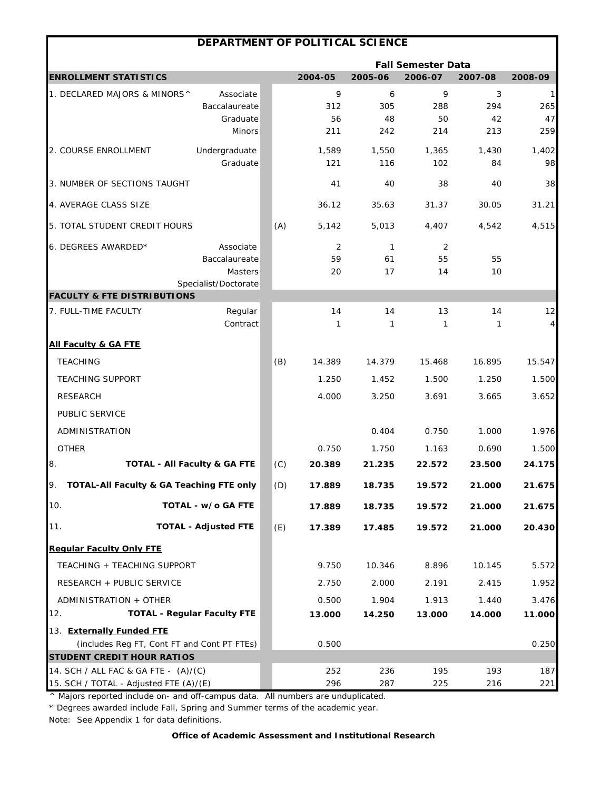|                                                       | DEPARTMENT OF POLITICAL SCIENCE         |     |              |              |                           |             |                      |
|-------------------------------------------------------|-----------------------------------------|-----|--------------|--------------|---------------------------|-------------|----------------------|
|                                                       |                                         |     |              |              | <b>Fall Semester Data</b> |             |                      |
| <b>ENROLLMENT STATISTICS</b>                          |                                         |     | 2004-05      | 2005-06      | 2006-07                   | 2007-08     | 2008-09              |
| 1. DECLARED MAJORS & MINORS^                          | Associate                               |     | 9            | 6            | 9                         | 3           | $\mathbf{1}$         |
|                                                       | Baccalaureate                           |     | 312          | 305          | 288                       | 294         | 265                  |
|                                                       | Graduate<br><b>Minors</b>               |     | 56<br>211    | 48<br>242    | 50<br>214                 | 42<br>213   | 47<br>259            |
|                                                       |                                         |     |              |              |                           |             |                      |
| 2. COURSE ENROLLMENT                                  | Undergraduate<br>Graduate               |     | 1,589<br>121 | 1,550<br>116 | 1,365<br>102              | 1,430<br>84 | 1,402<br>98          |
| 3. NUMBER OF SECTIONS TAUGHT                          |                                         |     | 41           | 40           | 38                        | 40          | 38                   |
| 4. AVERAGE CLASS SIZE                                 |                                         |     | 36.12        | 35.63        | 31.37                     | 30.05       | 31.21                |
| 5. TOTAL STUDENT CREDIT HOURS                         |                                         | (A) | 5,142        | 5,013        | 4,407                     | 4,542       | 4,515                |
| 6. DEGREES AWARDED*                                   | Associate                               |     | 2            | $\mathbf{1}$ | 2                         |             |                      |
|                                                       | Baccalaureate                           |     | 59           | 61           | 55                        | 55          |                      |
|                                                       | Masters<br>Specialist/Doctorate         |     | 20           | 17           | 14                        | 10          |                      |
| <b>FACULTY &amp; FTE DISTRIBUTIONS</b>                |                                         |     |              |              |                           |             |                      |
| 7. FULL-TIME FACULTY                                  | Regular<br>Contract                     |     | 14<br>1      | 14<br>1      | 13<br>1                   | 14<br>1     | 12<br>$\overline{4}$ |
| <b>All Faculty &amp; GA FTE</b>                       |                                         |     |              |              |                           |             |                      |
| <b>TEACHING</b>                                       |                                         | (B) | 14.389       | 14.379       | 15.468                    | 16.895      | 15.547               |
| <b>TEACHING SUPPORT</b>                               |                                         |     | 1.250        | 1.452        | 1.500                     | 1.250       | 1.500                |
| <b>RESEARCH</b>                                       |                                         |     | 4.000        | 3.250        | 3.691                     | 3.665       | 3.652                |
| PUBLIC SERVICE                                        |                                         |     |              |              |                           |             |                      |
| ADMINISTRATION                                        |                                         |     |              | 0.404        | 0.750                     | 1.000       | 1.976                |
| <b>OTHER</b>                                          |                                         |     | 0.750        | 1.750        | 1.163                     | 0.690       | 1.500                |
| 8.                                                    | <b>TOTAL - All Faculty &amp; GA FTE</b> | (C) | 20.389       | 21.235       | 22.572                    | 23.500      | 24.175               |
| TOTAL-All Faculty & GA Teaching FTE only<br><u>У.</u> |                                         | (D) | 17.889       | 18.735       | 19.572                    | 21.000      | 21.675               |
| 10.                                                   | TOTAL - w/o GA FTE                      |     | 17.889       | 18.735       | 19.572                    | 21.000      | 21.675               |
| 11.                                                   | <b>TOTAL - Adjusted FTE</b>             | (E) | 17.389       | 17.485       | 19.572                    | 21.000      | 20.430               |
| <b>Regular Faculty Only FTE</b>                       |                                         |     |              |              |                           |             |                      |
| TEACHING + TEACHING SUPPORT                           |                                         |     | 9.750        | 10.346       | 8.896                     | 10.145      | 5.572                |
| RESEARCH + PUBLIC SERVICE                             |                                         |     | 2.750        | 2.000        | 2.191                     | 2.415       | 1.952                |
| ADMINISTRATION + OTHER                                |                                         |     | 0.500        | 1.904        | 1.913                     | 1.440       | 3.476                |
| 12.                                                   | <b>TOTAL - Regular Faculty FTE</b>      |     | 13.000       | 14.250       | 13.000                    | 14.000      | 11.000               |
| 13. Externally Funded FTE                             |                                         |     |              |              |                           |             |                      |
| (includes Reg FT, Cont FT and Cont PT FTEs)           |                                         |     | 0.500        |              |                           |             | 0.250                |
| <b>STUDENT CREDIT HOUR RATIOS</b>                     |                                         |     |              |              |                           |             |                      |
| 14. SCH / ALL FAC & GA FTE - (A)/(C)                  |                                         |     | 252          | 236          | 195                       | 193         | 187                  |
| 15. SCH / TOTAL - Adjusted FTE (A)/(E)                |                                         |     | 296          | 287          | 225                       | 216         | 221                  |

\* Degrees awarded include Fall, Spring and Summer terms of the academic year.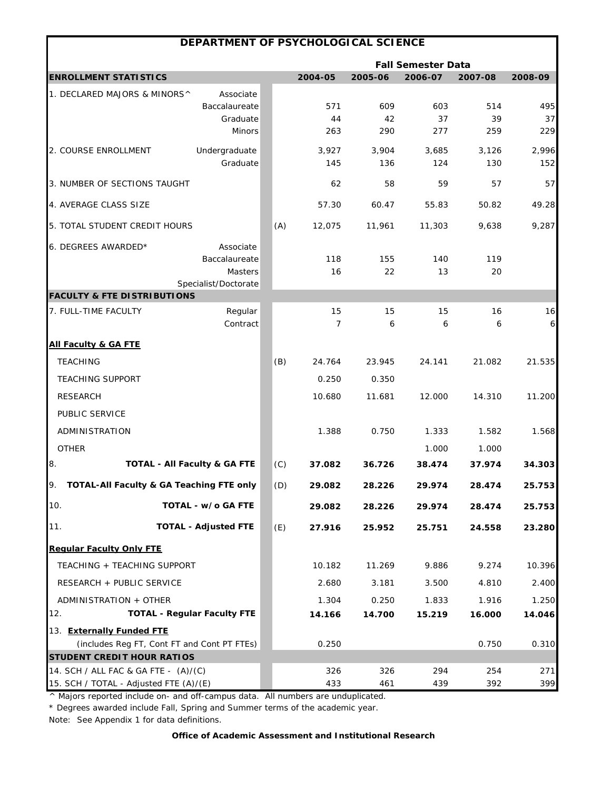|                                             | DEPARTMENT OF PSYCHOLOGICAL SCIENCE     |     |                |         |                           |         |         |
|---------------------------------------------|-----------------------------------------|-----|----------------|---------|---------------------------|---------|---------|
|                                             |                                         |     |                |         | <b>Fall Semester Data</b> |         |         |
| <b>ENROLLMENT STATISTICS</b>                |                                         |     | 2004-05        | 2005-06 | 2006-07                   | 2007-08 | 2008-09 |
| 1. DECLARED MAJORS & MINORS^                | Associate                               |     |                |         |                           |         |         |
|                                             | Baccalaureate                           |     | 571            | 609     | 603                       | 514     | 495     |
|                                             | Graduate                                |     | 44             | 42      | 37                        | 39      | 37      |
|                                             | <b>Minors</b>                           |     | 263            | 290     | 277                       | 259     | 229     |
| 2. COURSE ENROLLMENT                        | Undergraduate                           |     | 3,927          | 3,904   | 3,685                     | 3,126   | 2,996   |
|                                             | Graduate                                |     | 145            | 136     | 124                       | 130     | 152     |
| 3. NUMBER OF SECTIONS TAUGHT                |                                         |     | 62             | 58      | 59                        | 57      | 57      |
| 4. AVERAGE CLASS SIZE                       |                                         |     | 57.30          | 60.47   | 55.83                     | 50.82   | 49.28   |
| 5. TOTAL STUDENT CREDIT HOURS               |                                         | (A) | 12,075         | 11,961  | 11,303                    | 9,638   | 9,287   |
| 6. DEGREES AWARDED*                         | Associate                               |     |                |         |                           |         |         |
|                                             | Baccalaureate                           |     | 118            | 155     | 140                       | 119     |         |
|                                             | Masters                                 |     | 16             | 22      | 13                        | 20      |         |
| <b>FACULTY &amp; FTE DISTRIBUTIONS</b>      | Specialist/Doctorate                    |     |                |         |                           |         |         |
| 7. FULL-TIME FACULTY                        | Regular                                 |     | 15             | 15      | 15                        | 16      | 16      |
|                                             | Contract                                |     | $\overline{7}$ | 6       | 6                         | 6       | 6       |
| <b>All Faculty &amp; GA FTE</b>             |                                         |     |                |         |                           |         |         |
| <b>TEACHING</b>                             |                                         | (B) | 24.764         | 23.945  | 24.141                    | 21.082  | 21.535  |
| <b>TEACHING SUPPORT</b>                     |                                         |     | 0.250          | 0.350   |                           |         |         |
| <b>RESEARCH</b>                             |                                         |     | 10.680         | 11.681  | 12.000                    | 14.310  | 11.200  |
| PUBLIC SERVICE                              |                                         |     |                |         |                           |         |         |
| ADMINISTRATION                              |                                         |     | 1.388          | 0.750   | 1.333                     | 1.582   | 1.568   |
| <b>OTHER</b>                                |                                         |     |                |         | 1.000                     | 1.000   |         |
| 8.                                          | <b>TOTAL - All Faculty &amp; GA FTE</b> | (C) | 37.082         | 36.726  | 38.474                    | 37.974  | 34.303  |
| TOTAL-All Faculty & GA Teaching FTE only    |                                         | (D) | 29.082         | 28.226  | 29.974                    | 28.474  | 25.753  |
| 10.                                         | TOTAL - w/o GA FTE                      |     | 29.082         | 28.226  | 29.974                    | 28.474  | 25.753  |
| 11.                                         | <b>TOTAL - Adjusted FTE</b>             | (E) | 27.916         | 25.952  | 25.751                    | 24.558  | 23.280  |
| <b>Regular Faculty Only FTE</b>             |                                         |     |                |         |                           |         |         |
| TEACHING + TEACHING SUPPORT                 |                                         |     | 10.182         | 11.269  | 9.886                     | 9.274   | 10.396  |
| RESEARCH + PUBLIC SERVICE                   |                                         |     | 2.680          | 3.181   | 3.500                     | 4.810   | 2.400   |
| ADMINISTRATION + OTHER                      |                                         |     | 1.304          | 0.250   | 1.833                     | 1.916   | 1.250   |
| 12.                                         | <b>TOTAL - Regular Faculty FTE</b>      |     | 14.166         | 14.700  | 15.219                    | 16.000  | 14.046  |
| 13. Externally Funded FTE                   |                                         |     |                |         |                           |         |         |
| (includes Reg FT, Cont FT and Cont PT FTEs) |                                         |     | 0.250          |         |                           | 0.750   | 0.310   |
| <b>STUDENT CREDIT HOUR RATIOS</b>           |                                         |     |                |         |                           |         |         |
| 14. SCH / ALL FAC & GA FTE - (A)/(C)        |                                         |     | 326            | 326     | 294                       | 254     | 271     |
| 15. SCH / TOTAL - Adjusted FTE (A)/(E)      |                                         |     | 433            | 461     | 439                       | 392     | 399     |

\* Degrees awarded include Fall, Spring and Summer terms of the academic year.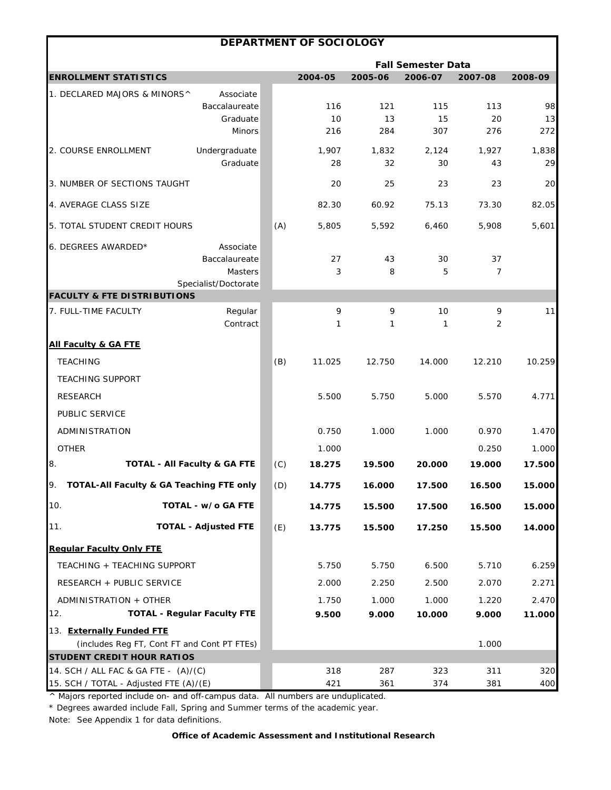|                                                                                |                                         |     | DEPARTMENT OF SOCIOLOGY |             |                           |             |             |
|--------------------------------------------------------------------------------|-----------------------------------------|-----|-------------------------|-------------|---------------------------|-------------|-------------|
|                                                                                |                                         |     |                         |             | <b>Fall Semester Data</b> |             |             |
| <b>ENROLLMENT STATISTICS</b>                                                   |                                         |     | 2004-05                 | 2005-06     | 2006-07                   | 2007-08     | 2008-09     |
| 1. DECLARED MAJORS & MINORS^                                                   | Associate                               |     |                         |             |                           |             |             |
|                                                                                | Baccalaureate                           |     | 116                     | 121         | 115                       | 113         | 98          |
|                                                                                | Graduate<br><b>Minors</b>               |     | 10<br>216               | 13<br>284   | 15<br>307                 | 20<br>276   | 13<br>272   |
|                                                                                |                                         |     |                         |             |                           |             |             |
| 2. COURSE ENROLLMENT                                                           | Undergraduate<br>Graduate               |     | 1,907<br>28             | 1,832<br>32 | 2,124<br>30               | 1,927<br>43 | 1,838<br>29 |
| 3. NUMBER OF SECTIONS TAUGHT                                                   |                                         |     | 20                      | 25          | 23                        | 23          | 20          |
| 4. AVERAGE CLASS SIZE                                                          |                                         |     | 82.30                   | 60.92       | 75.13                     | 73.30       | 82.05       |
| 5. TOTAL STUDENT CREDIT HOURS                                                  |                                         | (A) | 5,805                   | 5,592       | 6,460                     | 5,908       | 5,601       |
| 6. DEGREES AWARDED*                                                            | Associate<br>Baccalaureate<br>Masters   |     | 27<br>3                 | 43<br>8     | 30<br>5                   | 37<br>7     |             |
|                                                                                | Specialist/Doctorate                    |     |                         |             |                           |             |             |
| <b>FACULTY &amp; FTE DISTRIBUTIONS</b><br>7. FULL-TIME FACULTY                 | Regular                                 |     | 9                       | 9           | 10                        | 9           | 11          |
|                                                                                | Contract                                |     | 1                       | 1           | 1                         | 2           |             |
| <b>All Faculty &amp; GA FTE</b>                                                |                                         |     |                         |             |                           |             |             |
| <b>TEACHING</b>                                                                |                                         | (B) | 11.025                  | 12.750      | 14.000                    | 12.210      | 10.259      |
| <b>TEACHING SUPPORT</b>                                                        |                                         |     |                         |             |                           |             |             |
| <b>RESEARCH</b>                                                                |                                         |     | 5.500                   | 5.750       | 5.000                     | 5.570       | 4.771       |
| PUBLIC SERVICE                                                                 |                                         |     |                         |             |                           |             |             |
| ADMINISTRATION                                                                 |                                         |     | 0.750                   | 1.000       | 1.000                     | 0.970       | 1.470       |
| <b>OTHER</b>                                                                   |                                         |     | 1.000                   |             |                           | 0.250       | 1.000       |
| 8.                                                                             | <b>TOTAL - All Faculty &amp; GA FTE</b> | (C) | 18.275                  | 19.500      | 20.000                    | 19.000      | 17.500      |
| TOTAL-All Faculty & GA Teaching FTE only                                       |                                         | (D) | 14.775                  | 16.000      | 17.500                    | 16.500      | 15.000      |
| 10.                                                                            | TOTAL - w/o GA FTE                      |     | 14.775                  | 15.500      | 17.500                    | 16.500      | 15.000      |
| 11.                                                                            | <b>TOTAL - Adjusted FTE</b>             | (E) | 13.775                  | 15.500      | 17.250                    | 15.500      | 14.000      |
| <b>Regular Faculty Only FTE</b>                                                |                                         |     |                         |             |                           |             |             |
| TEACHING + TEACHING SUPPORT                                                    |                                         |     | 5.750                   | 5.750       | 6.500                     | 5.710       | 6.259       |
| RESEARCH + PUBLIC SERVICE                                                      |                                         |     | 2.000                   | 2.250       | 2.500                     | 2.070       | 2.271       |
| ADMINISTRATION + OTHER                                                         |                                         |     | 1.750                   | 1.000       | 1.000                     | 1.220       | 2.470       |
| 12.                                                                            | <b>TOTAL - Regular Faculty FTE</b>      |     | 9.500                   | 9.000       | 10.000                    | 9.000       | 11.000      |
| 13. Externally Funded FTE                                                      |                                         |     |                         |             |                           |             |             |
| (includes Reg FT, Cont FT and Cont PT FTEs)                                    |                                         |     |                         |             |                           | 1.000       |             |
| <b>STUDENT CREDIT HOUR RATIOS</b>                                              |                                         |     |                         |             |                           |             |             |
| 14. SCH / ALL FAC & GA FTE - (A)/(C)<br>15. SCH / TOTAL - Adjusted FTE (A)/(E) |                                         |     | 318<br>421              | 287<br>361  | 323<br>374                | 311<br>381  | 320<br>400  |
|                                                                                |                                         |     |                         |             |                           |             |             |

\* Degrees awarded include Fall, Spring and Summer terms of the academic year.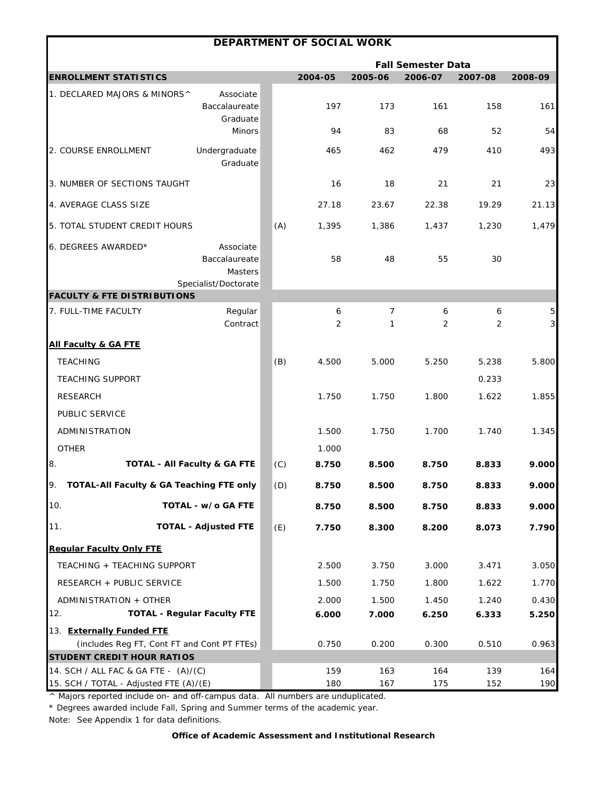|                                                                                |                                                               |     | DEPARTMENT OF SOCIAL WORK |            |                           |            |                              |
|--------------------------------------------------------------------------------|---------------------------------------------------------------|-----|---------------------------|------------|---------------------------|------------|------------------------------|
|                                                                                |                                                               |     |                           |            | <b>Fall Semester Data</b> |            |                              |
| <b>ENROLLMENT STATISTICS</b>                                                   |                                                               |     | 2004-05                   | 2005-06    | 2006-07                   | 2007-08    | 2008-09                      |
| 1. DECLARED MAJORS & MINORS^                                                   | Associate<br>Baccalaureate<br>Graduate                        |     | 197                       | 173        | 161                       | 158        | 161                          |
|                                                                                | <b>Minors</b>                                                 |     | 94                        | 83         | 68                        | 52         | 54                           |
| 2. COURSE ENROLLMENT                                                           | Undergraduate<br>Graduate                                     |     | 465                       | 462        | 479                       | 410        | 493                          |
| 3. NUMBER OF SECTIONS TAUGHT                                                   |                                                               |     | 16                        | 18         | 21                        | 21         | 23                           |
| 4. AVERAGE CLASS SIZE                                                          |                                                               |     | 27.18                     | 23.67      | 22.38                     | 19.29      | 21.13                        |
| 5. TOTAL STUDENT CREDIT HOURS                                                  |                                                               | (A) | 1,395                     | 1,386      | 1,437                     | 1,230      | 1,479                        |
| 6. DEGREES AWARDED*                                                            | Associate<br>Baccalaureate<br>Masters<br>Specialist/Doctorate |     | 58                        | 48         | 55                        | 30         |                              |
| <b>FACULTY &amp; FTE DISTRIBUTIONS</b>                                         |                                                               |     |                           |            |                           |            |                              |
| 7. FULL-TIME FACULTY                                                           | Regular<br>Contract                                           |     | 6<br>2                    | 7<br>1     | 6<br>2                    | 6<br>2     | 5<br>$\overline{\mathbf{3}}$ |
| <b>All Faculty &amp; GA FTE</b>                                                |                                                               |     |                           |            |                           |            |                              |
| <b>TEACHING</b>                                                                |                                                               | (B) | 4.500                     | 5.000      | 5.250                     | 5.238      | 5.800                        |
| <b>TEACHING SUPPORT</b>                                                        |                                                               |     |                           |            |                           | 0.233      |                              |
| <b>RESEARCH</b>                                                                |                                                               |     | 1.750                     | 1.750      | 1.800                     | 1.622      | 1.855                        |
| PUBLIC SERVICE                                                                 |                                                               |     |                           |            |                           |            |                              |
| ADMINISTRATION                                                                 |                                                               |     | 1.500                     | 1.750      | 1.700                     | 1.740      | 1.345                        |
| <b>OTHER</b>                                                                   |                                                               |     | 1.000                     |            |                           |            |                              |
| 8.                                                                             | <b>TOTAL - All Faculty &amp; GA FTE</b>                       | (C) | 8.750                     | 8.500      | 8.750                     | 8.833      | 9.000                        |
| TOTAL-All Faculty & GA Teaching FTE only                                       |                                                               | (D) | 8.750                     | 8.500      | 8.750                     | 8.833      | 9.000                        |
| 10.                                                                            | TOTAL - w/o GA FTE                                            |     | 8.750                     | 8.500      | 8.750                     | 8.833      | 9.000                        |
| 11.                                                                            | <b>TOTAL - Adjusted FTE</b>                                   | (E) | 7.750                     | 8.300      | 8.200                     | 8.073      | 7.790                        |
| <b>Regular Faculty Only FTE</b>                                                |                                                               |     |                           |            |                           |            |                              |
| TEACHING + TEACHING SUPPORT                                                    |                                                               |     | 2.500                     | 3.750      | 3.000                     | 3.471      | 3.050                        |
| RESEARCH + PUBLIC SERVICE                                                      |                                                               |     | 1.500                     | 1.750      | 1.800                     | 1.622      | 1.770                        |
| ADMINISTRATION + OTHER                                                         |                                                               |     | 2.000                     | 1.500      | 1.450                     | 1.240      | 0.430                        |
| 12.                                                                            | <b>TOTAL - Regular Faculty FTE</b>                            |     | 6.000                     | 7.000      | 6.250                     | 6.333      | 5.250                        |
| 13. Externally Funded FTE                                                      |                                                               |     |                           |            |                           |            |                              |
| (includes Reg FT, Cont FT and Cont PT FTEs)                                    |                                                               |     | 0.750                     | 0.200      | 0.300                     | 0.510      | 0.963                        |
| <b>STUDENT CREDIT HOUR RATIOS</b>                                              |                                                               |     |                           |            |                           |            |                              |
| 14. SCH / ALL FAC & GA FTE - (A)/(C)<br>15. SCH / TOTAL - Adjusted FTE (A)/(E) |                                                               |     | 159<br>180                | 163<br>167 | 164<br>175                | 139<br>152 | 164<br>190                   |
|                                                                                |                                                               |     |                           |            |                           |            |                              |

\* Degrees awarded include Fall, Spring and Summer terms of the academic year.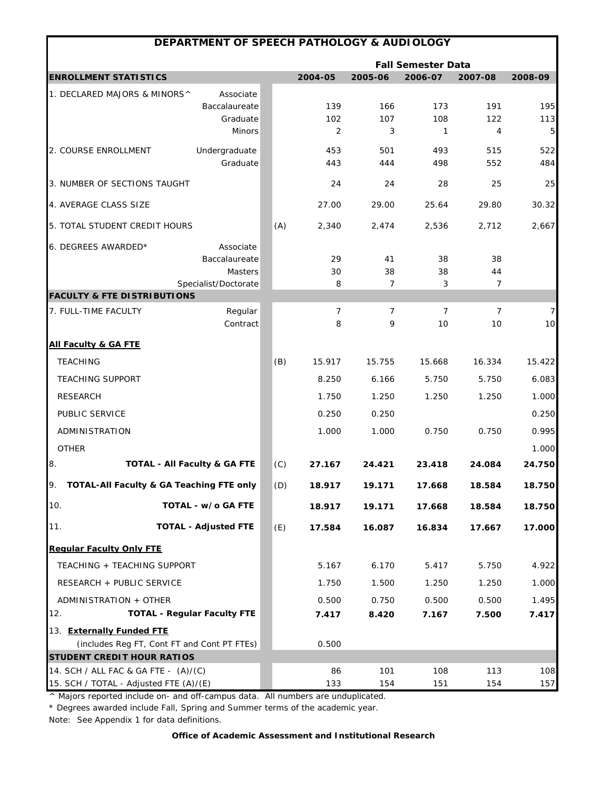|                                        | DEPARTMENT OF SPEECH PATHOLOGY & AUDIOLOGY  |     |                     |                     |                           |                       |            |
|----------------------------------------|---------------------------------------------|-----|---------------------|---------------------|---------------------------|-----------------------|------------|
|                                        |                                             |     |                     |                     | <b>Fall Semester Data</b> |                       |            |
| <b>ENROLLMENT STATISTICS</b>           |                                             |     | 2004-05             | 2005-06             | 2006-07                   | 2007-08               | 2008-09    |
| 1. DECLARED MAJORS & MINORS^           | Associate                                   |     |                     |                     |                           |                       |            |
|                                        | Baccalaureate                               |     | 139                 | 166                 | 173                       | 191                   | 195        |
|                                        | Graduate<br><b>Minors</b>                   |     | 102<br>2            | 107<br>3            | 108<br>1                  | 122<br>$\overline{4}$ | 113<br>5   |
|                                        |                                             |     |                     |                     |                           |                       |            |
| 2. COURSE ENROLLMENT                   | Undergraduate<br>Graduate                   |     | 453<br>443          | 501<br>444          | 493<br>498                | 515<br>552            | 522<br>484 |
| 3. NUMBER OF SECTIONS TAUGHT           |                                             |     | 24                  | 24                  | 28                        | 25                    | 25         |
| 4. AVERAGE CLASS SIZE                  |                                             |     | 27.00               | 29.00               | 25.64                     | 29.80                 | 30.32      |
| 5. TOTAL STUDENT CREDIT HOURS          |                                             | (A) | 2,340               | 2,474               | 2,536                     | 2,712                 | 2,667      |
| 6. DEGREES AWARDED*                    | Associate                                   |     |                     |                     |                           |                       |            |
|                                        | Baccalaureate                               |     | 29                  | 41                  | 38                        | 38                    |            |
|                                        | Masters                                     |     | 30                  | 38                  | 38                        | 44                    |            |
|                                        | Specialist/Doctorate                        |     | 8                   | $\overline{7}$      | 3                         | 7                     |            |
| <b>FACULTY &amp; FTE DISTRIBUTIONS</b> |                                             |     |                     |                     |                           |                       |            |
| 7. FULL-TIME FACULTY                   | Regular<br>Contract                         |     | $\overline{7}$<br>8 | $\overline{7}$<br>9 | $\overline{7}$<br>10      | $\overline{7}$<br>10  | 7<br>10    |
| <b>All Faculty &amp; GA FTE</b>        |                                             |     |                     |                     |                           |                       |            |
| <b>TEACHING</b>                        |                                             | (B) | 15.917              | 15.755              | 15.668                    | 16.334                | 15.422     |
| <b>TEACHING SUPPORT</b>                |                                             |     | 8.250               | 6.166               | 5.750                     | 5.750                 | 6.083      |
| <b>RESEARCH</b>                        |                                             |     | 1.750               | 1.250               | 1.250                     | 1.250                 | 1.000      |
| PUBLIC SERVICE                         |                                             |     | 0.250               | 0.250               |                           |                       | 0.250      |
| ADMINISTRATION                         |                                             |     | 1.000               | 1.000               | 0.750                     | 0.750                 | 0.995      |
| <b>OTHER</b>                           |                                             |     |                     |                     |                           |                       | 1.000      |
| 8.                                     | TOTAL - All Faculty & GA FTE                | (C) | 27.167              | 24.421              | 23.418                    | 24.084                | 24.750     |
|                                        | TOTAL-All Faculty & GA Teaching FTE only    | (D) | 18.917              | 19.171              | 17.668                    | 18.584                | 18.750     |
| 10.                                    | TOTAL - w/o GA FTE                          |     | 18.917              | 19.171              | 17.668                    | 18.584                | 18.750     |
| 11.                                    | <b>TOTAL - Adjusted FTE</b>                 | (E) | 17.584              | 16.087              | 16.834                    | 17.667                | 17.000     |
| <b>Regular Faculty Only FTE</b>        |                                             |     |                     |                     |                           |                       |            |
| TEACHING + TEACHING SUPPORT            |                                             |     | 5.167               | 6.170               | 5.417                     | 5.750                 | 4.922      |
| RESEARCH + PUBLIC SERVICE              |                                             |     | 1.750               | 1.500               | 1.250                     | 1.250                 | 1.000      |
| ADMINISTRATION + OTHER                 |                                             |     | 0.500               | 0.750               | 0.500                     | 0.500                 | 1.495      |
| 12.                                    | <b>TOTAL - Regular Faculty FTE</b>          |     | 7.417               | 8.420               | 7.167                     | 7.500                 | 7.417      |
| 13. Externally Funded FTE              |                                             |     |                     |                     |                           |                       |            |
|                                        | (includes Reg FT, Cont FT and Cont PT FTEs) |     | 0.500               |                     |                           |                       |            |
| <b>STUDENT CREDIT HOUR RATIOS</b>      |                                             |     |                     |                     |                           |                       |            |
| 14. SCH / ALL FAC & GA FTE - (A)/(C)   |                                             |     | 86                  | 101                 | 108                       | 113                   | 108        |
| 15. SCH / TOTAL - Adjusted FTE (A)/(E) |                                             |     | 133                 | 154                 | 151                       | 154                   | 157        |

\* Degrees awarded include Fall, Spring and Summer terms of the academic year.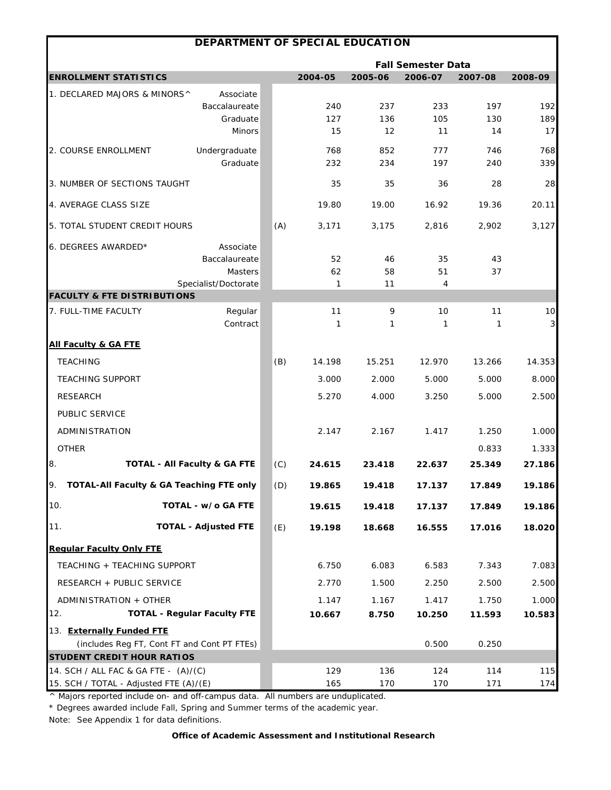|                                                 | DEPARTMENT OF SPECIAL EDUCATION |     |           |           |                           |           |                         |
|-------------------------------------------------|---------------------------------|-----|-----------|-----------|---------------------------|-----------|-------------------------|
|                                                 |                                 |     |           |           | <b>Fall Semester Data</b> |           |                         |
| <b>ENROLLMENT STATISTICS</b>                    |                                 |     | 2004-05   | 2005-06   | 2006-07                   | 2007-08   | 2008-09                 |
| 1. DECLARED MAJORS & MINORS^                    | Associate                       |     |           |           |                           |           |                         |
|                                                 | Baccalaureate                   |     | 240       | 237       | 233                       | 197       | 192                     |
|                                                 | Graduate<br><b>Minors</b>       |     | 127<br>15 | 136<br>12 | 105<br>11                 | 130<br>14 | 189<br>17               |
|                                                 |                                 |     |           |           |                           |           |                         |
| 2. COURSE ENROLLMENT                            | Undergraduate                   |     | 768       | 852       | 777                       | 746       | 768                     |
|                                                 | Graduate                        |     | 232       | 234       | 197                       | 240       | 339                     |
| 3. NUMBER OF SECTIONS TAUGHT                    |                                 |     | 35        | 35        | 36                        | 28        | 28                      |
| 4. AVERAGE CLASS SIZE                           |                                 |     | 19.80     | 19.00     | 16.92                     | 19.36     | 20.11                   |
| 5. TOTAL STUDENT CREDIT HOURS                   |                                 | (A) | 3,171     | 3,175     | 2,816                     | 2,902     | 3,127                   |
| 6. DEGREES AWARDED*                             | Associate                       |     |           |           |                           |           |                         |
|                                                 | Baccalaureate                   |     | 52        | 46        | 35                        | 43        |                         |
|                                                 | <b>Masters</b>                  |     | 62        | 58        | 51                        | 37        |                         |
| <b>FACULTY &amp; FTE DISTRIBUTIONS</b>          | Specialist/Doctorate            |     | 1         | 11        | 4                         |           |                         |
| 7. FULL-TIME FACULTY                            | Regular                         |     | 11        | 9         | 10                        | 11        | 10                      |
|                                                 | Contract                        |     | 1         | 1         | 1                         | 1         | $\overline{\mathbf{3}}$ |
| <b>All Faculty &amp; GA FTE</b>                 |                                 |     |           |           |                           |           |                         |
| <b>TEACHING</b>                                 |                                 | (B) | 14.198    | 15.251    | 12.970                    | 13.266    | 14.353                  |
| <b>TEACHING SUPPORT</b>                         |                                 |     | 3.000     | 2.000     | 5.000                     | 5.000     | 8.000                   |
| <b>RESEARCH</b>                                 |                                 |     | 5.270     | 4.000     | 3.250                     | 5.000     | 2.500                   |
| PUBLIC SERVICE                                  |                                 |     |           |           |                           |           |                         |
| ADMINISTRATION                                  |                                 |     | 2.147     | 2.167     | 1.417                     | 1.250     | 1.000                   |
| <b>OTHER</b>                                    |                                 |     |           |           |                           | 0.833     | 1.333                   |
| 8.<br><b>TOTAL - All Faculty &amp; GA FTE</b>   |                                 | (C) | 24.615    | 23.418    | 22.637                    | 25.349    | 27.186                  |
| TOTAL-All Faculty & GA Teaching FTE only<br>IУ. |                                 | (D) | 19.865    | 19.418    | 17.137                    | 17.849    | 19.186                  |
| 10.                                             | TOTAL - w/o GA FTE              |     | 19.615    | 19.418    | 17.137                    | 17.849    | 19.186                  |
| 11.                                             | <b>TOTAL - Adjusted FTE</b>     | (E) | 19.198    | 18.668    | 16.555                    | 17.016    | 18.020                  |
| <b>Regular Faculty Only FTE</b>                 |                                 |     |           |           |                           |           |                         |
| TEACHING + TEACHING SUPPORT                     |                                 |     | 6.750     | 6.083     | 6.583                     | 7.343     | 7.083                   |
| RESEARCH + PUBLIC SERVICE                       |                                 |     | 2.770     | 1.500     | 2.250                     | 2.500     | 2.500                   |
| ADMINISTRATION + OTHER                          |                                 |     | 1.147     | 1.167     | 1.417                     | 1.750     | 1.000                   |
| 12.<br><b>TOTAL - Regular Faculty FTE</b>       |                                 |     | 10.667    | 8.750     | 10.250                    | 11.593    | 10.583                  |
| 13. Externally Funded FTE                       |                                 |     |           |           |                           |           |                         |
| (includes Reg FT, Cont FT and Cont PT FTEs)     |                                 |     |           |           | 0.500                     | 0.250     |                         |
| <b>STUDENT CREDIT HOUR RATIOS</b>               |                                 |     |           |           |                           |           |                         |
| 14. SCH / ALL FAC & GA FTE - (A)/(C)            |                                 |     | 129       | 136       | 124                       | 114       | 115                     |
| 15. SCH / TOTAL - Adjusted FTE (A)/(E)          |                                 |     | 165       | 170       | 170                       | 171       | 174                     |

\* Degrees awarded include Fall, Spring and Summer terms of the academic year.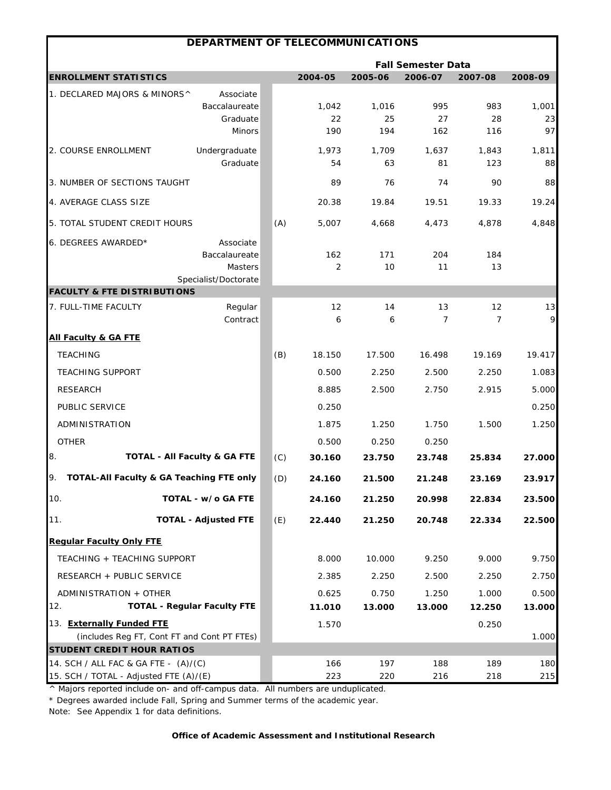|                                                                                |                           | DEPARTMENT OF TELECOMMUNICATIONS |             |                           |              |             |
|--------------------------------------------------------------------------------|---------------------------|----------------------------------|-------------|---------------------------|--------------|-------------|
|                                                                                |                           |                                  |             | <b>Fall Semester Data</b> |              |             |
| <b>ENROLLMENT STATISTICS</b>                                                   |                           | 2004-05                          | 2005-06     | 2006-07                   | 2007-08      | 2008-09     |
| 1. DECLARED MAJORS & MINORS^<br>Associate                                      |                           |                                  |             |                           |              |             |
| Baccalaureate                                                                  |                           | 1,042                            | 1,016       | 995                       | 983          | 1,001       |
|                                                                                | Graduate<br><b>Minors</b> | 22<br>190                        | 25<br>194   | 27<br>162                 | 28<br>116    | 23<br>97    |
|                                                                                |                           |                                  |             |                           |              |             |
| Undergraduate<br>2. COURSE ENROLLMENT                                          | Graduate                  | 1,973<br>54                      | 1,709<br>63 | 1,637<br>81               | 1,843<br>123 | 1,811<br>88 |
| 3. NUMBER OF SECTIONS TAUGHT                                                   |                           | 89                               | 76          | 74                        | 90           | 88          |
| 4. AVERAGE CLASS SIZE                                                          |                           | 20.38                            | 19.84       | 19.51                     | 19.33        | 19.24       |
| 5. TOTAL STUDENT CREDIT HOURS                                                  |                           | (A)<br>5,007                     | 4,668       | 4,473                     | 4,878        | 4,848       |
|                                                                                |                           |                                  |             |                           |              |             |
| 6. DEGREES AWARDED*<br>Associate<br>Baccalaureate                              |                           | 162                              | 171         | 204                       | 184          |             |
|                                                                                | Masters                   | $\overline{2}$                   | 10          | 11                        | 13           |             |
| Specialist/Doctorate                                                           |                           |                                  |             |                           |              |             |
| <b>FACULTY &amp; FTE DISTRIBUTIONS</b>                                         |                           |                                  |             |                           |              |             |
| 7. FULL-TIME FACULTY                                                           | Regular<br>Contract       | 12<br>6                          | 14<br>6     | 13<br>7                   | 12<br>7      | 13<br>9     |
|                                                                                |                           |                                  |             |                           |              |             |
| <b>All Faculty &amp; GA FTE</b>                                                |                           |                                  |             |                           |              |             |
| <b>TEACHING</b>                                                                |                           | (B)<br>18.150                    | 17.500      | 16.498                    | 19.169       | 19.417      |
| <b>TEACHING SUPPORT</b>                                                        |                           | 0.500                            | 2.250       | 2.500                     | 2.250        | 1.083       |
| <b>RESEARCH</b>                                                                |                           | 8.885                            | 2.500       | 2.750                     | 2.915        | 5.000       |
| PUBLIC SERVICE                                                                 |                           | 0.250                            |             |                           |              | 0.250       |
| ADMINISTRATION                                                                 |                           | 1.875                            | 1.250       | 1.750                     | 1.500        | 1.250       |
| <b>OTHER</b>                                                                   |                           | 0.500                            | 0.250       | 0.250                     |              |             |
| 8.<br><b>TOTAL - All Faculty &amp; GA FTE</b>                                  |                           | (C)<br>30.160                    | 23.750      | 23.748                    | 25.834       | 27.000      |
| 9.<br>TOTAL-All Faculty & GA Teaching FTE only                                 |                           | (D)<br>24.160                    | 21.500      | 21.248                    | 23.169       | 23.917      |
| 10.<br>TOTAL - w/o GA FTE                                                      |                           | 24.160                           | 21.250      | 20.998                    | 22.834       | 23.500      |
| 11.<br><b>TOTAL - Adjusted FTE</b>                                             |                           | (E)<br>22.440                    | 21.250      | 20.748                    | 22.334       | 22.500      |
| <b>Regular Faculty Only FTE</b>                                                |                           |                                  |             |                           |              |             |
| TEACHING + TEACHING SUPPORT                                                    |                           | 8.000                            | 10.000      | 9.250                     | 9.000        | 9.750       |
| RESEARCH + PUBLIC SERVICE                                                      |                           | 2.385                            | 2.250       | 2.500                     | 2.250        | 2.750       |
| ADMINISTRATION + OTHER                                                         |                           | 0.625                            | 0.750       | 1.250                     | 1.000        | 0.500       |
| <b>TOTAL - Regular Faculty FTE</b><br>12.                                      |                           | 11.010                           | 13.000      | 13.000                    | 12.250       | 13.000      |
| 13. Externally Funded FTE                                                      |                           | 1.570                            |             |                           | 0.250        |             |
| (includes Reg FT, Cont FT and Cont PT FTEs)                                    |                           |                                  |             |                           |              | 1.000       |
| <b>STUDENT CREDIT HOUR RATIOS</b>                                              |                           |                                  |             |                           |              |             |
| 14. SCH / ALL FAC & GA FTE - (A)/(C)<br>15. SCH / TOTAL - Adjusted FTE (A)/(E) |                           | 166<br>223                       | 197<br>220  | 188<br>216                | 189<br>218   | 180<br>215  |

\* Degrees awarded include Fall, Spring and Summer terms of the academic year.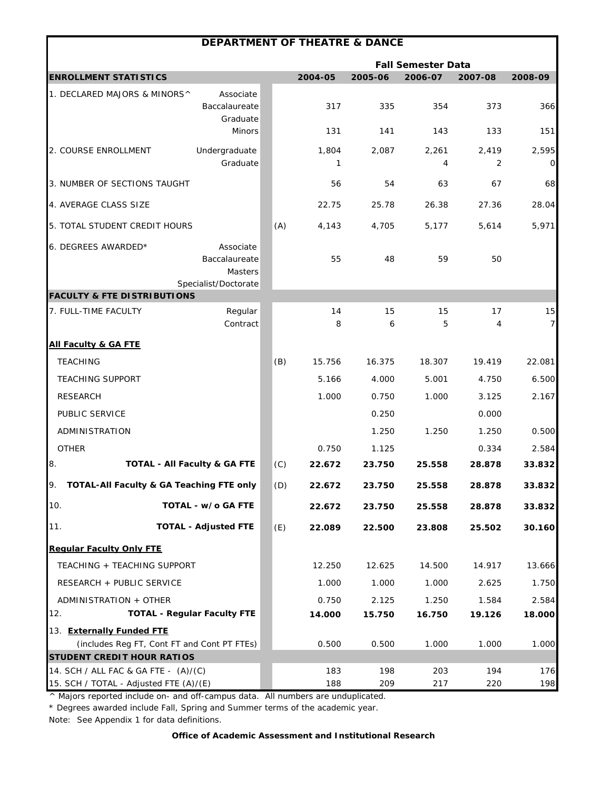|                                                                                | <b>DEPARTMENT OF THEATRE &amp; DANCE</b>                      |     |            |            |                           |            |            |
|--------------------------------------------------------------------------------|---------------------------------------------------------------|-----|------------|------------|---------------------------|------------|------------|
|                                                                                |                                                               |     |            |            | <b>Fall Semester Data</b> |            |            |
| <b>ENROLLMENT STATISTICS</b>                                                   |                                                               |     | 2004-05    | 2005-06    | 2006-07                   | 2007-08    | 2008-09    |
| 1. DECLARED MAJORS & MINORS^                                                   | Associate<br>Baccalaureate<br>Graduate                        |     | 317        | 335        | 354                       | 373        | 366        |
|                                                                                | <b>Minors</b>                                                 |     | 131        | 141        | 143                       | 133        | 151        |
| 2. COURSE ENROLLMENT                                                           | Undergraduate<br>Graduate                                     |     | 1,804<br>1 | 2,087      | 2,261<br>4                | 2,419<br>2 | 2,595<br>O |
| 3. NUMBER OF SECTIONS TAUGHT                                                   |                                                               |     | 56         | 54         | 63                        | 67         | 68         |
| 4. AVERAGE CLASS SIZE                                                          |                                                               |     | 22.75      | 25.78      | 26.38                     | 27.36      | 28.04      |
| 5. TOTAL STUDENT CREDIT HOURS                                                  |                                                               | (A) | 4,143      | 4,705      | 5,177                     | 5,614      | 5,971      |
| 6. DEGREES AWARDED*                                                            | Associate<br>Baccalaureate<br>Masters<br>Specialist/Doctorate |     | 55         | 48         | 59                        | 50         |            |
| <b>FACULTY &amp; FTE DISTRIBUTIONS</b>                                         |                                                               |     |            |            |                           |            |            |
| 7. FULL-TIME FACULTY                                                           | Regular<br>Contract                                           |     | 14<br>8    | 15<br>6    | 15<br>5                   | 17<br>4    | 15<br>7    |
| <b>All Faculty &amp; GA FTE</b>                                                |                                                               |     |            |            |                           |            |            |
| <b>TEACHING</b>                                                                |                                                               | (B) | 15.756     | 16.375     | 18.307                    | 19.419     | 22.081     |
| <b>TEACHING SUPPORT</b>                                                        |                                                               |     | 5.166      | 4.000      | 5.001                     | 4.750      | 6.500      |
| <b>RESEARCH</b>                                                                |                                                               |     | 1.000      | 0.750      | 1.000                     | 3.125      | 2.167      |
| PUBLIC SERVICE                                                                 |                                                               |     |            | 0.250      |                           | 0.000      |            |
| ADMINISTRATION                                                                 |                                                               |     |            | 1.250      | 1.250                     | 1.250      | 0.500      |
| <b>OTHER</b>                                                                   |                                                               |     | 0.750      | 1.125      |                           | 0.334      | 2.584      |
| 8.                                                                             | <b>TOTAL - All Faculty &amp; GA FTE</b>                       | (C) | 22.672     | 23.750     | 25.558                    | 28.878     | 33.832     |
| TOTAL-All Faculty & GA Teaching FTE only                                       |                                                               | (D) | 22.672     | 23.750     | 25.558                    | 28.878     | 33.832     |
| 10.                                                                            | TOTAL - w/o GA FTE                                            |     | 22.672     | 23.750     | 25.558                    | 28.878     | 33.832     |
| 11.                                                                            | <b>TOTAL - Adjusted FTE</b>                                   | (E) | 22.089     | 22.500     | 23.808                    | 25.502     | 30.160     |
| <b>Regular Faculty Only FTE</b>                                                |                                                               |     |            |            |                           |            |            |
| TEACHING + TEACHING SUPPORT                                                    |                                                               |     | 12.250     | 12.625     | 14.500                    | 14.917     | 13.666     |
| RESEARCH + PUBLIC SERVICE                                                      |                                                               |     | 1.000      | 1.000      | 1.000                     | 2.625      | 1.750      |
| ADMINISTRATION + OTHER                                                         |                                                               |     | 0.750      | 2.125      | 1.250                     | 1.584      | 2.584      |
| 12.                                                                            | <b>TOTAL - Regular Faculty FTE</b>                            |     | 14.000     | 15.750     | 16.750                    | 19.126     | 18.000     |
| 13. Externally Funded FTE                                                      |                                                               |     |            |            |                           |            |            |
| (includes Reg FT, Cont FT and Cont PT FTEs)                                    |                                                               |     | 0.500      | 0.500      | 1.000                     | 1.000      | 1.000      |
| <b>STUDENT CREDIT HOUR RATIOS</b>                                              |                                                               |     |            |            |                           |            |            |
| 14. SCH / ALL FAC & GA FTE - (A)/(C)<br>15. SCH / TOTAL - Adjusted FTE (A)/(E) |                                                               |     | 183<br>188 | 198<br>209 | 203<br>217                | 194<br>220 | 176<br>198 |

\* Degrees awarded include Fall, Spring and Summer terms of the academic year.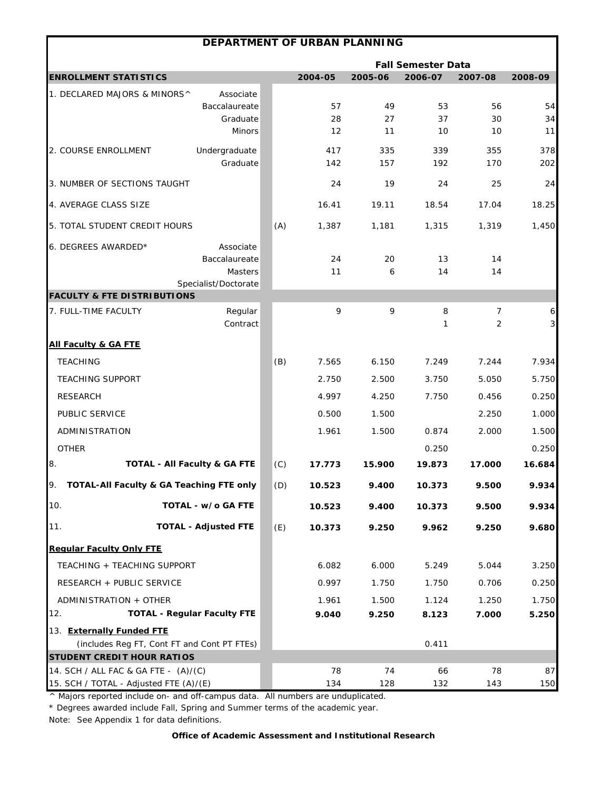|                                             | DEPARTMENT OF URBAN PLANNING            |     |         |         |                           |         |                     |
|---------------------------------------------|-----------------------------------------|-----|---------|---------|---------------------------|---------|---------------------|
|                                             |                                         |     |         |         | <b>Fall Semester Data</b> |         |                     |
| <b>ENROLLMENT STATISTICS</b>                |                                         |     | 2004-05 | 2005-06 | 2006-07                   | 2007-08 | 2008-09             |
| 1. DECLARED MAJORS & MINORS^                | Associate                               |     |         |         |                           |         |                     |
|                                             | Baccalaureate                           |     | 57      | 49      | 53                        | 56      | 54                  |
|                                             | Graduate                                |     | 28      | 27      | 37                        | 30      | 34                  |
|                                             | <b>Minors</b>                           |     | 12      | 11      | 10                        | 10      | 11                  |
| 2. COURSE ENROLLMENT                        | Undergraduate                           |     | 417     | 335     | 339                       | 355     | 378                 |
|                                             | Graduate                                |     | 142     | 157     | 192                       | 170     | 202                 |
| 3. NUMBER OF SECTIONS TAUGHT                |                                         |     | 24      | 19      | 24                        | 25      | 24                  |
| 4. AVERAGE CLASS SIZE                       |                                         |     | 16.41   | 19.11   | 18.54                     | 17.04   | 18.25               |
| 5. TOTAL STUDENT CREDIT HOURS               |                                         | (A) | 1,387   | 1,181   | 1,315                     | 1,319   | 1,450               |
| 6. DEGREES AWARDED*                         | Associate                               |     |         |         |                           |         |                     |
|                                             | Baccalaureate                           |     | 24      | 20      | 13                        | 14      |                     |
|                                             | Masters                                 |     | 11      | 6       | 14                        | 14      |                     |
| <b>FACULTY &amp; FTE DISTRIBUTIONS</b>      | Specialist/Doctorate                    |     |         |         |                           |         |                     |
| 7. FULL-TIME FACULTY                        | Regular                                 |     | 9       | 9       | 8                         | 7       | $\ddot{\mathbf{6}}$ |
|                                             | Contract                                |     |         |         | 1                         | 2       | $\mathbf{3}$        |
| <b>All Faculty &amp; GA FTE</b>             |                                         |     |         |         |                           |         |                     |
| <b>TEACHING</b>                             |                                         | (B) | 7.565   | 6.150   | 7.249                     | 7.244   | 7.934               |
| <b>TEACHING SUPPORT</b>                     |                                         |     | 2.750   | 2.500   | 3.750                     | 5.050   | 5.750               |
| <b>RESEARCH</b>                             |                                         |     | 4.997   | 4.250   | 7.750                     | 0.456   | 0.250               |
| PUBLIC SERVICE                              |                                         |     | 0.500   | 1.500   |                           | 2.250   | 1.000               |
| ADMINISTRATION                              |                                         |     | 1.961   | 1.500   | 0.874                     | 2.000   | 1.500               |
| <b>OTHER</b>                                |                                         |     |         |         | 0.250                     |         | 0.250               |
| 8.                                          | <b>TOTAL - All Faculty &amp; GA FTE</b> | (C) | 17.773  | 15.900  | 19.873                    | 17.000  | 16.684              |
| TOTAL-All Faculty & GA Teaching FTE only    |                                         | (D) | 10.523  | 9.400   | 10.373                    | 9.500   | 9.934               |
| 10.                                         | TOTAL - w/o GA FTE                      |     | 10.523  | 9.400   | 10.373                    | 9.500   | 9.934               |
| 11.                                         | <b>TOTAL - Adjusted FTE</b>             | (E) | 10.373  | 9.250   | 9.962                     | 9.250   | 9.680               |
| <b>Regular Faculty Only FTE</b>             |                                         |     |         |         |                           |         |                     |
| TEACHING + TEACHING SUPPORT                 |                                         |     | 6.082   | 6.000   | 5.249                     | 5.044   | 3.250               |
| RESEARCH + PUBLIC SERVICE                   |                                         |     | 0.997   | 1.750   | 1.750                     | 0.706   | 0.250               |
| ADMINISTRATION + OTHER                      |                                         |     | 1.961   | 1.500   | 1.124                     | 1.250   | 1.750               |
| 12.                                         | <b>TOTAL - Regular Faculty FTE</b>      |     | 9.040   | 9.250   | 8.123                     | 7.000   | 5.250               |
| 13. Externally Funded FTE                   |                                         |     |         |         |                           |         |                     |
| (includes Reg FT, Cont FT and Cont PT FTEs) |                                         |     |         |         | 0.411                     |         |                     |
| <b>STUDENT CREDIT HOUR RATIOS</b>           |                                         |     |         |         |                           |         |                     |
| 14. SCH / ALL FAC & GA FTE - (A)/(C)        |                                         |     | 78      | 74      | 66                        | 78      | 87                  |
| 15. SCH / TOTAL - Adjusted FTE (A)/(E)      |                                         |     | 134     | 128     | 132                       | 143     | 150                 |

\* Degrees awarded include Fall, Spring and Summer terms of the academic year.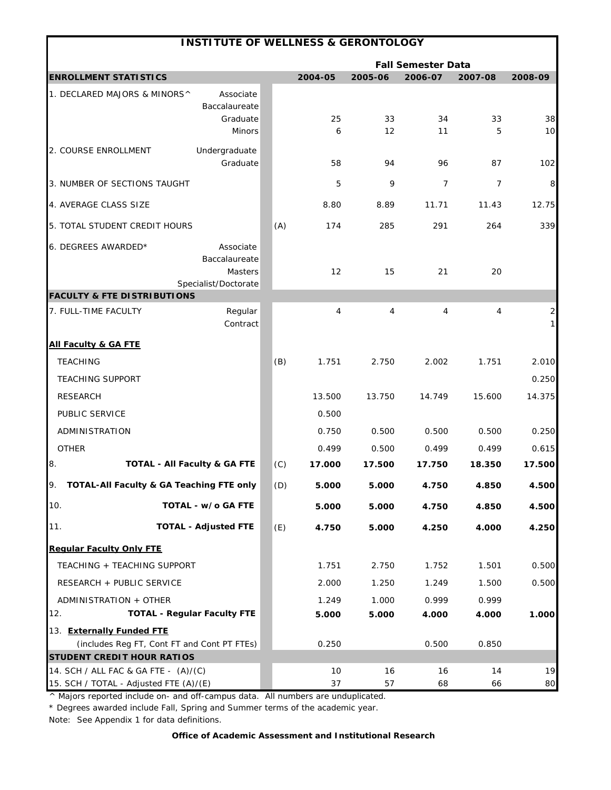| <b>INSTITUTE OF WELLNESS &amp; GERONTOLOGY</b>                                          |     |          |                |                           |          |                              |
|-----------------------------------------------------------------------------------------|-----|----------|----------------|---------------------------|----------|------------------------------|
|                                                                                         |     |          |                | <b>Fall Semester Data</b> |          |                              |
| <b>ENROLLMENT STATISTICS</b>                                                            |     | 2004-05  | 2005-06        | 2006-07                   | 2007-08  | 2008-09                      |
| 1. DECLARED MAJORS & MINORS^<br>Associate<br>Baccalaureate<br>Graduate<br><b>Minors</b> |     | 25<br>6  | 33<br>12       | 34<br>11                  | 33<br>5  | 38<br>10                     |
| Undergraduate<br>2. COURSE ENROLLMENT<br>Graduate                                       |     | 58       | 94             | 96                        | 87       | 102                          |
| 3. NUMBER OF SECTIONS TAUGHT                                                            |     | 5        | 9              | $\overline{7}$            | 7        | 8                            |
| 4. AVERAGE CLASS SIZE                                                                   |     | 8.80     | 8.89           | 11.71                     | 11.43    | 12.75                        |
| 5. TOTAL STUDENT CREDIT HOURS                                                           | (A) | 174      | 285            | 291                       | 264      | 339                          |
| 6. DEGREES AWARDED*<br>Associate<br>Baccalaureate<br>Masters<br>Specialist/Doctorate    |     | 12       | 15             | 21                        | 20       |                              |
| <b>FACULTY &amp; FTE DISTRIBUTIONS</b>                                                  |     |          |                |                           |          |                              |
| Regular<br>7. FULL-TIME FACULTY<br>Contract                                             |     | 4        | $\overline{4}$ | 4                         | 4        | $\overline{\mathbf{c}}$<br>1 |
| <b>All Faculty &amp; GA FTE</b>                                                         |     |          |                |                           |          |                              |
| <b>TEACHING</b>                                                                         | (B) | 1.751    | 2.750          | 2.002                     | 1.751    | 2.010                        |
| <b>TEACHING SUPPORT</b>                                                                 |     |          |                |                           |          | 0.250                        |
| <b>RESEARCH</b>                                                                         |     | 13.500   | 13.750         | 14.749                    | 15.600   | 14.375                       |
| PUBLIC SERVICE                                                                          |     | 0.500    |                |                           |          |                              |
| ADMINISTRATION                                                                          |     | 0.750    | 0.500          | 0.500                     | 0.500    | 0.250                        |
| <b>OTHER</b>                                                                            |     | 0.499    | 0.500          | 0.499                     | 0.499    | 0.615                        |
| 8.<br><b>TOTAL - All Faculty &amp; GA FTE</b>                                           | (C) | 17.000   | 17.500         | 17.750                    | 18.350   | 17.500                       |
| TOTAL-All Faculty & GA Teaching FTE only<br>9.                                          | (D) | 5.000    | 5.000          | 4.750                     | 4.850    | 4.500                        |
| 10.<br>TOTAL - w/o GA FTE                                                               |     | 5.000    | 5.000          | 4.750                     | 4.850    | 4.500                        |
| <b>TOTAL - Adjusted FTE</b><br>11.                                                      | (E) | 4.750    | 5.000          | 4.250                     | 4.000    | 4.250                        |
| <b>Requiar Faculty Only FTE</b>                                                         |     |          |                |                           |          |                              |
| TEACHING + TEACHING SUPPORT                                                             |     | 1.751    | 2.750          | 1.752                     | 1.501    | 0.500                        |
| RESEARCH + PUBLIC SERVICE                                                               |     | 2.000    | 1.250          | 1.249                     | 1.500    | 0.500                        |
| ADMINISTRATION + OTHER                                                                  |     | 1.249    | 1.000          | 0.999                     | 0.999    |                              |
| <b>TOTAL - Regular Faculty FTE</b><br>12.                                               |     | 5.000    | 5.000          | 4.000                     | 4.000    | 1.000                        |
| 13. Externally Funded FTE                                                               |     |          |                |                           |          |                              |
| (includes Reg FT, Cont FT and Cont PT FTEs)                                             |     | 0.250    |                | 0.500                     | 0.850    |                              |
| <b>STUDENT CREDIT HOUR RATIOS</b>                                                       |     |          |                |                           |          |                              |
| 14. SCH / ALL FAC & GA FTE - (A)/(C)<br>15. SCH / TOTAL - Adjusted FTE (A)/(E)          |     | 10<br>37 | 16<br>57       | 16<br>68                  | 14<br>66 | 19<br>80                     |

\* Degrees awarded include Fall, Spring and Summer terms of the academic year.